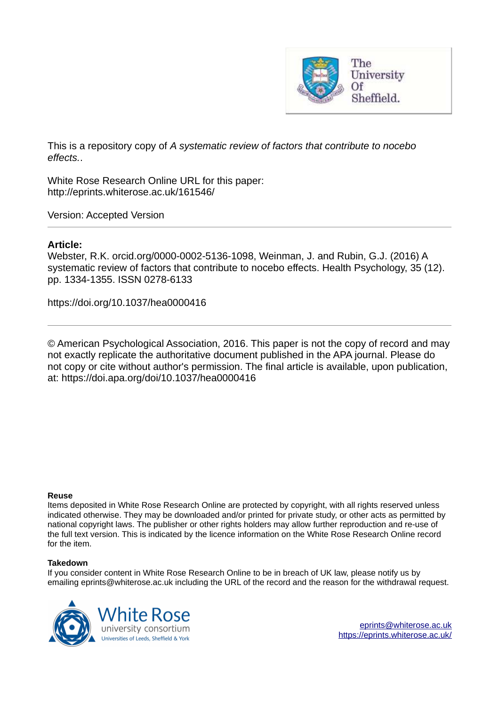

This is a repository copy of *A systematic review of factors that contribute to nocebo effects.*.

White Rose Research Online URL for this paper: http://eprints.whiterose.ac.uk/161546/

Version: Accepted Version

# **Article:**

Webster, R.K. orcid.org/0000-0002-5136-1098, Weinman, J. and Rubin, G.J. (2016) A systematic review of factors that contribute to nocebo effects. Health Psychology, 35 (12). pp. 1334-1355. ISSN 0278-6133

https://doi.org/10.1037/hea0000416

© American Psychological Association, 2016. This paper is not the copy of record and may not exactly replicate the authoritative document published in the APA journal. Please do not copy or cite without author's permission. The final article is available, upon publication, at: https://doi.apa.org/doi/10.1037/hea0000416

#### **Reuse**

Items deposited in White Rose Research Online are protected by copyright, with all rights reserved unless indicated otherwise. They may be downloaded and/or printed for private study, or other acts as permitted by national copyright laws. The publisher or other rights holders may allow further reproduction and re-use of the full text version. This is indicated by the licence information on the White Rose Research Online record for the item.

### **Takedown**

If you consider content in White Rose Research Online to be in breach of UK law, please notify us by emailing eprints@whiterose.ac.uk including the URL of the record and the reason for the withdrawal request.



[eprints@whiterose.ac.uk](mailto:eprints@whiterose.ac.uk) <https://eprints.whiterose.ac.uk/>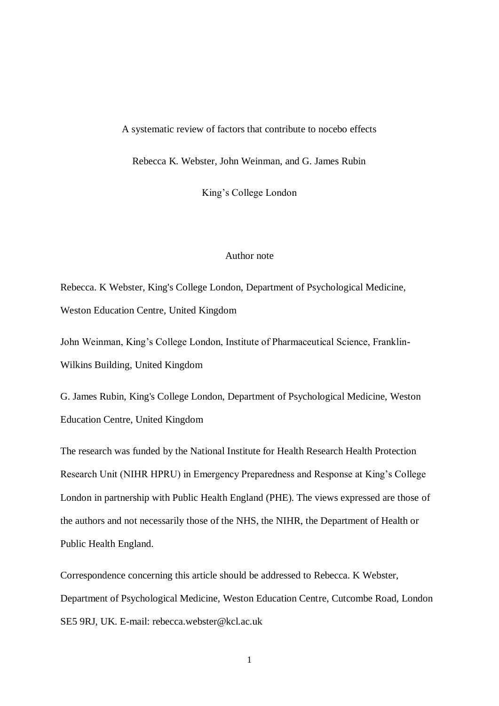#### A systematic review of factors that contribute to nocebo effects

Rebecca K. Webster, John Weinman, and G. James Rubin

King's College London

# Author note

Rebecca. K Webster, King's College London, Department of Psychological Medicine, Weston Education Centre, United Kingdom

John Weinman, King's College London, Institute of Pharmaceutical Science, Franklin-Wilkins Building, United Kingdom

G. James Rubin, King's College London, Department of Psychological Medicine, Weston Education Centre, United Kingdom

The research was funded by the National Institute for Health Research Health Protection Research Unit (NIHR HPRU) in Emergency Preparedness and Response at King's College London in partnership with Public Health England (PHE). The views expressed are those of the authors and not necessarily those of the NHS, the NIHR, the Department of Health or Public Health England.

Correspondence concerning this article should be addressed to Rebecca. K Webster, Department of Psychological Medicine, Weston Education Centre, Cutcombe Road, London SE5 9RJ, UK. E-mail: rebecca.webster@kcl.ac.uk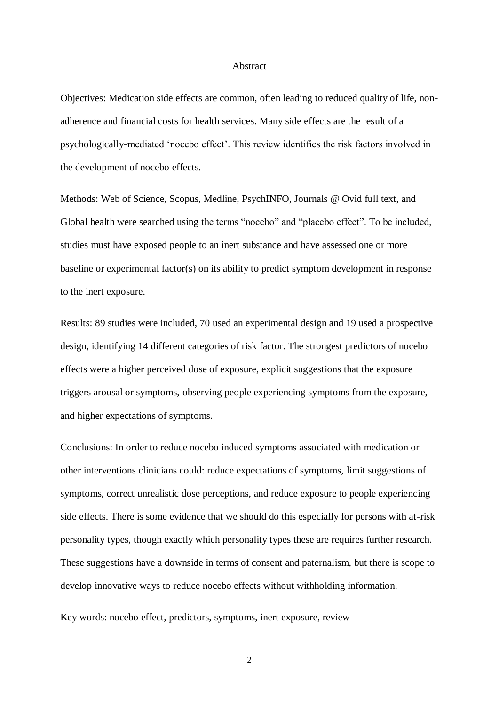### Abstract

Objectives: Medication side effects are common, often leading to reduced quality of life, nonadherence and financial costs for health services. Many side effects are the result of a psychologically-mediated 'nocebo effect'. This review identifies the risk factors involved in the development of nocebo effects.

Methods: Web of Science, Scopus, Medline, PsychINFO, Journals @ Ovid full text, and Global health were searched using the terms "nocebo" and "placebo effect". To be included, studies must have exposed people to an inert substance and have assessed one or more baseline or experimental factor(s) on its ability to predict symptom development in response to the inert exposure.

Results: 89 studies were included, 70 used an experimental design and 19 used a prospective design, identifying 14 different categories of risk factor. The strongest predictors of nocebo effects were a higher perceived dose of exposure, explicit suggestions that the exposure triggers arousal or symptoms, observing people experiencing symptoms from the exposure, and higher expectations of symptoms.

Conclusions: In order to reduce nocebo induced symptoms associated with medication or other interventions clinicians could: reduce expectations of symptoms, limit suggestions of symptoms, correct unrealistic dose perceptions, and reduce exposure to people experiencing side effects. There is some evidence that we should do this especially for persons with at-risk personality types, though exactly which personality types these are requires further research. These suggestions have a downside in terms of consent and paternalism, but there is scope to develop innovative ways to reduce nocebo effects without withholding information.

Key words: nocebo effect, predictors, symptoms, inert exposure, review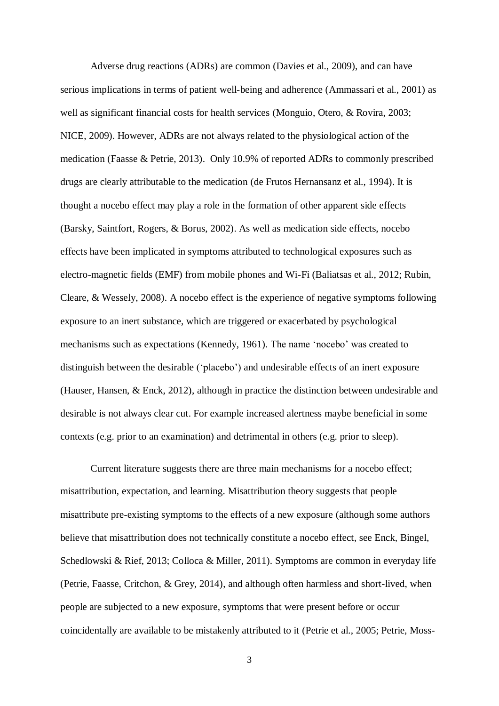Adverse drug reactions (ADRs) are common (Davies et al., 2009), and can have serious implications in terms of patient well-being and adherence (Ammassari et al., 2001) as well as significant financial costs for health services (Monguio, Otero, & Rovira, 2003; NICE, 2009). However, ADRs are not always related to the physiological action of the medication (Faasse & Petrie, 2013). Only 10.9% of reported ADRs to commonly prescribed drugs are clearly attributable to the medication (de Frutos Hernansanz et al., 1994). It is thought a nocebo effect may play a role in the formation of other apparent side effects (Barsky, Saintfort, Rogers, & Borus, 2002). As well as medication side effects, nocebo effects have been implicated in symptoms attributed to technological exposures such as electro-magnetic fields (EMF) from mobile phones and Wi-Fi (Baliatsas et al., 2012; Rubin, Cleare, & Wessely, 2008). A nocebo effect is the experience of negative symptoms following exposure to an inert substance, which are triggered or exacerbated by psychological mechanisms such as expectations (Kennedy, 1961). The name 'nocebo' was created to distinguish between the desirable ('placebo') and undesirable effects of an inert exposure (Hauser, Hansen, & Enck, 2012), although in practice the distinction between undesirable and desirable is not always clear cut. For example increased alertness maybe beneficial in some contexts (e.g. prior to an examination) and detrimental in others (e.g. prior to sleep).

Current literature suggests there are three main mechanisms for a nocebo effect; misattribution, expectation, and learning. Misattribution theory suggests that people misattribute pre-existing symptoms to the effects of a new exposure (although some authors believe that misattribution does not technically constitute a nocebo effect, see Enck, Bingel, Schedlowski & Rief, 2013; Colloca & Miller, 2011). Symptoms are common in everyday life (Petrie, Faasse, Critchon, & Grey, 2014), and although often harmless and short-lived, when people are subjected to a new exposure, symptoms that were present before or occur coincidentally are available to be mistakenly attributed to it (Petrie et al., 2005; Petrie, Moss-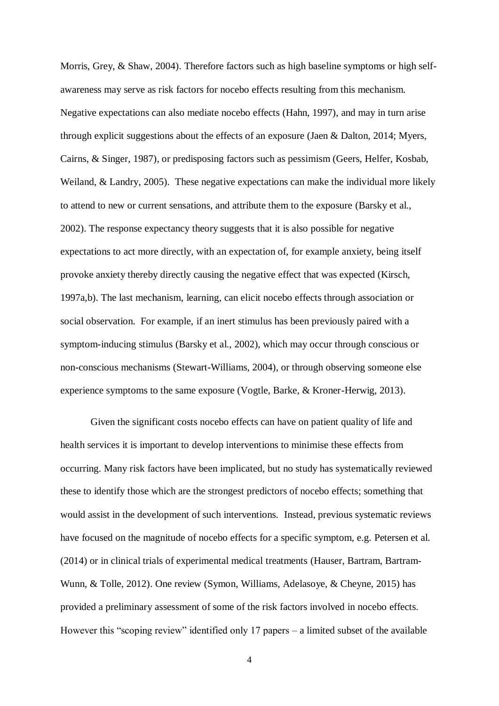Morris, Grey, & Shaw, 2004). Therefore factors such as high baseline symptoms or high selfawareness may serve as risk factors for nocebo effects resulting from this mechanism. Negative expectations can also mediate nocebo effects (Hahn, 1997), and may in turn arise through explicit suggestions about the effects of an exposure (Jaen & Dalton, 2014; Myers, Cairns, & Singer, 1987), or predisposing factors such as pessimism (Geers, Helfer, Kosbab, Weiland, & Landry, 2005). These negative expectations can make the individual more likely to attend to new or current sensations, and attribute them to the exposure (Barsky et al., 2002). The response expectancy theory suggests that it is also possible for negative expectations to act more directly, with an expectation of, for example anxiety, being itself provoke anxiety thereby directly causing the negative effect that was expected (Kirsch, 1997a,b). The last mechanism, learning, can elicit nocebo effects through association or social observation. For example, if an inert stimulus has been previously paired with a symptom-inducing stimulus (Barsky et al., 2002), which may occur through conscious or non-conscious mechanisms (Stewart-Williams, 2004), or through observing someone else experience symptoms to the same exposure (Vogtle, Barke, & Kroner-Herwig, 2013).

Given the significant costs nocebo effects can have on patient quality of life and health services it is important to develop interventions to minimise these effects from occurring. Many risk factors have been implicated, but no study has systematically reviewed these to identify those which are the strongest predictors of nocebo effects; something that would assist in the development of such interventions. Instead, previous systematic reviews have focused on the magnitude of nocebo effects for a specific symptom, e.g. Petersen et al. (2014) or in clinical trials of experimental medical treatments (Hauser, Bartram, Bartram-Wunn, & Tolle, 2012). One review (Symon, Williams, Adelasoye, & Cheyne, 2015) has provided a preliminary assessment of some of the risk factors involved in nocebo effects. However this "scoping review" identified only 17 papers – a limited subset of the available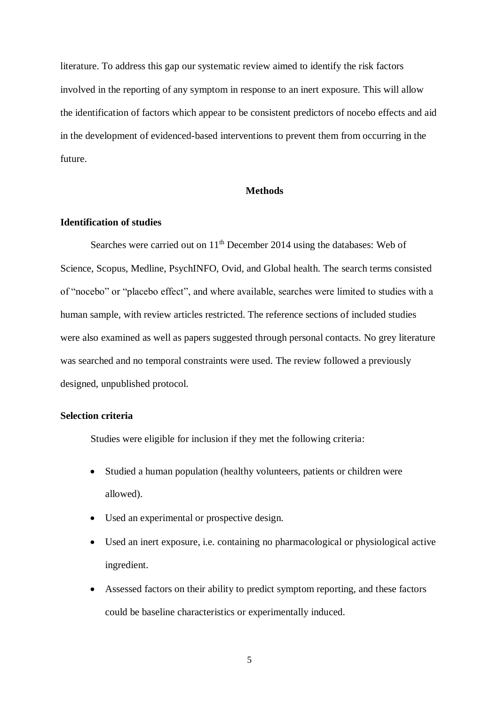literature. To address this gap our systematic review aimed to identify the risk factors involved in the reporting of any symptom in response to an inert exposure. This will allow the identification of factors which appear to be consistent predictors of nocebo effects and aid in the development of evidenced-based interventions to prevent them from occurring in the future.

## **Methods**

# **Identification of studies**

Searches were carried out on  $11<sup>th</sup>$  December 2014 using the databases: Web of Science, Scopus, Medline, PsychINFO, Ovid, and Global health. The search terms consisted of "nocebo" or "placebo effect", and where available, searches were limited to studies with a human sample, with review articles restricted. The reference sections of included studies were also examined as well as papers suggested through personal contacts. No grey literature was searched and no temporal constraints were used. The review followed a previously designed, unpublished protocol.

### **Selection criteria**

Studies were eligible for inclusion if they met the following criteria:

- Studied a human population (healthy volunteers, patients or children were allowed).
- Used an experimental or prospective design.
- Used an inert exposure, i.e. containing no pharmacological or physiological active ingredient.
- Assessed factors on their ability to predict symptom reporting, and these factors could be baseline characteristics or experimentally induced.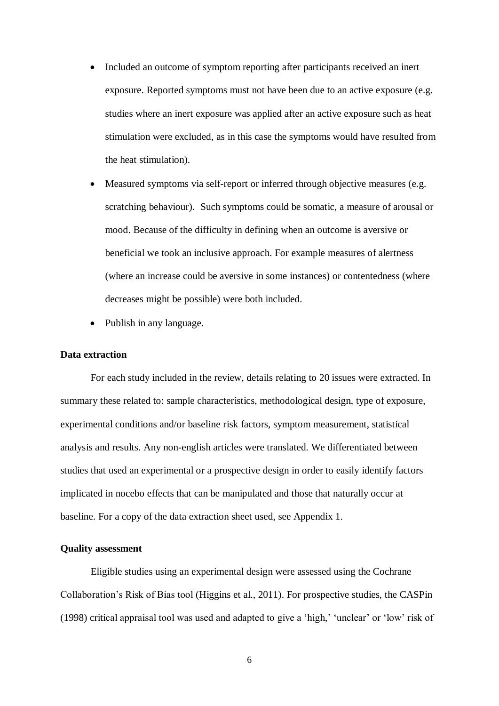- Included an outcome of symptom reporting after participants received an inert exposure. Reported symptoms must not have been due to an active exposure (e.g. studies where an inert exposure was applied after an active exposure such as heat stimulation were excluded, as in this case the symptoms would have resulted from the heat stimulation).
- Measured symptoms via self-report or inferred through objective measures (e.g. scratching behaviour). Such symptoms could be somatic, a measure of arousal or mood. Because of the difficulty in defining when an outcome is aversive or beneficial we took an inclusive approach. For example measures of alertness (where an increase could be aversive in some instances) or contentedness (where decreases might be possible) were both included.
- Publish in any language.

#### **Data extraction**

For each study included in the review, details relating to 20 issues were extracted. In summary these related to: sample characteristics, methodological design, type of exposure, experimental conditions and/or baseline risk factors, symptom measurement, statistical analysis and results. Any non-english articles were translated. We differentiated between studies that used an experimental or a prospective design in order to easily identify factors implicated in nocebo effects that can be manipulated and those that naturally occur at baseline. For a copy of the data extraction sheet used, see Appendix 1.

### **Quality assessment**

Eligible studies using an experimental design were assessed using the Cochrane Collaboration's Risk of Bias tool (Higgins et al., 2011). For prospective studies, the CASPin (1998) critical appraisal tool was used and adapted to give a 'high,' 'unclear' or 'low' risk of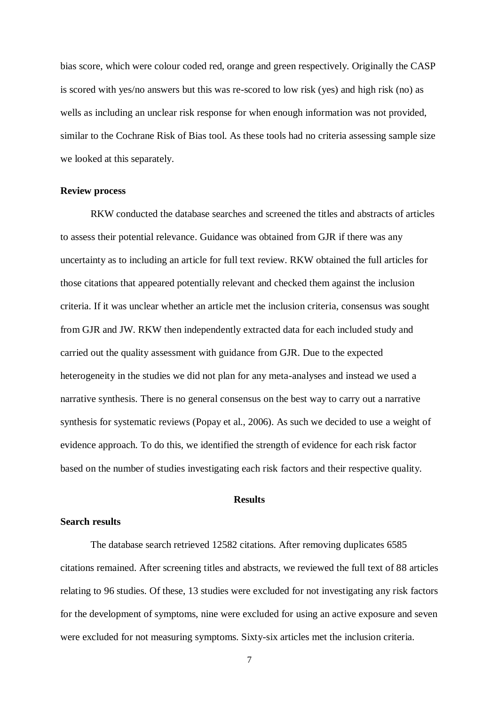bias score, which were colour coded red, orange and green respectively. Originally the CASP is scored with yes/no answers but this was re-scored to low risk (yes) and high risk (no) as wells as including an unclear risk response for when enough information was not provided, similar to the Cochrane Risk of Bias tool. As these tools had no criteria assessing sample size we looked at this separately.

### **Review process**

RKW conducted the database searches and screened the titles and abstracts of articles to assess their potential relevance. Guidance was obtained from GJR if there was any uncertainty as to including an article for full text review. RKW obtained the full articles for those citations that appeared potentially relevant and checked them against the inclusion criteria. If it was unclear whether an article met the inclusion criteria, consensus was sought from GJR and JW. RKW then independently extracted data for each included study and carried out the quality assessment with guidance from GJR. Due to the expected heterogeneity in the studies we did not plan for any meta-analyses and instead we used a narrative synthesis. There is no general consensus on the best way to carry out a narrative synthesis for systematic reviews (Popay et al., 2006). As such we decided to use a weight of evidence approach. To do this, we identified the strength of evidence for each risk factor based on the number of studies investigating each risk factors and their respective quality.

# **Results**

## **Search results**

The database search retrieved 12582 citations. After removing duplicates 6585 citations remained. After screening titles and abstracts, we reviewed the full text of 88 articles relating to 96 studies. Of these, 13 studies were excluded for not investigating any risk factors for the development of symptoms, nine were excluded for using an active exposure and seven were excluded for not measuring symptoms. Sixty-six articles met the inclusion criteria.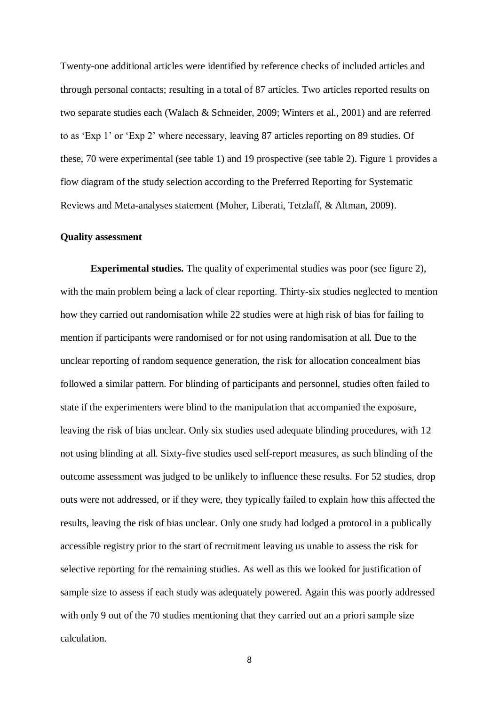Twenty-one additional articles were identified by reference checks of included articles and through personal contacts; resulting in a total of 87 articles. Two articles reported results on two separate studies each (Walach & Schneider, 2009; Winters et al., 2001) and are referred to as 'Exp 1' or 'Exp 2' where necessary, leaving 87 articles reporting on 89 studies. Of these, 70 were experimental (see table 1) and 19 prospective (see table 2). Figure 1 provides a flow diagram of the study selection according to the Preferred Reporting for Systematic Reviews and Meta-analyses statement (Moher, Liberati, Tetzlaff, & Altman, 2009).

### **Quality assessment**

**Experimental studies.** The quality of experimental studies was poor (see figure 2), with the main problem being a lack of clear reporting. Thirty-six studies neglected to mention how they carried out randomisation while 22 studies were at high risk of bias for failing to mention if participants were randomised or for not using randomisation at all. Due to the unclear reporting of random sequence generation, the risk for allocation concealment bias followed a similar pattern. For blinding of participants and personnel, studies often failed to state if the experimenters were blind to the manipulation that accompanied the exposure, leaving the risk of bias unclear. Only six studies used adequate blinding procedures, with 12 not using blinding at all. Sixty-five studies used self-report measures, as such blinding of the outcome assessment was judged to be unlikely to influence these results. For 52 studies, drop outs were not addressed, or if they were, they typically failed to explain how this affected the results, leaving the risk of bias unclear. Only one study had lodged a protocol in a publically accessible registry prior to the start of recruitment leaving us unable to assess the risk for selective reporting for the remaining studies. As well as this we looked for justification of sample size to assess if each study was adequately powered. Again this was poorly addressed with only 9 out of the 70 studies mentioning that they carried out an a priori sample size calculation.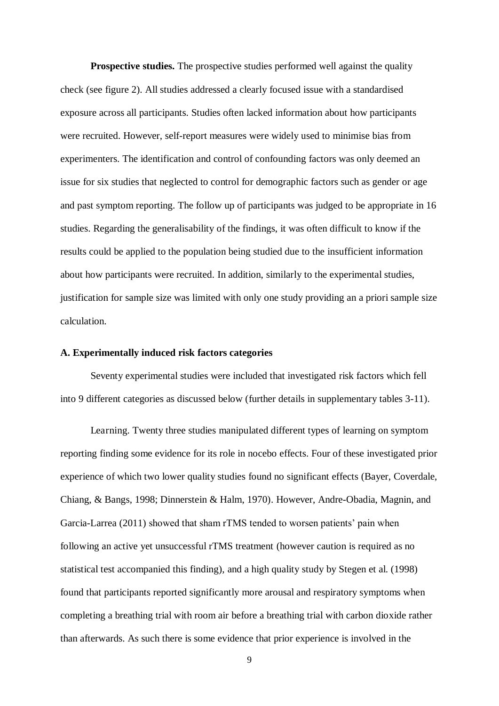**Prospective studies.** The prospective studies performed well against the quality check (see figure 2). All studies addressed a clearly focused issue with a standardised exposure across all participants. Studies often lacked information about how participants were recruited. However, self-report measures were widely used to minimise bias from experimenters. The identification and control of confounding factors was only deemed an issue for six studies that neglected to control for demographic factors such as gender or age and past symptom reporting. The follow up of participants was judged to be appropriate in 16 studies. Regarding the generalisability of the findings, it was often difficult to know if the results could be applied to the population being studied due to the insufficient information about how participants were recruited. In addition, similarly to the experimental studies, justification for sample size was limited with only one study providing an a priori sample size calculation.

### **A. Experimentally induced risk factors categories**

Seventy experimental studies were included that investigated risk factors which fell into 9 different categories as discussed below (further details in supplementary tables 3-11).

Learning. Twenty three studies manipulated different types of learning on symptom reporting finding some evidence for its role in nocebo effects. Four of these investigated prior experience of which two lower quality studies found no significant effects (Bayer, Coverdale, Chiang, & Bangs, 1998; Dinnerstein & Halm, 1970). However, Andre-Obadia, Magnin, and Garcia-Larrea (2011) showed that sham rTMS tended to worsen patients' pain when following an active yet unsuccessful rTMS treatment (however caution is required as no statistical test accompanied this finding), and a high quality study by Stegen et al. (1998) found that participants reported significantly more arousal and respiratory symptoms when completing a breathing trial with room air before a breathing trial with carbon dioxide rather than afterwards. As such there is some evidence that prior experience is involved in the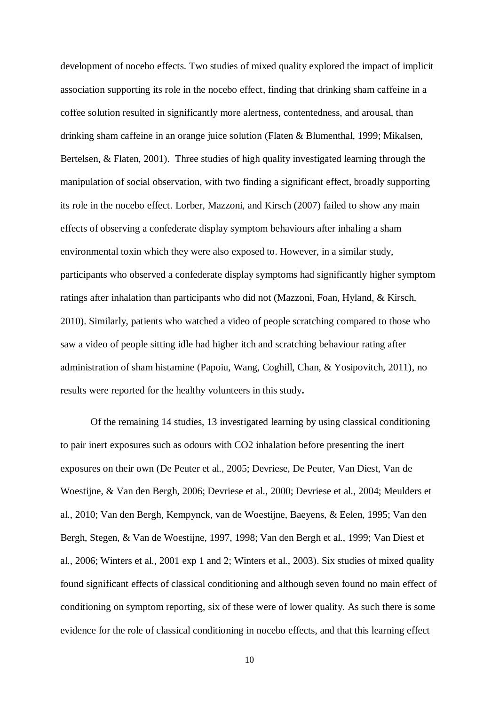development of nocebo effects. Two studies of mixed quality explored the impact of implicit association supporting its role in the nocebo effect, finding that drinking sham caffeine in a coffee solution resulted in significantly more alertness, contentedness, and arousal, than drinking sham caffeine in an orange juice solution (Flaten & Blumenthal, 1999; Mikalsen, Bertelsen, & Flaten, 2001). Three studies of high quality investigated learning through the manipulation of social observation, with two finding a significant effect, broadly supporting its role in the nocebo effect. Lorber, Mazzoni, and Kirsch (2007) failed to show any main effects of observing a confederate display symptom behaviours after inhaling a sham environmental toxin which they were also exposed to. However, in a similar study, participants who observed a confederate display symptoms had significantly higher symptom ratings after inhalation than participants who did not (Mazzoni, Foan, Hyland, & Kirsch, 2010). Similarly, patients who watched a video of people scratching compared to those who saw a video of people sitting idle had higher itch and scratching behaviour rating after administration of sham histamine (Papoiu, Wang, Coghill, Chan, & Yosipovitch, 2011), no results were reported for the healthy volunteers in this study**.** 

Of the remaining 14 studies, 13 investigated learning by using classical conditioning to pair inert exposures such as odours with CO2 inhalation before presenting the inert exposures on their own (De Peuter et al., 2005; Devriese, De Peuter, Van Diest, Van de Woestijne, & Van den Bergh, 2006; Devriese et al., 2000; Devriese et al., 2004; Meulders et al., 2010; Van den Bergh, Kempynck, van de Woestijne, Baeyens, & Eelen, 1995; Van den Bergh, Stegen, & Van de Woestijne, 1997, 1998; Van den Bergh et al., 1999; Van Diest et al., 2006; Winters et al., 2001 exp 1 and 2; Winters et al., 2003). Six studies of mixed quality found significant effects of classical conditioning and although seven found no main effect of conditioning on symptom reporting, six of these were of lower quality. As such there is some evidence for the role of classical conditioning in nocebo effects, and that this learning effect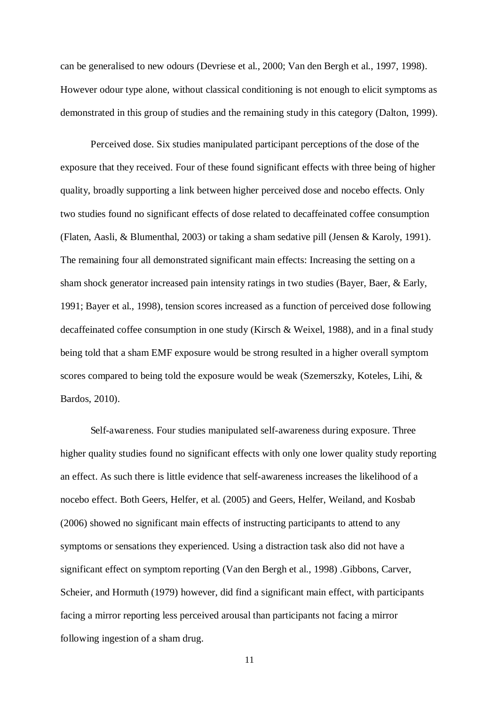can be generalised to new odours (Devriese et al., 2000; Van den Bergh et al., 1997, 1998). However odour type alone, without classical conditioning is not enough to elicit symptoms as demonstrated in this group of studies and the remaining study in this category (Dalton, 1999).

Perceived dose. Six studies manipulated participant perceptions of the dose of the exposure that they received. Four of these found significant effects with three being of higher quality, broadly supporting a link between higher perceived dose and nocebo effects. Only two studies found no significant effects of dose related to decaffeinated coffee consumption (Flaten, Aasli, & Blumenthal, 2003) or taking a sham sedative pill (Jensen & Karoly, 1991). The remaining four all demonstrated significant main effects: Increasing the setting on a sham shock generator increased pain intensity ratings in two studies (Bayer, Baer, & Early, 1991; Bayer et al., 1998), tension scores increased as a function of perceived dose following decaffeinated coffee consumption in one study (Kirsch & Weixel, 1988), and in a final study being told that a sham EMF exposure would be strong resulted in a higher overall symptom scores compared to being told the exposure would be weak (Szemerszky, Koteles, Lihi, & Bardos, 2010).

Self-awareness. Four studies manipulated self-awareness during exposure. Three higher quality studies found no significant effects with only one lower quality study reporting an effect. As such there is little evidence that self-awareness increases the likelihood of a nocebo effect. Both Geers, Helfer, et al. (2005) and Geers, Helfer, Weiland, and Kosbab (2006) showed no significant main effects of instructing participants to attend to any symptoms or sensations they experienced. Using a distraction task also did not have a significant effect on symptom reporting (Van den Bergh et al., 1998) .Gibbons, Carver, Scheier, and Hormuth (1979) however, did find a significant main effect, with participants facing a mirror reporting less perceived arousal than participants not facing a mirror following ingestion of a sham drug.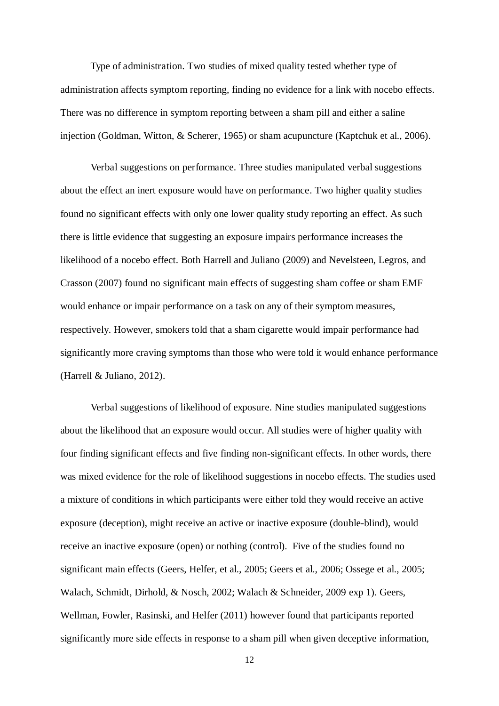Type of administration. Two studies of mixed quality tested whether type of administration affects symptom reporting, finding no evidence for a link with nocebo effects. There was no difference in symptom reporting between a sham pill and either a saline injection (Goldman, Witton, & Scherer, 1965) or sham acupuncture (Kaptchuk et al., 2006).

Verbal suggestions on performance. Three studies manipulated verbal suggestions about the effect an inert exposure would have on performance. Two higher quality studies found no significant effects with only one lower quality study reporting an effect. As such there is little evidence that suggesting an exposure impairs performance increases the likelihood of a nocebo effect. Both Harrell and Juliano (2009) and Nevelsteen, Legros, and Crasson (2007) found no significant main effects of suggesting sham coffee or sham EMF would enhance or impair performance on a task on any of their symptom measures, respectively. However, smokers told that a sham cigarette would impair performance had significantly more craving symptoms than those who were told it would enhance performance (Harrell & Juliano, 2012).

Verbal suggestions of likelihood of exposure. Nine studies manipulated suggestions about the likelihood that an exposure would occur. All studies were of higher quality with four finding significant effects and five finding non-significant effects. In other words, there was mixed evidence for the role of likelihood suggestions in nocebo effects. The studies used a mixture of conditions in which participants were either told they would receive an active exposure (deception), might receive an active or inactive exposure (double-blind), would receive an inactive exposure (open) or nothing (control). Five of the studies found no significant main effects (Geers, Helfer, et al., 2005; Geers et al., 2006; Ossege et al., 2005; Walach, Schmidt, Dirhold, & Nosch, 2002; Walach & Schneider, 2009 exp 1). Geers, Wellman, Fowler, Rasinski, and Helfer (2011) however found that participants reported significantly more side effects in response to a sham pill when given deceptive information,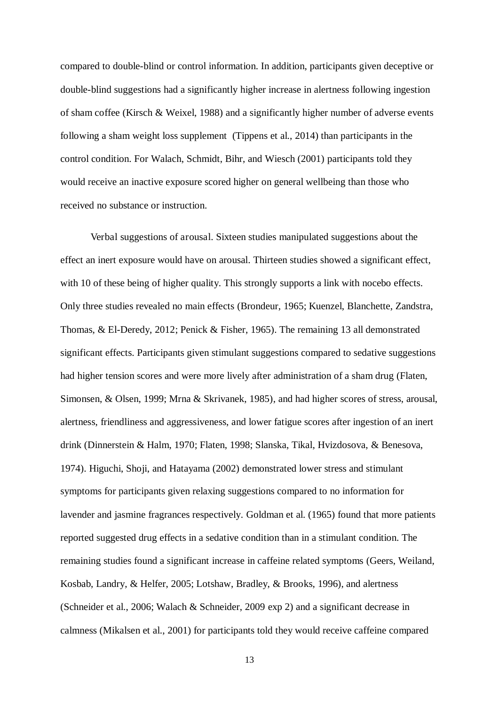compared to double-blind or control information. In addition, participants given deceptive or double-blind suggestions had a significantly higher increase in alertness following ingestion of sham coffee (Kirsch & Weixel, 1988) and a significantly higher number of adverse events following a sham weight loss supplement (Tippens et al., 2014) than participants in the control condition. For Walach, Schmidt, Bihr, and Wiesch (2001) participants told they would receive an inactive exposure scored higher on general wellbeing than those who received no substance or instruction.

Verbal suggestions of arousal. Sixteen studies manipulated suggestions about the effect an inert exposure would have on arousal. Thirteen studies showed a significant effect, with 10 of these being of higher quality. This strongly supports a link with nocebo effects. Only three studies revealed no main effects (Brondeur, 1965; Kuenzel, Blanchette, Zandstra, Thomas, & El-Deredy, 2012; Penick & Fisher, 1965). The remaining 13 all demonstrated significant effects. Participants given stimulant suggestions compared to sedative suggestions had higher tension scores and were more lively after administration of a sham drug (Flaten, Simonsen, & Olsen, 1999; Mrna & Skrivanek, 1985), and had higher scores of stress, arousal, alertness, friendliness and aggressiveness, and lower fatigue scores after ingestion of an inert drink (Dinnerstein & Halm, 1970; Flaten, 1998; Slanska, Tikal, Hvizdosova, & Benesova, 1974). Higuchi, Shoji, and Hatayama (2002) demonstrated lower stress and stimulant symptoms for participants given relaxing suggestions compared to no information for lavender and jasmine fragrances respectively. Goldman et al. (1965) found that more patients reported suggested drug effects in a sedative condition than in a stimulant condition. The remaining studies found a significant increase in caffeine related symptoms (Geers, Weiland, Kosbab, Landry, & Helfer, 2005; Lotshaw, Bradley, & Brooks, 1996), and alertness (Schneider et al., 2006; Walach & Schneider, 2009 exp 2) and a significant decrease in calmness (Mikalsen et al., 2001) for participants told they would receive caffeine compared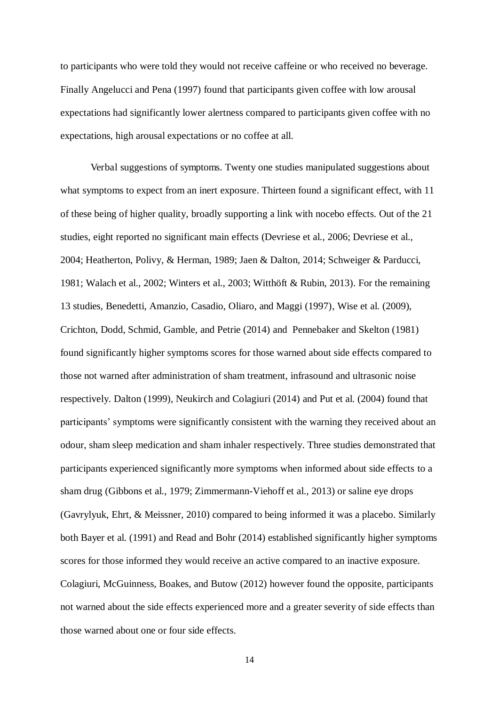to participants who were told they would not receive caffeine or who received no beverage. Finally Angelucci and Pena (1997) found that participants given coffee with low arousal expectations had significantly lower alertness compared to participants given coffee with no expectations, high arousal expectations or no coffee at all.

Verbal suggestions of symptoms. Twenty one studies manipulated suggestions about what symptoms to expect from an inert exposure. Thirteen found a significant effect, with 11 of these being of higher quality, broadly supporting a link with nocebo effects. Out of the 21 studies, eight reported no significant main effects (Devriese et al., 2006; Devriese et al., 2004; Heatherton, Polivy, & Herman, 1989; Jaen & Dalton, 2014; Schweiger & Parducci, 1981; Walach et al., 2002; Winters et al., 2003; Witthöft & Rubin, 2013). For the remaining 13 studies, Benedetti, Amanzio, Casadio, Oliaro, and Maggi (1997), Wise et al. (2009), Crichton, Dodd, Schmid, Gamble, and Petrie (2014) and Pennebaker and Skelton (1981) found significantly higher symptoms scores for those warned about side effects compared to those not warned after administration of sham treatment, infrasound and ultrasonic noise respectively. Dalton (1999), Neukirch and Colagiuri (2014) and Put et al. (2004) found that participants' symptoms were significantly consistent with the warning they received about an odour, sham sleep medication and sham inhaler respectively. Three studies demonstrated that participants experienced significantly more symptoms when informed about side effects to a sham drug (Gibbons et al., 1979; Zimmermann-Viehoff et al., 2013) or saline eye drops (Gavrylyuk, Ehrt, & Meissner, 2010) compared to being informed it was a placebo. Similarly both Bayer et al. (1991) and Read and Bohr (2014) established significantly higher symptoms scores for those informed they would receive an active compared to an inactive exposure. Colagiuri, McGuinness, Boakes, and Butow (2012) however found the opposite, participants not warned about the side effects experienced more and a greater severity of side effects than those warned about one or four side effects.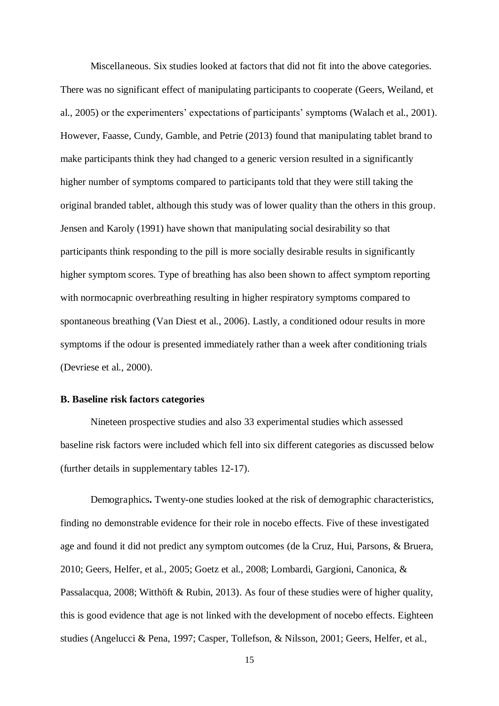Miscellaneous. Six studies looked at factors that did not fit into the above categories. There was no significant effect of manipulating participants to cooperate (Geers, Weiland, et al., 2005) or the experimenters' expectations of participants' symptoms (Walach et al., 2001). However, Faasse, Cundy, Gamble, and Petrie (2013) found that manipulating tablet brand to make participants think they had changed to a generic version resulted in a significantly higher number of symptoms compared to participants told that they were still taking the original branded tablet, although this study was of lower quality than the others in this group. Jensen and Karoly (1991) have shown that manipulating social desirability so that participants think responding to the pill is more socially desirable results in significantly higher symptom scores. Type of breathing has also been shown to affect symptom reporting with normocapnic overbreathing resulting in higher respiratory symptoms compared to spontaneous breathing (Van Diest et al., 2006). Lastly, a conditioned odour results in more symptoms if the odour is presented immediately rather than a week after conditioning trials (Devriese et al., 2000).

# **B. Baseline risk factors categories**

Nineteen prospective studies and also 33 experimental studies which assessed baseline risk factors were included which fell into six different categories as discussed below (further details in supplementary tables 12-17).

Demographics**.** Twenty-one studies looked at the risk of demographic characteristics, finding no demonstrable evidence for their role in nocebo effects. Five of these investigated age and found it did not predict any symptom outcomes (de la Cruz, Hui, Parsons, & Bruera, 2010; Geers, Helfer, et al., 2005; Goetz et al., 2008; Lombardi, Gargioni, Canonica, & Passalacqua, 2008; Witthöft & Rubin, 2013). As four of these studies were of higher quality, this is good evidence that age is not linked with the development of nocebo effects. Eighteen studies (Angelucci & Pena, 1997; Casper, Tollefson, & Nilsson, 2001; Geers, Helfer, et al.,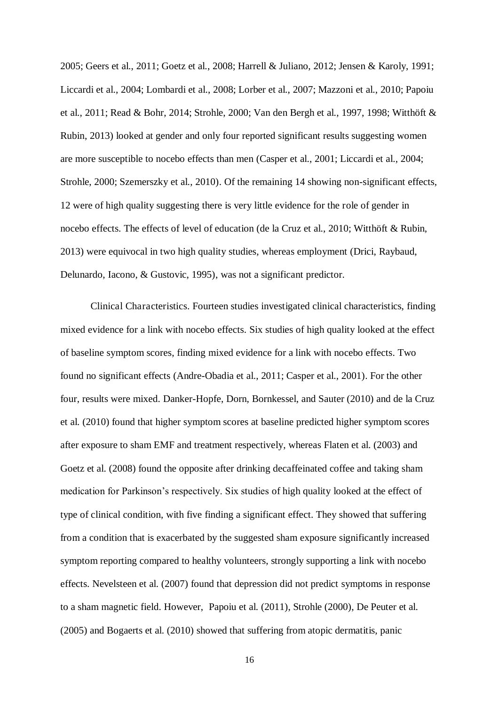2005; Geers et al., 2011; Goetz et al., 2008; Harrell & Juliano, 2012; Jensen & Karoly, 1991; Liccardi et al., 2004; Lombardi et al., 2008; Lorber et al., 2007; Mazzoni et al., 2010; Papoiu et al., 2011; Read & Bohr, 2014; Strohle, 2000; Van den Bergh et al., 1997, 1998; Witthöft & Rubin, 2013) looked at gender and only four reported significant results suggesting women are more susceptible to nocebo effects than men (Casper et al., 2001; Liccardi et al., 2004; Strohle, 2000; Szemerszky et al., 2010). Of the remaining 14 showing non-significant effects, 12 were of high quality suggesting there is very little evidence for the role of gender in nocebo effects. The effects of level of education (de la Cruz et al., 2010; Witthöft & Rubin, 2013) were equivocal in two high quality studies, whereas employment (Drici, Raybaud, Delunardo, Iacono, & Gustovic, 1995), was not a significant predictor.

Clinical Characteristics. Fourteen studies investigated clinical characteristics, finding mixed evidence for a link with nocebo effects. Six studies of high quality looked at the effect of baseline symptom scores, finding mixed evidence for a link with nocebo effects. Two found no significant effects (Andre-Obadia et al., 2011; Casper et al., 2001). For the other four, results were mixed. Danker-Hopfe, Dorn, Bornkessel, and Sauter (2010) and de la Cruz et al. (2010) found that higher symptom scores at baseline predicted higher symptom scores after exposure to sham EMF and treatment respectively, whereas Flaten et al. (2003) and Goetz et al. (2008) found the opposite after drinking decaffeinated coffee and taking sham medication for Parkinson's respectively. Six studies of high quality looked at the effect of type of clinical condition, with five finding a significant effect. They showed that suffering from a condition that is exacerbated by the suggested sham exposure significantly increased symptom reporting compared to healthy volunteers, strongly supporting a link with nocebo effects. Nevelsteen et al. (2007) found that depression did not predict symptoms in response to a sham magnetic field. However, Papoiu et al. (2011), Strohle (2000), De Peuter et al. (2005) and Bogaerts et al. (2010) showed that suffering from atopic dermatitis, panic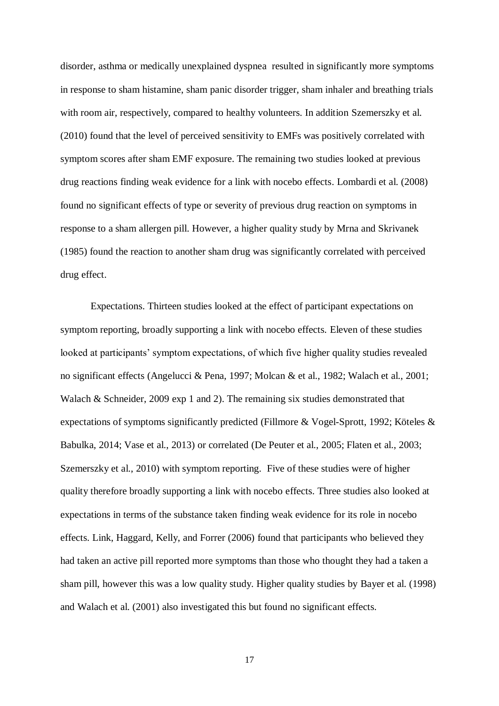disorder, asthma or medically unexplained dyspnea resulted in significantly more symptoms in response to sham histamine, sham panic disorder trigger, sham inhaler and breathing trials with room air, respectively, compared to healthy volunteers. In addition Szemerszky et al. (2010) found that the level of perceived sensitivity to EMFs was positively correlated with symptom scores after sham EMF exposure. The remaining two studies looked at previous drug reactions finding weak evidence for a link with nocebo effects. Lombardi et al. (2008) found no significant effects of type or severity of previous drug reaction on symptoms in response to a sham allergen pill. However, a higher quality study by Mrna and Skrivanek (1985) found the reaction to another sham drug was significantly correlated with perceived drug effect.

Expectations. Thirteen studies looked at the effect of participant expectations on symptom reporting, broadly supporting a link with nocebo effects. Eleven of these studies looked at participants' symptom expectations, of which five higher quality studies revealed no significant effects (Angelucci & Pena, 1997; Molcan & et al., 1982; Walach et al., 2001; Walach & Schneider, 2009 exp 1 and 2). The remaining six studies demonstrated that expectations of symptoms significantly predicted (Fillmore & Vogel-Sprott, 1992; Köteles & Babulka, 2014; Vase et al., 2013) or correlated (De Peuter et al., 2005; Flaten et al., 2003; Szemerszky et al., 2010) with symptom reporting. Five of these studies were of higher quality therefore broadly supporting a link with nocebo effects. Three studies also looked at expectations in terms of the substance taken finding weak evidence for its role in nocebo effects. Link, Haggard, Kelly, and Forrer (2006) found that participants who believed they had taken an active pill reported more symptoms than those who thought they had a taken a sham pill, however this was a low quality study. Higher quality studies by Bayer et al. (1998) and Walach et al. (2001) also investigated this but found no significant effects.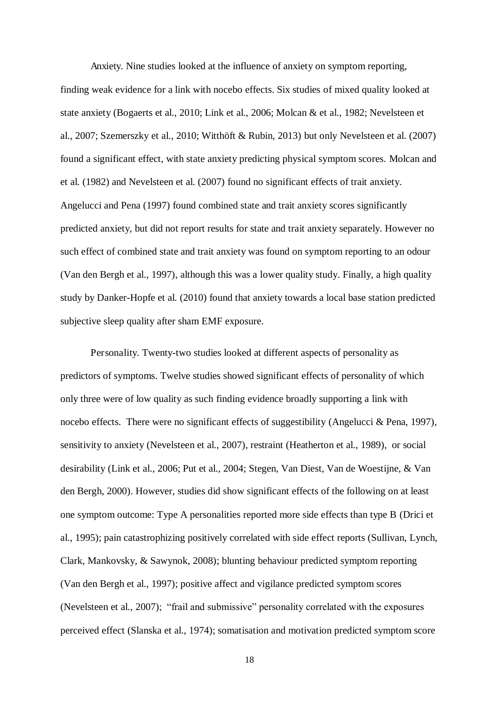Anxiety. Nine studies looked at the influence of anxiety on symptom reporting, finding weak evidence for a link with nocebo effects. Six studies of mixed quality looked at state anxiety (Bogaerts et al., 2010; Link et al., 2006; Molcan & et al., 1982; Nevelsteen et al., 2007; Szemerszky et al., 2010; Witthöft & Rubin, 2013) but only Nevelsteen et al. (2007) found a significant effect, with state anxiety predicting physical symptom scores. Molcan and et al. (1982) and Nevelsteen et al. (2007) found no significant effects of trait anxiety. Angelucci and Pena (1997) found combined state and trait anxiety scores significantly predicted anxiety, but did not report results for state and trait anxiety separately. However no such effect of combined state and trait anxiety was found on symptom reporting to an odour (Van den Bergh et al., 1997), although this was a lower quality study. Finally, a high quality study by Danker-Hopfe et al. (2010) found that anxiety towards a local base station predicted subjective sleep quality after sham EMF exposure.

Personality. Twenty-two studies looked at different aspects of personality as predictors of symptoms. Twelve studies showed significant effects of personality of which only three were of low quality as such finding evidence broadly supporting a link with nocebo effects. There were no significant effects of suggestibility (Angelucci & Pena, 1997), sensitivity to anxiety (Nevelsteen et al., 2007), restraint (Heatherton et al., 1989), or social desirability (Link et al., 2006; Put et al., 2004; Stegen, Van Diest, Van de Woestijne, & Van den Bergh, 2000). However, studies did show significant effects of the following on at least one symptom outcome: Type A personalities reported more side effects than type B (Drici et al., 1995); pain catastrophizing positively correlated with side effect reports (Sullivan, Lynch, Clark, Mankovsky, & Sawynok, 2008); blunting behaviour predicted symptom reporting (Van den Bergh et al., 1997); positive affect and vigilance predicted symptom scores (Nevelsteen et al., 2007); "frail and submissive" personality correlated with the exposures perceived effect (Slanska et al., 1974); somatisation and motivation predicted symptom score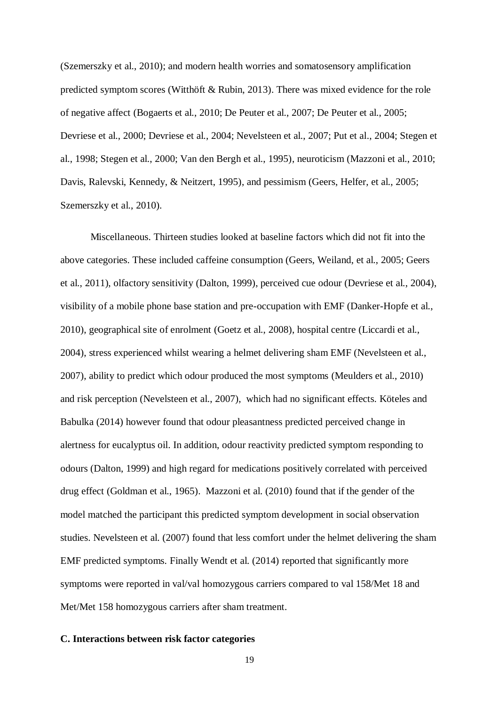(Szemerszky et al., 2010); and modern health worries and somatosensory amplification predicted symptom scores (Witthöft & Rubin, 2013). There was mixed evidence for the role of negative affect (Bogaerts et al., 2010; De Peuter et al., 2007; De Peuter et al., 2005; Devriese et al., 2000; Devriese et al., 2004; Nevelsteen et al., 2007; Put et al., 2004; Stegen et al., 1998; Stegen et al., 2000; Van den Bergh et al., 1995), neuroticism (Mazzoni et al., 2010; Davis, Ralevski, Kennedy, & Neitzert, 1995), and pessimism (Geers, Helfer, et al., 2005; Szemerszky et al., 2010).

Miscellaneous. Thirteen studies looked at baseline factors which did not fit into the above categories. These included caffeine consumption (Geers, Weiland, et al., 2005; Geers et al., 2011), olfactory sensitivity (Dalton, 1999), perceived cue odour (Devriese et al., 2004), visibility of a mobile phone base station and pre-occupation with EMF (Danker-Hopfe et al., 2010), geographical site of enrolment (Goetz et al., 2008), hospital centre (Liccardi et al., 2004), stress experienced whilst wearing a helmet delivering sham EMF (Nevelsteen et al., 2007), ability to predict which odour produced the most symptoms (Meulders et al., 2010) and risk perception (Nevelsteen et al., 2007), which had no significant effects. Köteles and Babulka (2014) however found that odour pleasantness predicted perceived change in alertness for eucalyptus oil. In addition, odour reactivity predicted symptom responding to odours (Dalton, 1999) and high regard for medications positively correlated with perceived drug effect (Goldman et al., 1965). Mazzoni et al. (2010) found that if the gender of the model matched the participant this predicted symptom development in social observation studies. Nevelsteen et al. (2007) found that less comfort under the helmet delivering the sham EMF predicted symptoms. Finally Wendt et al. (2014) reported that significantly more symptoms were reported in val/val homozygous carriers compared to val 158/Met 18 and Met/Met 158 homozygous carriers after sham treatment.

## **C. Interactions between risk factor categories**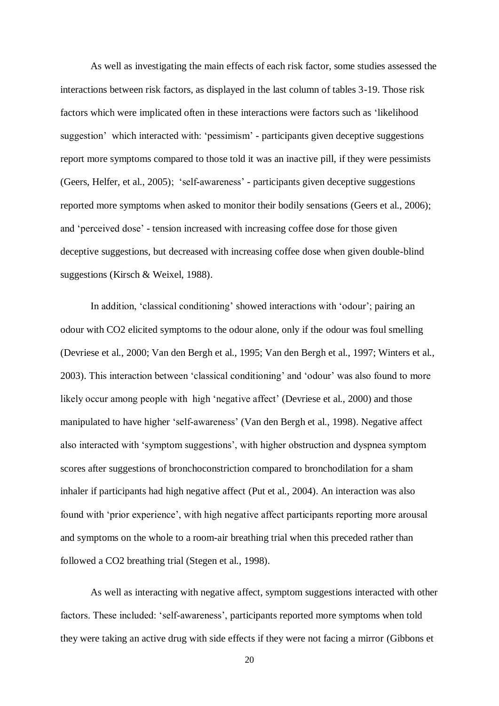As well as investigating the main effects of each risk factor, some studies assessed the interactions between risk factors, as displayed in the last column of tables 3-19. Those risk factors which were implicated often in these interactions were factors such as 'likelihood suggestion' which interacted with: 'pessimism' - participants given deceptive suggestions report more symptoms compared to those told it was an inactive pill, if they were pessimists (Geers, Helfer, et al., 2005); 'self-awareness' - participants given deceptive suggestions reported more symptoms when asked to monitor their bodily sensations (Geers et al., 2006); and 'perceived dose' - tension increased with increasing coffee dose for those given deceptive suggestions, but decreased with increasing coffee dose when given double-blind suggestions (Kirsch & Weixel, 1988).

In addition, 'classical conditioning' showed interactions with 'odour'; pairing an odour with CO2 elicited symptoms to the odour alone, only if the odour was foul smelling (Devriese et al., 2000; Van den Bergh et al., 1995; Van den Bergh et al., 1997; Winters et al., 2003). This interaction between 'classical conditioning' and 'odour' was also found to more likely occur among people with high 'negative affect' (Devriese et al., 2000) and those manipulated to have higher 'self-awareness' (Van den Bergh et al., 1998). Negative affect also interacted with 'symptom suggestions', with higher obstruction and dyspnea symptom scores after suggestions of bronchoconstriction compared to bronchodilation for a sham inhaler if participants had high negative affect (Put et al., 2004). An interaction was also found with 'prior experience', with high negative affect participants reporting more arousal and symptoms on the whole to a room-air breathing trial when this preceded rather than followed a CO2 breathing trial (Stegen et al., 1998).

As well as interacting with negative affect, symptom suggestions interacted with other factors. These included: 'self-awareness', participants reported more symptoms when told they were taking an active drug with side effects if they were not facing a mirror (Gibbons et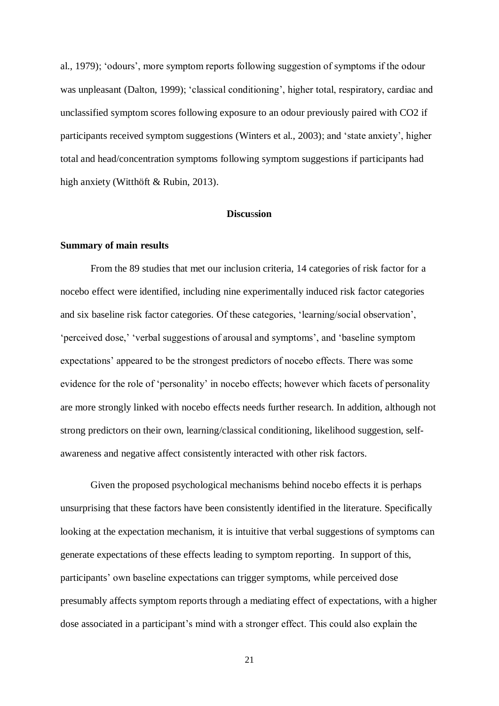al., 1979); 'odours', more symptom reports following suggestion of symptoms if the odour was unpleasant (Dalton, 1999); 'classical conditioning', higher total, respiratory, cardiac and unclassified symptom scores following exposure to an odour previously paired with CO2 if participants received symptom suggestions (Winters et al., 2003); and 'state anxiety', higher total and head/concentration symptoms following symptom suggestions if participants had high anxiety (Witthöft & Rubin, 2013).

#### **Discu**s**sion**

### **Summary of main results**

From the 89 studies that met our inclusion criteria, 14 categories of risk factor for a nocebo effect were identified, including nine experimentally induced risk factor categories and six baseline risk factor categories. Of these categories, 'learning/social observation', 'perceived dose,' 'verbal suggestions of arousal and symptoms', and 'baseline symptom expectations' appeared to be the strongest predictors of nocebo effects. There was some evidence for the role of 'personality' in nocebo effects; however which facets of personality are more strongly linked with nocebo effects needs further research. In addition, although not strong predictors on their own, learning/classical conditioning, likelihood suggestion, selfawareness and negative affect consistently interacted with other risk factors.

Given the proposed psychological mechanisms behind nocebo effects it is perhaps unsurprising that these factors have been consistently identified in the literature. Specifically looking at the expectation mechanism, it is intuitive that verbal suggestions of symptoms can generate expectations of these effects leading to symptom reporting. In support of this, participants' own baseline expectations can trigger symptoms, while perceived dose presumably affects symptom reports through a mediating effect of expectations, with a higher dose associated in a participant's mind with a stronger effect. This could also explain the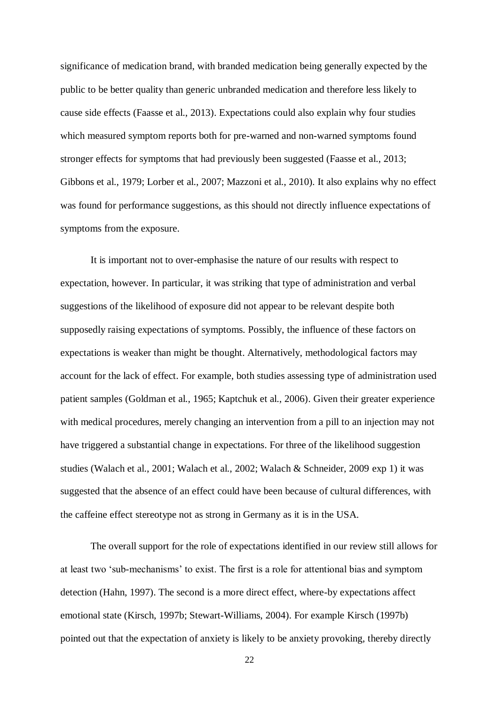significance of medication brand, with branded medication being generally expected by the public to be better quality than generic unbranded medication and therefore less likely to cause side effects (Faasse et al., 2013). Expectations could also explain why four studies which measured symptom reports both for pre-warned and non-warned symptoms found stronger effects for symptoms that had previously been suggested (Faasse et al., 2013; Gibbons et al., 1979; Lorber et al., 2007; Mazzoni et al., 2010). It also explains why no effect was found for performance suggestions, as this should not directly influence expectations of symptoms from the exposure.

It is important not to over-emphasise the nature of our results with respect to expectation, however. In particular, it was striking that type of administration and verbal suggestions of the likelihood of exposure did not appear to be relevant despite both supposedly raising expectations of symptoms. Possibly, the influence of these factors on expectations is weaker than might be thought. Alternatively, methodological factors may account for the lack of effect. For example, both studies assessing type of administration used patient samples (Goldman et al., 1965; Kaptchuk et al., 2006). Given their greater experience with medical procedures, merely changing an intervention from a pill to an injection may not have triggered a substantial change in expectations. For three of the likelihood suggestion studies (Walach et al., 2001; Walach et al., 2002; Walach & Schneider, 2009 exp 1) it was suggested that the absence of an effect could have been because of cultural differences, with the caffeine effect stereotype not as strong in Germany as it is in the USA.

The overall support for the role of expectations identified in our review still allows for at least two 'sub-mechanisms' to exist. The first is a role for attentional bias and symptom detection (Hahn, 1997). The second is a more direct effect, where-by expectations affect emotional state (Kirsch, 1997b; Stewart-Williams, 2004). For example Kirsch (1997b) pointed out that the expectation of anxiety is likely to be anxiety provoking, thereby directly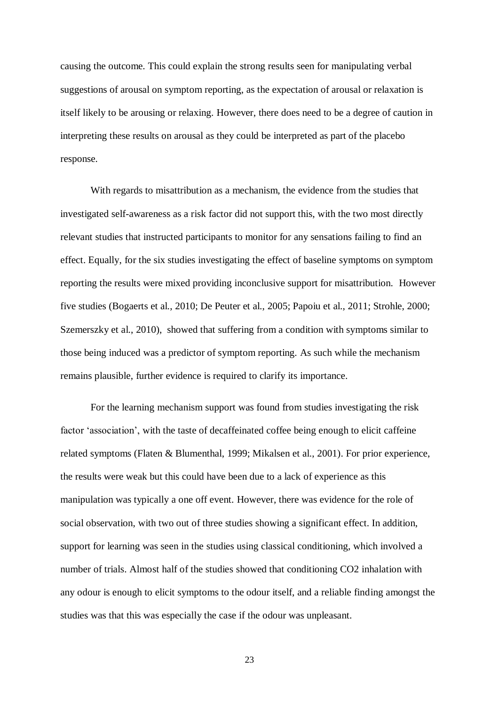causing the outcome. This could explain the strong results seen for manipulating verbal suggestions of arousal on symptom reporting, as the expectation of arousal or relaxation is itself likely to be arousing or relaxing. However, there does need to be a degree of caution in interpreting these results on arousal as they could be interpreted as part of the placebo response.

With regards to misattribution as a mechanism, the evidence from the studies that investigated self-awareness as a risk factor did not support this, with the two most directly relevant studies that instructed participants to monitor for any sensations failing to find an effect. Equally, for the six studies investigating the effect of baseline symptoms on symptom reporting the results were mixed providing inconclusive support for misattribution. However five studies (Bogaerts et al., 2010; De Peuter et al., 2005; Papoiu et al., 2011; Strohle, 2000; Szemerszky et al., 2010), showed that suffering from a condition with symptoms similar to those being induced was a predictor of symptom reporting. As such while the mechanism remains plausible, further evidence is required to clarify its importance.

For the learning mechanism support was found from studies investigating the risk factor 'association', with the taste of decaffeinated coffee being enough to elicit caffeine related symptoms (Flaten & Blumenthal, 1999; Mikalsen et al., 2001). For prior experience, the results were weak but this could have been due to a lack of experience as this manipulation was typically a one off event. However, there was evidence for the role of social observation, with two out of three studies showing a significant effect. In addition, support for learning was seen in the studies using classical conditioning, which involved a number of trials. Almost half of the studies showed that conditioning CO2 inhalation with any odour is enough to elicit symptoms to the odour itself, and a reliable finding amongst the studies was that this was especially the case if the odour was unpleasant.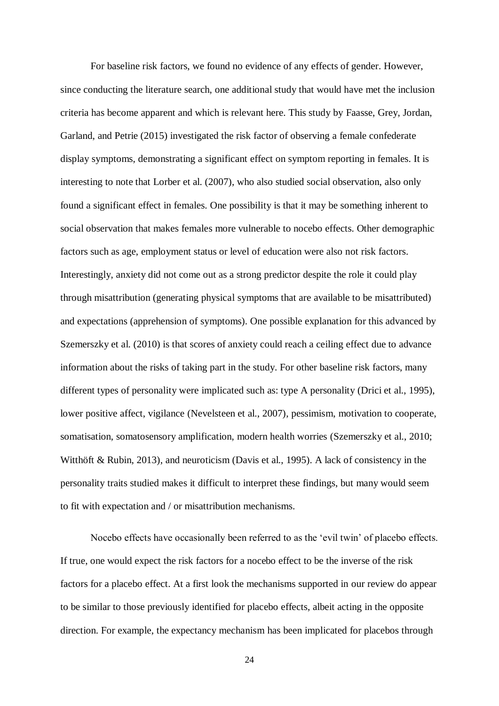For baseline risk factors, we found no evidence of any effects of gender. However, since conducting the literature search, one additional study that would have met the inclusion criteria has become apparent and which is relevant here. This study by Faasse, Grey, Jordan, Garland, and Petrie (2015) investigated the risk factor of observing a female confederate display symptoms, demonstrating a significant effect on symptom reporting in females. It is interesting to note that Lorber et al. (2007), who also studied social observation, also only found a significant effect in females. One possibility is that it may be something inherent to social observation that makes females more vulnerable to nocebo effects. Other demographic factors such as age, employment status or level of education were also not risk factors. Interestingly, anxiety did not come out as a strong predictor despite the role it could play through misattribution (generating physical symptoms that are available to be misattributed) and expectations (apprehension of symptoms). One possible explanation for this advanced by Szemerszky et al. (2010) is that scores of anxiety could reach a ceiling effect due to advance information about the risks of taking part in the study. For other baseline risk factors, many different types of personality were implicated such as: type A personality (Drici et al., 1995), lower positive affect, vigilance (Nevelsteen et al., 2007), pessimism, motivation to cooperate, somatisation, somatosensory amplification, modern health worries (Szemerszky et al., 2010; Witthöft & Rubin, 2013), and neuroticism (Davis et al., 1995). A lack of consistency in the personality traits studied makes it difficult to interpret these findings, but many would seem to fit with expectation and / or misattribution mechanisms.

Nocebo effects have occasionally been referred to as the 'evil twin' of placebo effects. If true, one would expect the risk factors for a nocebo effect to be the inverse of the risk factors for a placebo effect. At a first look the mechanisms supported in our review do appear to be similar to those previously identified for placebo effects, albeit acting in the opposite direction. For example, the expectancy mechanism has been implicated for placebos through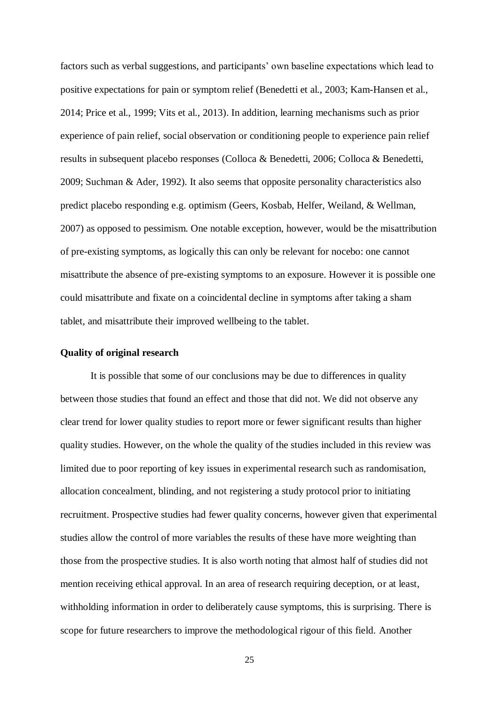factors such as verbal suggestions, and participants' own baseline expectations which lead to positive expectations for pain or symptom relief (Benedetti et al., 2003; Kam-Hansen et al., 2014; Price et al., 1999; Vits et al., 2013). In addition, learning mechanisms such as prior experience of pain relief, social observation or conditioning people to experience pain relief results in subsequent placebo responses (Colloca & Benedetti, 2006; Colloca & Benedetti, 2009; Suchman & Ader, 1992). It also seems that opposite personality characteristics also predict placebo responding e.g. optimism (Geers, Kosbab, Helfer, Weiland, & Wellman, 2007) as opposed to pessimism. One notable exception, however, would be the misattribution of pre-existing symptoms, as logically this can only be relevant for nocebo: one cannot misattribute the absence of pre-existing symptoms to an exposure. However it is possible one could misattribute and fixate on a coincidental decline in symptoms after taking a sham tablet, and misattribute their improved wellbeing to the tablet.

#### **Quality of original research**

It is possible that some of our conclusions may be due to differences in quality between those studies that found an effect and those that did not. We did not observe any clear trend for lower quality studies to report more or fewer significant results than higher quality studies. However, on the whole the quality of the studies included in this review was limited due to poor reporting of key issues in experimental research such as randomisation, allocation concealment, blinding, and not registering a study protocol prior to initiating recruitment. Prospective studies had fewer quality concerns, however given that experimental studies allow the control of more variables the results of these have more weighting than those from the prospective studies. It is also worth noting that almost half of studies did not mention receiving ethical approval. In an area of research requiring deception, or at least, withholding information in order to deliberately cause symptoms, this is surprising. There is scope for future researchers to improve the methodological rigour of this field. Another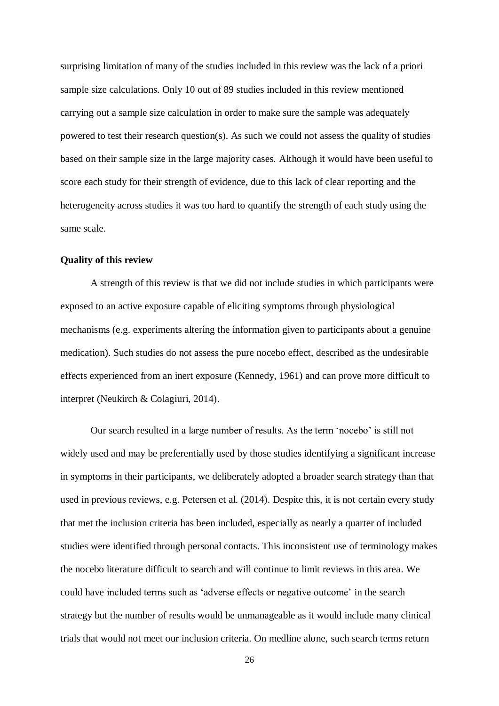surprising limitation of many of the studies included in this review was the lack of a priori sample size calculations. Only 10 out of 89 studies included in this review mentioned carrying out a sample size calculation in order to make sure the sample was adequately powered to test their research question(s). As such we could not assess the quality of studies based on their sample size in the large majority cases. Although it would have been useful to score each study for their strength of evidence, due to this lack of clear reporting and the heterogeneity across studies it was too hard to quantify the strength of each study using the same scale.

#### **Quality of this review**

A strength of this review is that we did not include studies in which participants were exposed to an active exposure capable of eliciting symptoms through physiological mechanisms (e.g. experiments altering the information given to participants about a genuine medication). Such studies do not assess the pure nocebo effect, described as the undesirable effects experienced from an inert exposure (Kennedy, 1961) and can prove more difficult to interpret (Neukirch & Colagiuri, 2014).

Our search resulted in a large number of results. As the term 'nocebo' is still not widely used and may be preferentially used by those studies identifying a significant increase in symptoms in their participants, we deliberately adopted a broader search strategy than that used in previous reviews, e.g. Petersen et al. (2014). Despite this, it is not certain every study that met the inclusion criteria has been included, especially as nearly a quarter of included studies were identified through personal contacts. This inconsistent use of terminology makes the nocebo literature difficult to search and will continue to limit reviews in this area. We could have included terms such as 'adverse effects or negative outcome' in the search strategy but the number of results would be unmanageable as it would include many clinical trials that would not meet our inclusion criteria. On medline alone, such search terms return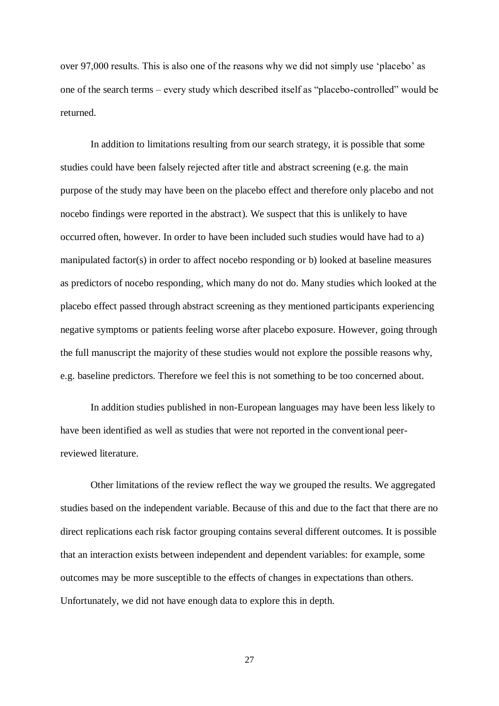over 97,000 results. This is also one of the reasons why we did not simply use 'placebo' as one of the search terms – every study which described itself as "placebo-controlled" would be returned.

In addition to limitations resulting from our search strategy, it is possible that some studies could have been falsely rejected after title and abstract screening (e.g. the main purpose of the study may have been on the placebo effect and therefore only placebo and not nocebo findings were reported in the abstract). We suspect that this is unlikely to have occurred often, however. In order to have been included such studies would have had to a) manipulated factor(s) in order to affect nocebo responding or b) looked at baseline measures as predictors of nocebo responding, which many do not do. Many studies which looked at the placebo effect passed through abstract screening as they mentioned participants experiencing negative symptoms or patients feeling worse after placebo exposure. However, going through the full manuscript the majority of these studies would not explore the possible reasons why, e.g. baseline predictors. Therefore we feel this is not something to be too concerned about.

In addition studies published in non-European languages may have been less likely to have been identified as well as studies that were not reported in the conventional peerreviewed literature.

Other limitations of the review reflect the way we grouped the results. We aggregated studies based on the independent variable. Because of this and due to the fact that there are no direct replications each risk factor grouping contains several different outcomes. It is possible that an interaction exists between independent and dependent variables: for example, some outcomes may be more susceptible to the effects of changes in expectations than others. Unfortunately, we did not have enough data to explore this in depth.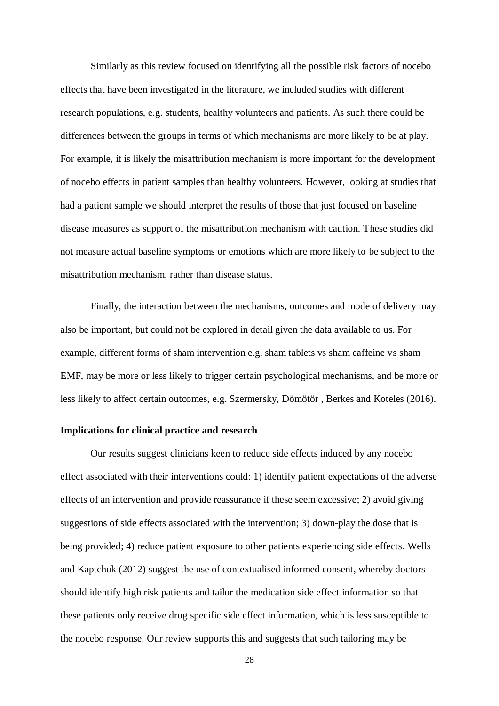Similarly as this review focused on identifying all the possible risk factors of nocebo effects that have been investigated in the literature, we included studies with different research populations, e.g. students, healthy volunteers and patients. As such there could be differences between the groups in terms of which mechanisms are more likely to be at play. For example, it is likely the misattribution mechanism is more important for the development of nocebo effects in patient samples than healthy volunteers. However, looking at studies that had a patient sample we should interpret the results of those that just focused on baseline disease measures as support of the misattribution mechanism with caution. These studies did not measure actual baseline symptoms or emotions which are more likely to be subject to the misattribution mechanism, rather than disease status.

Finally, the interaction between the mechanisms, outcomes and mode of delivery may also be important, but could not be explored in detail given the data available to us. For example, different forms of sham intervention e.g. sham tablets vs sham caffeine vs sham EMF, may be more or less likely to trigger certain psychological mechanisms, and be more or less likely to affect certain outcomes, e.g. Szermersky, Dömötör , Berkes and Koteles (2016).

#### **Implications for clinical practice and research**

Our results suggest clinicians keen to reduce side effects induced by any nocebo effect associated with their interventions could: 1) identify patient expectations of the adverse effects of an intervention and provide reassurance if these seem excessive; 2) avoid giving suggestions of side effects associated with the intervention; 3) down-play the dose that is being provided; 4) reduce patient exposure to other patients experiencing side effects. Wells and Kaptchuk (2012) suggest the use of contextualised informed consent, whereby doctors should identify high risk patients and tailor the medication side effect information so that these patients only receive drug specific side effect information, which is less susceptible to the nocebo response. Our review supports this and suggests that such tailoring may be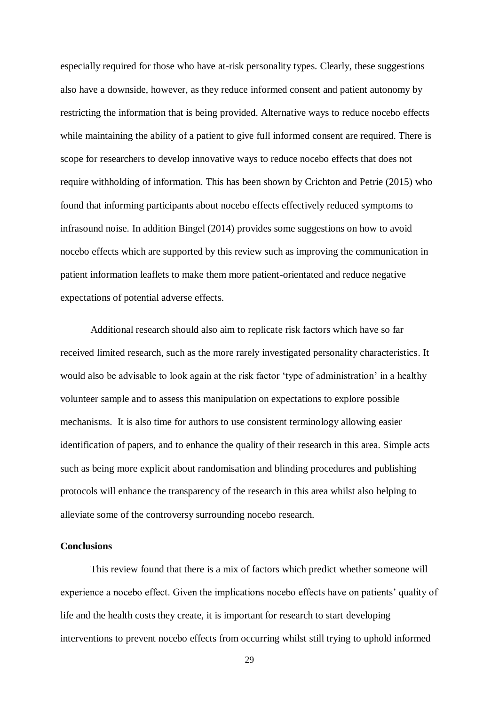especially required for those who have at-risk personality types. Clearly, these suggestions also have a downside, however, as they reduce informed consent and patient autonomy by restricting the information that is being provided. Alternative ways to reduce nocebo effects while maintaining the ability of a patient to give full informed consent are required. There is scope for researchers to develop innovative ways to reduce nocebo effects that does not require withholding of information. This has been shown by Crichton and Petrie (2015) who found that informing participants about nocebo effects effectively reduced symptoms to infrasound noise. In addition Bingel (2014) provides some suggestions on how to avoid nocebo effects which are supported by this review such as improving the communication in patient information leaflets to make them more patient-orientated and reduce negative expectations of potential adverse effects.

Additional research should also aim to replicate risk factors which have so far received limited research, such as the more rarely investigated personality characteristics. It would also be advisable to look again at the risk factor 'type of administration' in a healthy volunteer sample and to assess this manipulation on expectations to explore possible mechanisms. It is also time for authors to use consistent terminology allowing easier identification of papers, and to enhance the quality of their research in this area. Simple acts such as being more explicit about randomisation and blinding procedures and publishing protocols will enhance the transparency of the research in this area whilst also helping to alleviate some of the controversy surrounding nocebo research.

# **Conclusions**

This review found that there is a mix of factors which predict whether someone will experience a nocebo effect. Given the implications nocebo effects have on patients' quality of life and the health costs they create, it is important for research to start developing interventions to prevent nocebo effects from occurring whilst still trying to uphold informed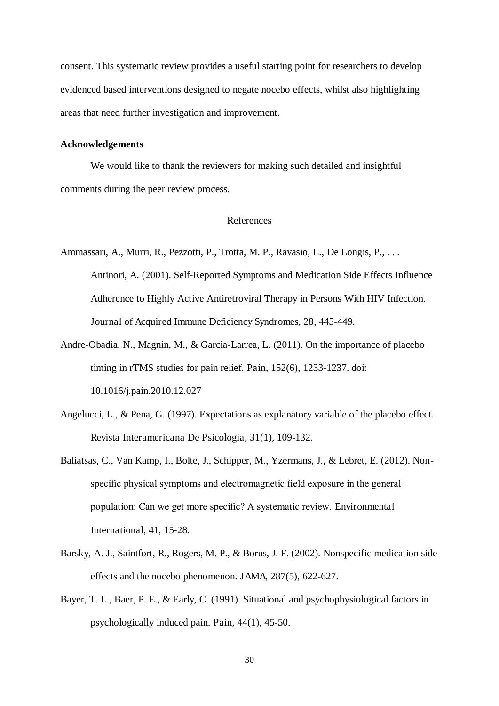consent. This systematic review provides a useful starting point for researchers to develop evidenced based interventions designed to negate nocebo effects, whilst also highlighting areas that need further investigation and improvement.

## **Acknowledgements**

We would like to thank the reviewers for making such detailed and insightful comments during the peer review process.

# References

- Ammassari, A., Murri, R., Pezzotti, P., Trotta, M. P., Ravasio, L., De Longis, P., . . . Antinori, A. (2001). Self-Reported Symptoms and Medication Side Effects Influence Adherence to Highly Active Antiretroviral Therapy in Persons With HIV Infection. Journal of Acquired Immune Deficiency Syndromes, 28, 445-449.
- Andre-Obadia, N., Magnin, M., & Garcia-Larrea, L. (2011). On the importance of placebo timing in rTMS studies for pain relief. Pain, 152(6), 1233-1237. doi: 10.1016/j.pain.2010.12.027
- Angelucci, L., & Pena, G. (1997). Expectations as explanatory variable of the placebo effect. Revista Interamericana De Psicologia, 31(1), 109-132.
- Baliatsas, C., Van Kamp, I., Bolte, J., Schipper, M., Yzermans, J., & Lebret, E. (2012). Nonspecific physical symptoms and electromagnetic field exposure in the general population: Can we get more specific? A systematic review. Environmental International, 41, 15-28.
- Barsky, A. J., Saintfort, R., Rogers, M. P., & Borus, J. F. (2002). Nonspecific medication side effects and the nocebo phenomenon. JAMA, 287(5), 622-627.
- Bayer, T. L., Baer, P. E., & Early, C. (1991). Situational and psychophysiological factors in psychologically induced pain. Pain, 44(1), 45-50.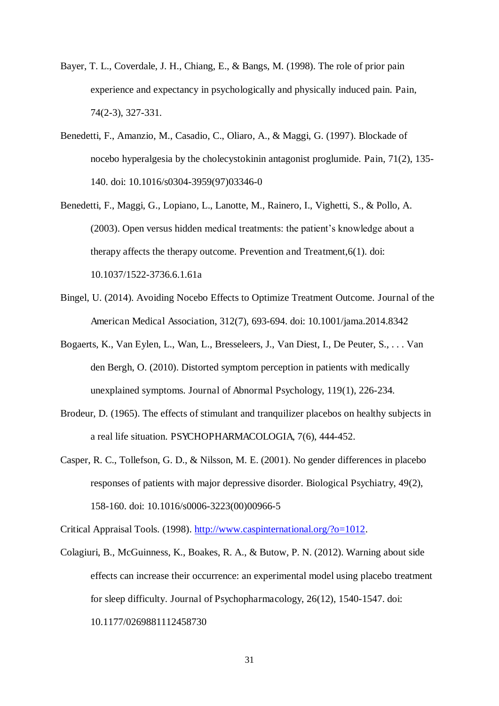- Bayer, T. L., Coverdale, J. H., Chiang, E., & Bangs, M. (1998). The role of prior pain experience and expectancy in psychologically and physically induced pain. Pain, 74(2-3), 327-331.
- Benedetti, F., Amanzio, M., Casadio, C., Oliaro, A., & Maggi, G. (1997). Blockade of nocebo hyperalgesia by the cholecystokinin antagonist proglumide. Pain, 71(2), 135- 140. doi: 10.1016/s0304-3959(97)03346-0
- Benedetti, F., Maggi, G., Lopiano, L., Lanotte, M., Rainero, I., Vighetti, S., & Pollo, A. (2003). Open versus hidden medical treatments: the patient's knowledge about a therapy affects the therapy outcome. Prevention and Treatment,6(1). doi: 10.1037/1522-3736.6.1.61a
- Bingel, U. (2014). Avoiding Nocebo Effects to Optimize Treatment Outcome. Journal of the American Medical Association, 312(7), 693-694. doi: 10.1001/jama.2014.8342
- Bogaerts, K., Van Eylen, L., Wan, L., Bresseleers, J., Van Diest, I., De Peuter, S., . . . Van den Bergh, O. (2010). Distorted symptom perception in patients with medically unexplained symptoms. Journal of Abnormal Psychology, 119(1), 226-234.
- Brodeur, D. (1965). The effects of stimulant and tranquilizer placebos on healthy subjects in a real life situation. PSYCHOPHARMACOLOGIA, 7(6), 444-452.
- Casper, R. C., Tollefson, G. D., & Nilsson, M. E. (2001). No gender differences in placebo responses of patients with major depressive disorder. Biological Psychiatry, 49(2), 158-160. doi: 10.1016/s0006-3223(00)00966-5

Critical Appraisal Tools. (1998). http://www.caspinternational.org/?o=1012.

Colagiuri, B., McGuinness, K., Boakes, R. A., & Butow, P. N. (2012). Warning about side effects can increase their occurrence: an experimental model using placebo treatment for sleep difficulty. Journal of Psychopharmacology, 26(12), 1540-1547. doi: 10.1177/0269881112458730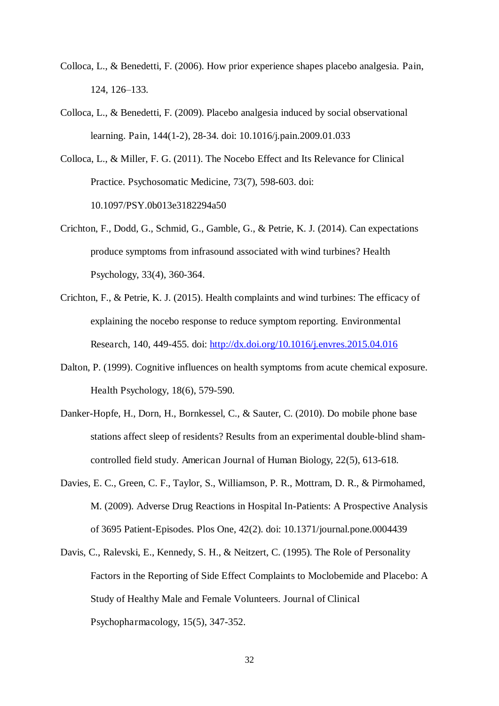- Colloca, L., & Benedetti, F. (2006). How prior experience shapes placebo analgesia. Pain, 124, 126–133.
- Colloca, L., & Benedetti, F. (2009). Placebo analgesia induced by social observational learning. Pain, 144(1-2), 28-34. doi: 10.1016/j.pain.2009.01.033
- Colloca, L., & Miller, F. G. (2011). The Nocebo Effect and Its Relevance for Clinical Practice. Psychosomatic Medicine, 73(7), 598-603. doi: 10.1097/PSY.0b013e3182294a50
- Crichton, F., Dodd, G., Schmid, G., Gamble, G., & Petrie, K. J. (2014). Can expectations produce symptoms from infrasound associated with wind turbines? Health Psychology, 33(4), 360-364.
- Crichton, F., & Petrie, K. J. (2015). Health complaints and wind turbines: The efficacy of explaining the nocebo response to reduce symptom reporting. Environmental Research, 140, 449-455. doi: http://dx.doi.org/10.1016/j.envres.2015.04.016
- Dalton, P. (1999). Cognitive influences on health symptoms from acute chemical exposure. Health Psychology, 18(6), 579-590.
- Danker-Hopfe, H., Dorn, H., Bornkessel, C., & Sauter, C. (2010). Do mobile phone base stations affect sleep of residents? Results from an experimental double-blind shamcontrolled field study. American Journal of Human Biology, 22(5), 613-618.
- Davies, E. C., Green, C. F., Taylor, S., Williamson, P. R., Mottram, D. R., & Pirmohamed, M. (2009). Adverse Drug Reactions in Hospital In-Patients: A Prospective Analysis of 3695 Patient-Episodes. Plos One, 42(2). doi: 10.1371/journal.pone.0004439
- Davis, C., Ralevski, E., Kennedy, S. H., & Neitzert, C. (1995). The Role of Personality Factors in the Reporting of Side Effect Complaints to Moclobemide and Placebo: A Study of Healthy Male and Female Volunteers. Journal of Clinical Psychopharmacology, 15(5), 347-352.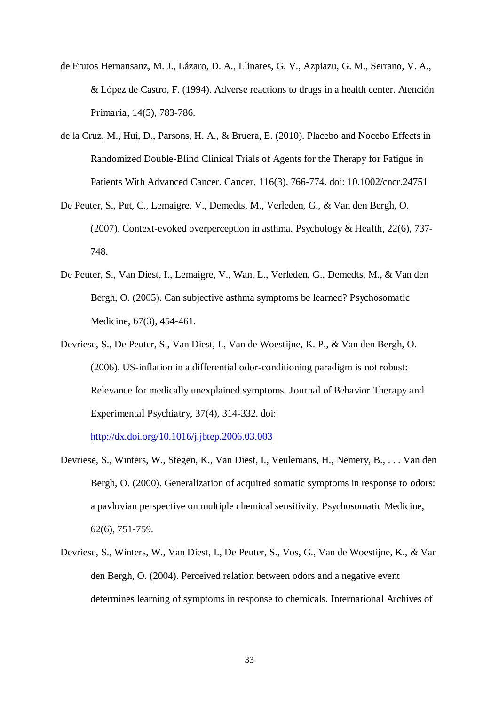- de Frutos Hernansanz, M. J., Lázaro, D. A., Llinares, G. V., Azpiazu, G. M., Serrano, V. A., & López de Castro, F. (1994). Adverse reactions to drugs in a health center. Atención Primaria, 14(5), 783-786.
- de la Cruz, M., Hui, D., Parsons, H. A., & Bruera, E. (2010). Placebo and Nocebo Effects in Randomized Double-Blind Clinical Trials of Agents for the Therapy for Fatigue in Patients With Advanced Cancer. Cancer, 116(3), 766-774. doi: 10.1002/cncr.24751
- De Peuter, S., Put, C., Lemaigre, V., Demedts, M., Verleden, G., & Van den Bergh, O. (2007). Context-evoked overperception in asthma. Psychology & Health, 22(6), 737- 748.
- De Peuter, S., Van Diest, I., Lemaigre, V., Wan, L., Verleden, G., Demedts, M., & Van den Bergh, O. (2005). Can subjective asthma symptoms be learned? Psychosomatic Medicine, 67(3), 454-461.
- Devriese, S., De Peuter, S., Van Diest, I., Van de Woestijne, K. P., & Van den Bergh, O. (2006). US-inflation in a differential odor-conditioning paradigm is not robust: Relevance for medically unexplained symptoms. Journal of Behavior Therapy and Experimental Psychiatry, 37(4), 314-332. doi:

http://dx.doi.org/10.1016/j.jbtep.2006.03.003

- Devriese, S., Winters, W., Stegen, K., Van Diest, I., Veulemans, H., Nemery, B., . . . Van den Bergh, O. (2000). Generalization of acquired somatic symptoms in response to odors: a pavlovian perspective on multiple chemical sensitivity. Psychosomatic Medicine, 62(6), 751-759.
- Devriese, S., Winters, W., Van Diest, I., De Peuter, S., Vos, G., Van de Woestijne, K., & Van den Bergh, O. (2004). Perceived relation between odors and a negative event determines learning of symptoms in response to chemicals. International Archives of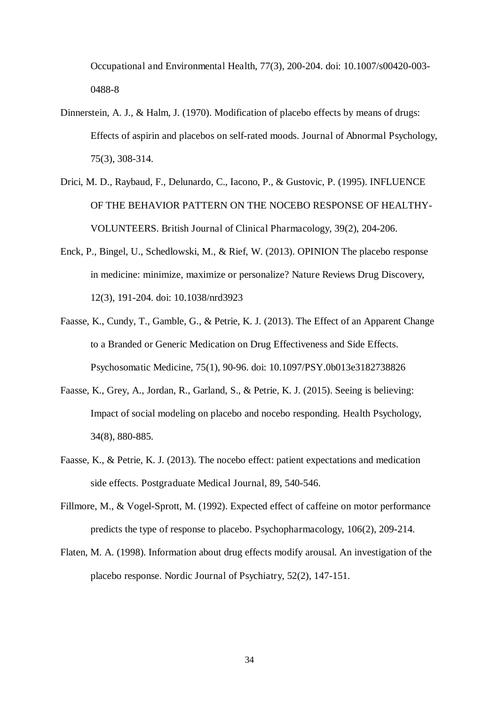Occupational and Environmental Health, 77(3), 200-204. doi: 10.1007/s00420-003- 0488-8

- Dinnerstein, A. J., & Halm, J. (1970). Modification of placebo effects by means of drugs: Effects of aspirin and placebos on self-rated moods. Journal of Abnormal Psychology, 75(3), 308-314.
- Drici, M. D., Raybaud, F., Delunardo, C., Iacono, P., & Gustovic, P. (1995). INFLUENCE OF THE BEHAVIOR PATTERN ON THE NOCEBO RESPONSE OF HEALTHY-VOLUNTEERS. British Journal of Clinical Pharmacology, 39(2), 204-206.
- Enck, P., Bingel, U., Schedlowski, M., & Rief, W. (2013). OPINION The placebo response in medicine: minimize, maximize or personalize? Nature Reviews Drug Discovery, 12(3), 191-204. doi: 10.1038/nrd3923
- Faasse, K., Cundy, T., Gamble, G., & Petrie, K. J. (2013). The Effect of an Apparent Change to a Branded or Generic Medication on Drug Effectiveness and Side Effects. Psychosomatic Medicine, 75(1), 90-96. doi: 10.1097/PSY.0b013e3182738826
- Faasse, K., Grey, A., Jordan, R., Garland, S., & Petrie, K. J. (2015). Seeing is believing: Impact of social modeling on placebo and nocebo responding. Health Psychology, 34(8), 880-885.
- Faasse, K., & Petrie, K. J. (2013). The nocebo effect: patient expectations and medication side effects. Postgraduate Medical Journal, 89, 540-546.
- Fillmore, M., & Vogel-Sprott, M. (1992). Expected effect of caffeine on motor performance predicts the type of response to placebo. Psychopharmacology, 106(2), 209-214.
- Flaten, M. A. (1998). Information about drug effects modify arousal. An investigation of the placebo response. Nordic Journal of Psychiatry, 52(2), 147-151.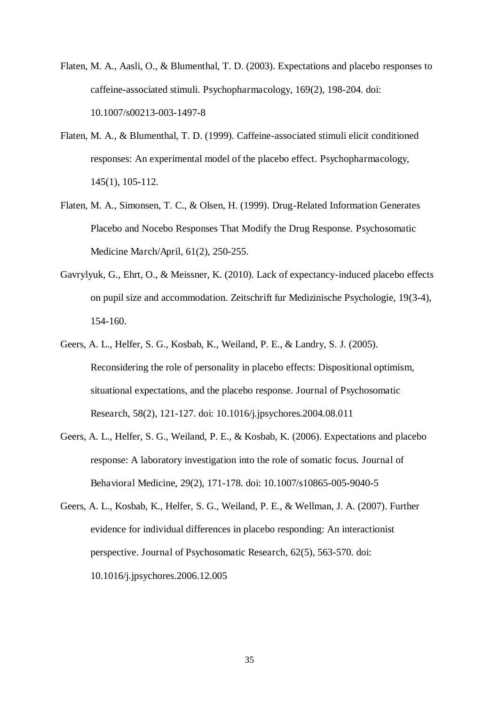- Flaten, M. A., Aasli, O., & Blumenthal, T. D. (2003). Expectations and placebo responses to caffeine-associated stimuli. Psychopharmacology, 169(2), 198-204. doi: 10.1007/s00213-003-1497-8
- Flaten, M. A., & Blumenthal, T. D. (1999). Caffeine-associated stimuli elicit conditioned responses: An experimental model of the placebo effect. Psychopharmacology, 145(1), 105-112.
- Flaten, M. A., Simonsen, T. C., & Olsen, H. (1999). Drug-Related Information Generates Placebo and Nocebo Responses That Modify the Drug Response. Psychosomatic Medicine March/April, 61(2), 250-255.
- Gavrylyuk, G., Ehrt, O., & Meissner, K. (2010). Lack of expectancy-induced placebo effects on pupil size and accommodation. Zeitschrift fur Medizinische Psychologie, 19(3-4), 154-160.
- Geers, A. L., Helfer, S. G., Kosbab, K., Weiland, P. E., & Landry, S. J. (2005). Reconsidering the role of personality in placebo effects: Dispositional optimism, situational expectations, and the placebo response. Journal of Psychosomatic Research, 58(2), 121-127. doi: 10.1016/j.jpsychores.2004.08.011
- Geers, A. L., Helfer, S. G., Weiland, P. E., & Kosbab, K. (2006). Expectations and placebo response: A laboratory investigation into the role of somatic focus. Journal of Behavioral Medicine, 29(2), 171-178. doi: 10.1007/s10865-005-9040-5
- Geers, A. L., Kosbab, K., Helfer, S. G., Weiland, P. E., & Wellman, J. A. (2007). Further evidence for individual differences in placebo responding: An interactionist perspective. Journal of Psychosomatic Research, 62(5), 563-570. doi: 10.1016/j.jpsychores.2006.12.005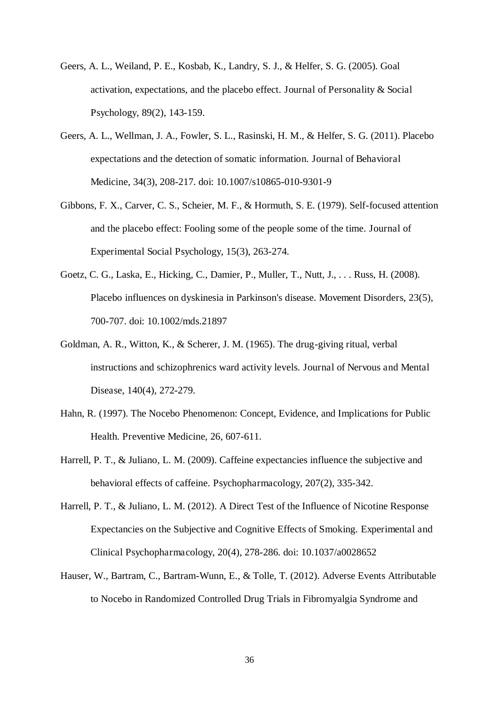- Geers, A. L., Weiland, P. E., Kosbab, K., Landry, S. J., & Helfer, S. G. (2005). Goal activation, expectations, and the placebo effect. Journal of Personality & Social Psychology, 89(2), 143-159.
- Geers, A. L., Wellman, J. A., Fowler, S. L., Rasinski, H. M., & Helfer, S. G. (2011). Placebo expectations and the detection of somatic information. Journal of Behavioral Medicine, 34(3), 208-217. doi: 10.1007/s10865-010-9301-9
- Gibbons, F. X., Carver, C. S., Scheier, M. F., & Hormuth, S. E. (1979). Self-focused attention and the placebo effect: Fooling some of the people some of the time. Journal of Experimental Social Psychology, 15(3), 263-274.
- Goetz, C. G., Laska, E., Hicking, C., Damier, P., Muller, T., Nutt, J., . . . Russ, H. (2008). Placebo influences on dyskinesia in Parkinson's disease. Movement Disorders, 23(5), 700-707. doi: 10.1002/mds.21897
- Goldman, A. R., Witton, K., & Scherer, J. M. (1965). The drug-giving ritual, verbal instructions and schizophrenics ward activity levels. Journal of Nervous and Mental Disease, 140(4), 272-279.
- Hahn, R. (1997). The Nocebo Phenomenon: Concept, Evidence, and Implications for Public Health. Preventive Medicine, 26, 607-611.
- Harrell, P. T., & Juliano, L. M. (2009). Caffeine expectancies influence the subjective and behavioral effects of caffeine. Psychopharmacology, 207(2), 335-342.
- Harrell, P. T., & Juliano, L. M. (2012). A Direct Test of the Influence of Nicotine Response Expectancies on the Subjective and Cognitive Effects of Smoking. Experimental and Clinical Psychopharmacology, 20(4), 278-286. doi: 10.1037/a0028652
- Hauser, W., Bartram, C., Bartram-Wunn, E., & Tolle, T. (2012). Adverse Events Attributable to Nocebo in Randomized Controlled Drug Trials in Fibromyalgia Syndrome and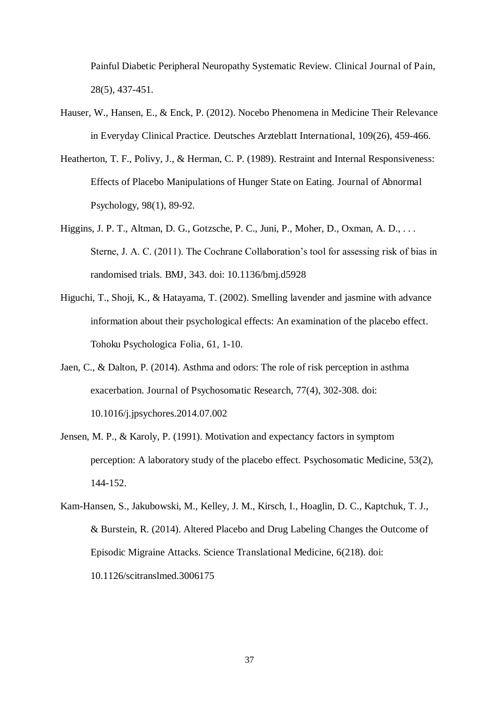Painful Diabetic Peripheral Neuropathy Systematic Review. Clinical Journal of Pain, 28(5), 437-451.

- Hauser, W., Hansen, E., & Enck, P. (2012). Nocebo Phenomena in Medicine Their Relevance in Everyday Clinical Practice. Deutsches Arzteblatt International, 109(26), 459-466.
- Heatherton, T. F., Polivy, J., & Herman, C. P. (1989). Restraint and Internal Responsiveness: Effects of Placebo Manipulations of Hunger State on Eating. Journal of Abnormal Psychology, 98(1), 89-92.
- Higgins, J. P. T., Altman, D. G., Gotzsche, P. C., Juni, P., Moher, D., Oxman, A. D., . . . Sterne, J. A. C. (2011). The Cochrane Collaboration's tool for assessing risk of bias in randomised trials. BMJ, 343. doi: 10.1136/bmj.d5928
- Higuchi, T., Shoji, K., & Hatayama, T. (2002). Smelling lavender and jasmine with advance information about their psychological effects: An examination of the placebo effect. Tohoku Psychologica Folia, 61, 1-10.
- Jaen, C., & Dalton, P. (2014). Asthma and odors: The role of risk perception in asthma exacerbation. Journal of Psychosomatic Research, 77(4), 302-308. doi: 10.1016/j.jpsychores.2014.07.002
- Jensen, M. P., & Karoly, P. (1991). Motivation and expectancy factors in symptom perception: A laboratory study of the placebo effect. Psychosomatic Medicine, 53(2), 144-152.
- Kam-Hansen, S., Jakubowski, M., Kelley, J. M., Kirsch, I., Hoaglin, D. C., Kaptchuk, T. J., & Burstein, R. (2014). Altered Placebo and Drug Labeling Changes the Outcome of Episodic Migraine Attacks. Science Translational Medicine, 6(218). doi: 10.1126/scitranslmed.3006175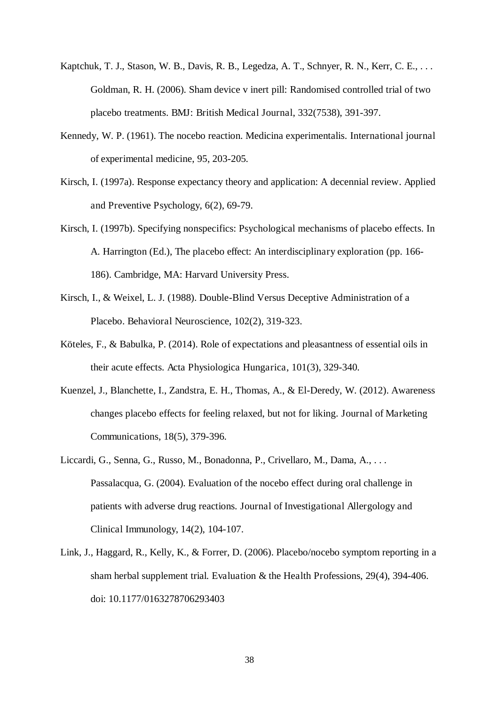- Kaptchuk, T. J., Stason, W. B., Davis, R. B., Legedza, A. T., Schnyer, R. N., Kerr, C. E., . . . Goldman, R. H. (2006). Sham device v inert pill: Randomised controlled trial of two placebo treatments. BMJ: British Medical Journal, 332(7538), 391-397.
- Kennedy, W. P. (1961). The nocebo reaction. Medicina experimentalis. International journal of experimental medicine, 95, 203-205.
- Kirsch, I. (1997a). Response expectancy theory and application: A decennial review. Applied and Preventive Psychology, 6(2), 69-79.
- Kirsch, I. (1997b). Specifying nonspecifics: Psychological mechanisms of placebo effects. In A. Harrington (Ed.), The placebo effect: An interdisciplinary exploration (pp. 166- 186). Cambridge, MA: Harvard University Press.
- Kirsch, I., & Weixel, L. J. (1988). Double-Blind Versus Deceptive Administration of a Placebo. Behavioral Neuroscience, 102(2), 319-323.
- Köteles, F., & Babulka, P. (2014). Role of expectations and pleasantness of essential oils in their acute effects. Acta Physiologica Hungarica, 101(3), 329-340.
- Kuenzel, J., Blanchette, I., Zandstra, E. H., Thomas, A., & El-Deredy, W. (2012). Awareness changes placebo effects for feeling relaxed, but not for liking. Journal of Marketing Communications, 18(5), 379-396.
- Liccardi, G., Senna, G., Russo, M., Bonadonna, P., Crivellaro, M., Dama, A., . . . Passalacqua, G. (2004). Evaluation of the nocebo effect during oral challenge in patients with adverse drug reactions. Journal of Investigational Allergology and Clinical Immunology, 14(2), 104-107.
- Link, J., Haggard, R., Kelly, K., & Forrer, D. (2006). Placebo/nocebo symptom reporting in a sham herbal supplement trial. Evaluation & the Health Professions, 29(4), 394-406. doi: 10.1177/0163278706293403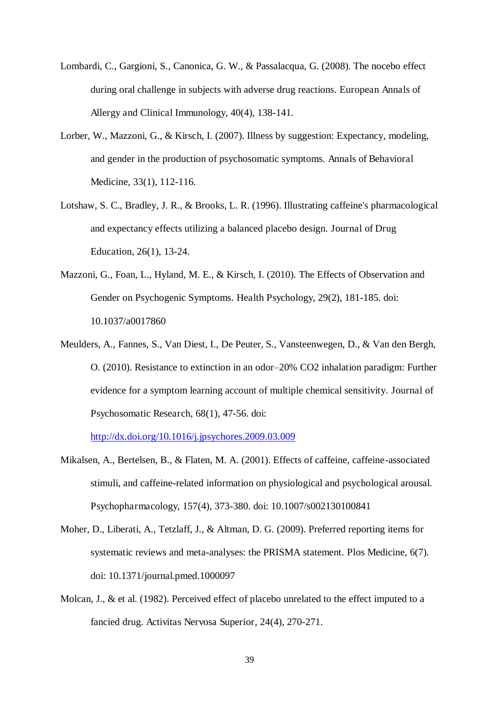- Lombardi, C., Gargioni, S., Canonica, G. W., & Passalacqua, G. (2008). The nocebo effect during oral challenge in subjects with adverse drug reactions. European Annals of Allergy and Clinical Immunology, 40(4), 138-141.
- Lorber, W., Mazzoni, G., & Kirsch, I. (2007). Illness by suggestion: Expectancy, modeling, and gender in the production of psychosomatic symptoms. Annals of Behavioral Medicine, 33(1), 112-116.
- Lotshaw, S. C., Bradley, J. R., & Brooks, L. R. (1996). Illustrating caffeine's pharmacological and expectancy effects utilizing a balanced placebo design. Journal of Drug Education, 26(1), 13-24.
- Mazzoni, G., Foan, L., Hyland, M. E., & Kirsch, I. (2010). The Effects of Observation and Gender on Psychogenic Symptoms. Health Psychology, 29(2), 181-185. doi: 10.1037/a0017860
- Meulders, A., Fannes, S., Van Diest, I., De Peuter, S., Vansteenwegen, D., & Van den Bergh, O. (2010). Resistance to extinction in an odor–20% CO2 inhalation paradigm: Further evidence for a symptom learning account of multiple chemical sensitivity. Journal of Psychosomatic Research, 68(1), 47-56. doi:

http://dx.doi.org/10.1016/j.jpsychores.2009.03.009

- Mikalsen, A., Bertelsen, B., & Flaten, M. A. (2001). Effects of caffeine, caffeine-associated stimuli, and caffeine-related information on physiological and psychological arousal. Psychopharmacology, 157(4), 373-380. doi: 10.1007/s002130100841
- Moher, D., Liberati, A., Tetzlaff, J., & Altman, D. G. (2009). Preferred reporting items for systematic reviews and meta-analyses: the PRISMA statement. Plos Medicine, 6(7). doi: 10.1371/journal.pmed.1000097
- Molcan, J., & et al. (1982). Perceived effect of placebo unrelated to the effect imputed to a fancied drug. Activitas Nervosa Superior, 24(4), 270-271.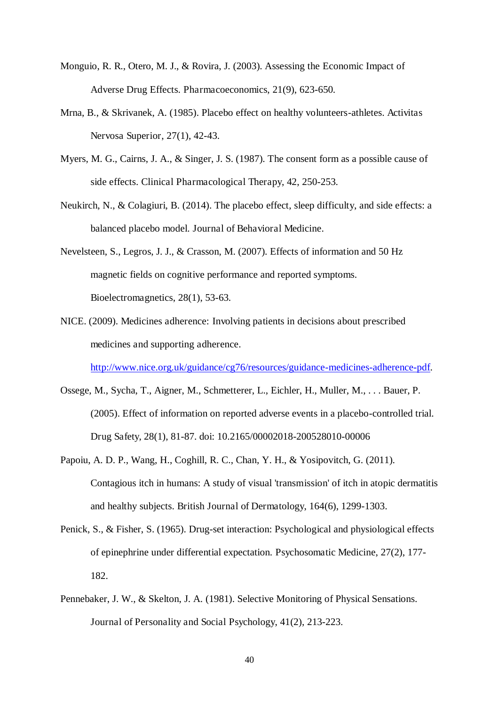- Monguio, R. R., Otero, M. J., & Rovira, J. (2003). Assessing the Economic Impact of Adverse Drug Effects. Pharmacoeconomics, 21(9), 623-650.
- Mrna, B., & Skrivanek, A. (1985). Placebo effect on healthy volunteers-athletes. Activitas Nervosa Superior, 27(1), 42-43.
- Myers, M. G., Cairns, J. A., & Singer, J. S. (1987). The consent form as a possible cause of side effects. Clinical Pharmacological Therapy, 42, 250-253.
- Neukirch, N., & Colagiuri, B. (2014). The placebo effect, sleep difficulty, and side effects: a balanced placebo model. Journal of Behavioral Medicine.
- Nevelsteen, S., Legros, J. J., & Crasson, M. (2007). Effects of information and 50 Hz magnetic fields on cognitive performance and reported symptoms. Bioelectromagnetics, 28(1), 53-63.
- NICE. (2009). Medicines adherence: Involving patients in decisions about prescribed medicines and supporting adherence.

http://www.nice.org.uk/guidance/cg76/resources/guidance-medicines-adherence-pdf.

- Ossege, M., Sycha, T., Aigner, M., Schmetterer, L., Eichler, H., Muller, M., . . . Bauer, P. (2005). Effect of information on reported adverse events in a placebo-controlled trial. Drug Safety, 28(1), 81-87. doi: 10.2165/00002018-200528010-00006
- Papoiu, A. D. P., Wang, H., Coghill, R. C., Chan, Y. H., & Yosipovitch, G. (2011). Contagious itch in humans: A study of visual 'transmission' of itch in atopic dermatitis and healthy subjects. British Journal of Dermatology, 164(6), 1299-1303.
- Penick, S., & Fisher, S. (1965). Drug-set interaction: Psychological and physiological effects of epinephrine under differential expectation. Psychosomatic Medicine, 27(2), 177- 182.
- Pennebaker, J. W., & Skelton, J. A. (1981). Selective Monitoring of Physical Sensations. Journal of Personality and Social Psychology, 41(2), 213-223.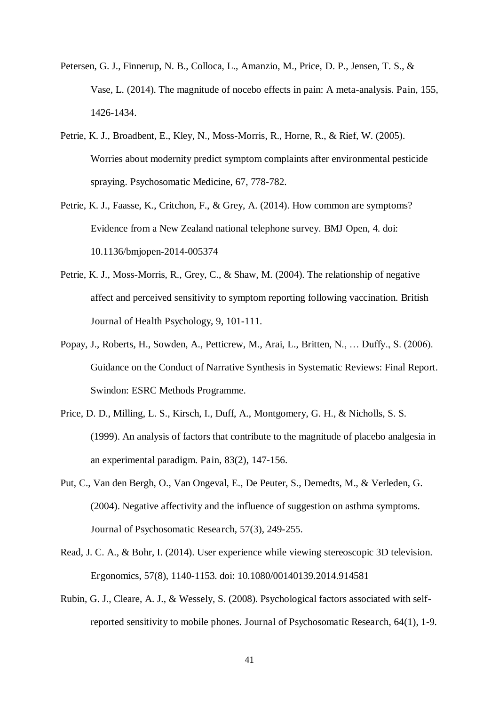- Petersen, G. J., Finnerup, N. B., Colloca, L., Amanzio, M., Price, D. P., Jensen, T. S., & Vase, L. (2014). The magnitude of nocebo effects in pain: A meta-analysis. Pain, 155, 1426-1434.
- Petrie, K. J., Broadbent, E., Kley, N., Moss-Morris, R., Horne, R., & Rief, W. (2005). Worries about modernity predict symptom complaints after environmental pesticide spraying. Psychosomatic Medicine, 67, 778-782.
- Petrie, K. J., Faasse, K., Critchon, F., & Grey, A. (2014). How common are symptoms? Evidence from a New Zealand national telephone survey. BMJ Open, 4. doi: 10.1136/bmjopen-2014-005374
- Petrie, K. J., Moss-Morris, R., Grey, C., & Shaw, M. (2004). The relationship of negative affect and perceived sensitivity to symptom reporting following vaccination. British Journal of Health Psychology, 9, 101-111.
- Popay, J., Roberts, H., Sowden, A., Petticrew, M., Arai, L., Britten, N., … Duffy., S. (2006). Guidance on the Conduct of Narrative Synthesis in Systematic Reviews: Final Report. Swindon: ESRC Methods Programme.
- Price, D. D., Milling, L. S., Kirsch, I., Duff, A., Montgomery, G. H., & Nicholls, S. S. (1999). An analysis of factors that contribute to the magnitude of placebo analgesia in an experimental paradigm. Pain, 83(2), 147-156.
- Put, C., Van den Bergh, O., Van Ongeval, E., De Peuter, S., Demedts, M., & Verleden, G. (2004). Negative affectivity and the influence of suggestion on asthma symptoms. Journal of Psychosomatic Research, 57(3), 249-255.
- Read, J. C. A., & Bohr, I. (2014). User experience while viewing stereoscopic 3D television. Ergonomics, 57(8), 1140-1153. doi: 10.1080/00140139.2014.914581
- Rubin, G. J., Cleare, A. J., & Wessely, S. (2008). Psychological factors associated with selfreported sensitivity to mobile phones. Journal of Psychosomatic Research, 64(1), 1-9.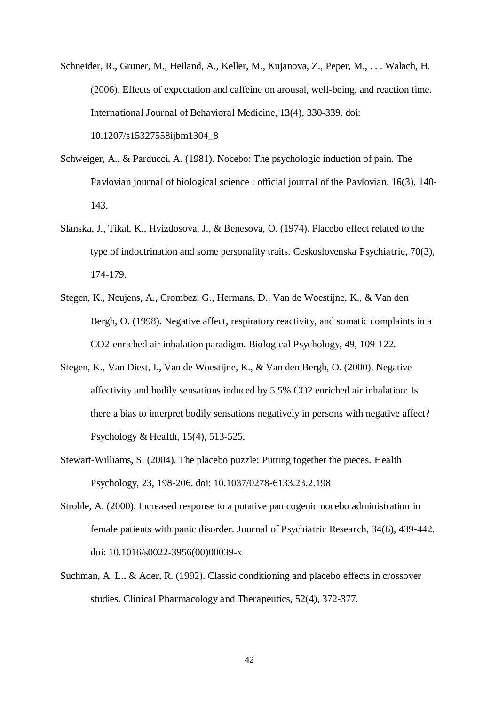Schneider, R., Gruner, M., Heiland, A., Keller, M., Kujanova, Z., Peper, M., . . . Walach, H. (2006). Effects of expectation and caffeine on arousal, well-being, and reaction time. International Journal of Behavioral Medicine, 13(4), 330-339. doi: 10.1207/s15327558ijbm1304\_8

- Schweiger, A., & Parducci, A. (1981). Nocebo: The psychologic induction of pain. The Pavlovian journal of biological science : official journal of the Pavlovian, 16(3), 140- 143.
- Slanska, J., Tikal, K., Hvizdosova, J., & Benesova, O. (1974). Placebo effect related to the type of indoctrination and some personality traits. Ceskoslovenska Psychiatrie, 70(3), 174-179.
- Stegen, K., Neujens, A., Crombez, G., Hermans, D., Van de Woestijne, K., & Van den Bergh, O. (1998). Negative affect, respiratory reactivity, and somatic complaints in a CO2-enriched air inhalation paradigm. Biological Psychology, 49, 109-122.
- Stegen, K., Van Diest, I., Van de Woestijne, K., & Van den Bergh, O. (2000). Negative affectivity and bodily sensations induced by 5.5% CO2 enriched air inhalation: Is there a bias to interpret bodily sensations negatively in persons with negative affect? Psychology & Health, 15(4), 513-525.
- Stewart-Williams, S. (2004). The placebo puzzle: Putting together the pieces. Health Psychology, 23, 198-206. doi: 10.1037/0278-6133.23.2.198
- Strohle, A. (2000). Increased response to a putative panicogenic nocebo administration in female patients with panic disorder. Journal of Psychiatric Research, 34(6), 439-442. doi: 10.1016/s0022-3956(00)00039-x
- Suchman, A. L., & Ader, R. (1992). Classic conditioning and placebo effects in crossover studies. Clinical Pharmacology and Therapeutics, 52(4), 372-377.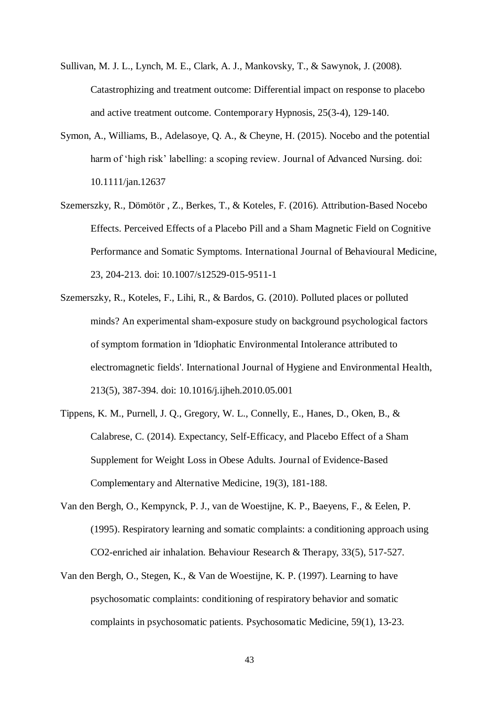- Sullivan, M. J. L., Lynch, M. E., Clark, A. J., Mankovsky, T., & Sawynok, J. (2008). Catastrophizing and treatment outcome: Differential impact on response to placebo and active treatment outcome. Contemporary Hypnosis, 25(3-4), 129-140.
- Symon, A., Williams, B., Adelasoye, Q. A., & Cheyne, H. (2015). Nocebo and the potential harm of 'high risk' labelling: a scoping review. Journal of Advanced Nursing. doi: 10.1111/jan.12637
- Szemerszky, R., Dömötör , Z., Berkes, T., & Koteles, F. (2016). Attribution-Based Nocebo Effects. Perceived Effects of a Placebo Pill and a Sham Magnetic Field on Cognitive Performance and Somatic Symptoms. International Journal of Behavioural Medicine, 23, 204-213. doi: 10.1007/s12529-015-9511-1
- Szemerszky, R., Koteles, F., Lihi, R., & Bardos, G. (2010). Polluted places or polluted minds? An experimental sham-exposure study on background psychological factors of symptom formation in 'Idiophatic Environmental Intolerance attributed to electromagnetic fields'. International Journal of Hygiene and Environmental Health, 213(5), 387-394. doi: 10.1016/j.ijheh.2010.05.001
- Tippens, K. M., Purnell, J. Q., Gregory, W. L., Connelly, E., Hanes, D., Oken, B., & Calabrese, C. (2014). Expectancy, Self-Efficacy, and Placebo Effect of a Sham Supplement for Weight Loss in Obese Adults. Journal of Evidence-Based Complementary and Alternative Medicine, 19(3), 181-188.
- Van den Bergh, O., Kempynck, P. J., van de Woestijne, K. P., Baeyens, F., & Eelen, P. (1995). Respiratory learning and somatic complaints: a conditioning approach using CO2-enriched air inhalation. Behaviour Research & Therapy, 33(5), 517-527.
- Van den Bergh, O., Stegen, K., & Van de Woestijne, K. P. (1997). Learning to have psychosomatic complaints: conditioning of respiratory behavior and somatic complaints in psychosomatic patients. Psychosomatic Medicine, 59(1), 13-23.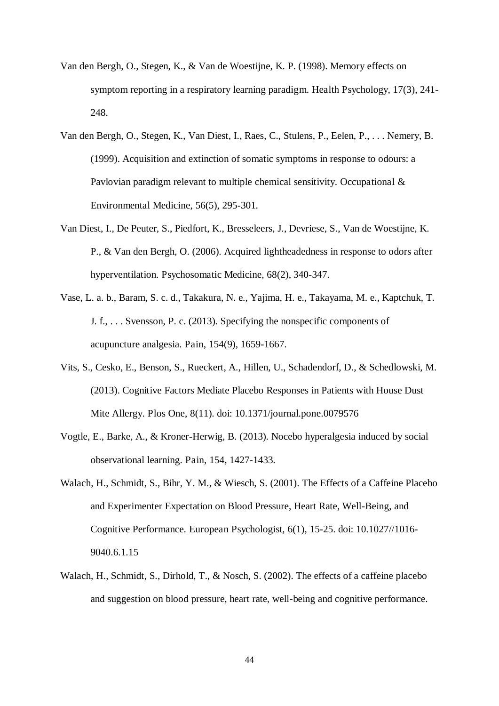- Van den Bergh, O., Stegen, K., & Van de Woestijne, K. P. (1998). Memory effects on symptom reporting in a respiratory learning paradigm. Health Psychology, 17(3), 241- 248.
- Van den Bergh, O., Stegen, K., Van Diest, I., Raes, C., Stulens, P., Eelen, P., . . . Nemery, B. (1999). Acquisition and extinction of somatic symptoms in response to odours: a Pavlovian paradigm relevant to multiple chemical sensitivity. Occupational & Environmental Medicine, 56(5), 295-301.
- Van Diest, I., De Peuter, S., Piedfort, K., Bresseleers, J., Devriese, S., Van de Woestijne, K. P., & Van den Bergh, O. (2006). Acquired lightheadedness in response to odors after hyperventilation. Psychosomatic Medicine, 68(2), 340-347.
- Vase, L. a. b., Baram, S. c. d., Takakura, N. e., Yajima, H. e., Takayama, M. e., Kaptchuk, T. J. f., . . . Svensson, P. c. (2013). Specifying the nonspecific components of acupuncture analgesia. Pain, 154(9), 1659-1667.
- Vits, S., Cesko, E., Benson, S., Rueckert, A., Hillen, U., Schadendorf, D., & Schedlowski, M. (2013). Cognitive Factors Mediate Placebo Responses in Patients with House Dust Mite Allergy. Plos One, 8(11). doi: 10.1371/journal.pone.0079576
- Vogtle, E., Barke, A., & Kroner-Herwig, B. (2013). Nocebo hyperalgesia induced by social observational learning. Pain, 154, 1427-1433.
- Walach, H., Schmidt, S., Bihr, Y. M., & Wiesch, S. (2001). The Effects of a Caffeine Placebo and Experimenter Expectation on Blood Pressure, Heart Rate, Well-Being, and Cognitive Performance. European Psychologist, 6(1), 15-25. doi: 10.1027//1016- 9040.6.1.15
- Walach, H., Schmidt, S., Dirhold, T., & Nosch, S. (2002). The effects of a caffeine placebo and suggestion on blood pressure, heart rate, well-being and cognitive performance.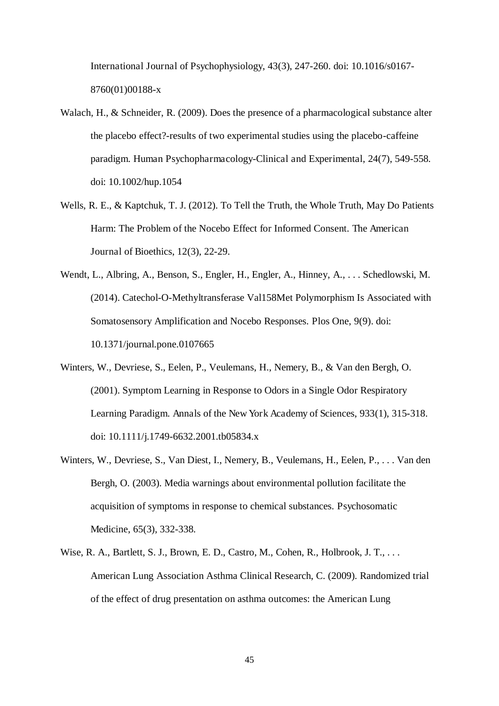International Journal of Psychophysiology, 43(3), 247-260. doi: 10.1016/s0167- 8760(01)00188-x

- Walach, H., & Schneider, R. (2009). Does the presence of a pharmacological substance alter the placebo effect?-results of two experimental studies using the placebo-caffeine paradigm. Human Psychopharmacology-Clinical and Experimental, 24(7), 549-558. doi: 10.1002/hup.1054
- Wells, R. E., & Kaptchuk, T. J. (2012). To Tell the Truth, the Whole Truth, May Do Patients Harm: The Problem of the Nocebo Effect for Informed Consent. The American Journal of Bioethics, 12(3), 22-29.
- Wendt, L., Albring, A., Benson, S., Engler, H., Engler, A., Hinney, A., . . . Schedlowski, M. (2014). Catechol-O-Methyltransferase Val158Met Polymorphism Is Associated with Somatosensory Amplification and Nocebo Responses. Plos One, 9(9). doi: 10.1371/journal.pone.0107665
- Winters, W., Devriese, S., Eelen, P., Veulemans, H., Nemery, B., & Van den Bergh, O. (2001). Symptom Learning in Response to Odors in a Single Odor Respiratory Learning Paradigm. Annals of the New York Academy of Sciences, 933(1), 315-318. doi: 10.1111/j.1749-6632.2001.tb05834.x
- Winters, W., Devriese, S., Van Diest, I., Nemery, B., Veulemans, H., Eelen, P., . . . Van den Bergh, O. (2003). Media warnings about environmental pollution facilitate the acquisition of symptoms in response to chemical substances. Psychosomatic Medicine, 65(3), 332-338.
- Wise, R. A., Bartlett, S. J., Brown, E. D., Castro, M., Cohen, R., Holbrook, J. T., ... American Lung Association Asthma Clinical Research, C. (2009). Randomized trial of the effect of drug presentation on asthma outcomes: the American Lung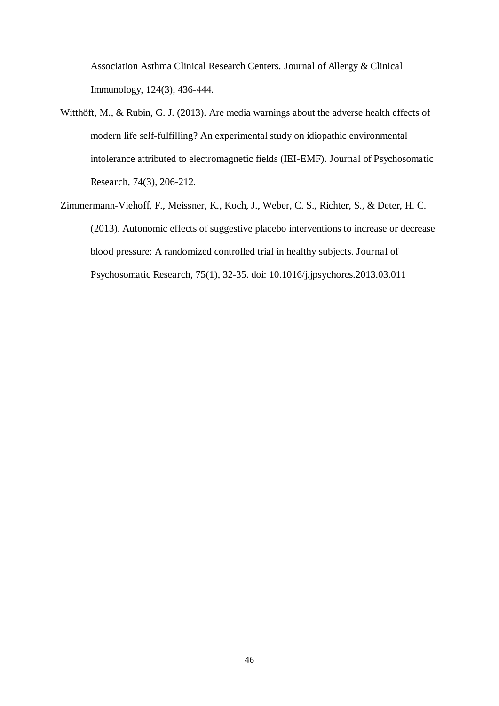Association Asthma Clinical Research Centers. Journal of Allergy & Clinical Immunology, 124(3), 436-444.

- Witthöft, M., & Rubin, G. J. (2013). Are media warnings about the adverse health effects of modern life self-fulfilling? An experimental study on idiopathic environmental intolerance attributed to electromagnetic fields (IEI-EMF). Journal of Psychosomatic Research, 74(3), 206-212.
- Zimmermann-Viehoff, F., Meissner, K., Koch, J., Weber, C. S., Richter, S., & Deter, H. C. (2013). Autonomic effects of suggestive placebo interventions to increase or decrease blood pressure: A randomized controlled trial in healthy subjects. Journal of Psychosomatic Research, 75(1), 32-35. doi: 10.1016/j.jpsychores.2013.03.011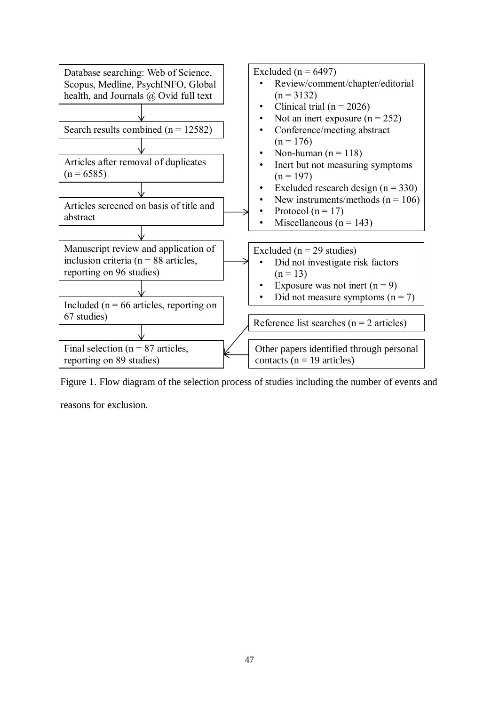

Figure 1. Flow diagram of the selection process of studies including the number of events and

reasons for exclusion.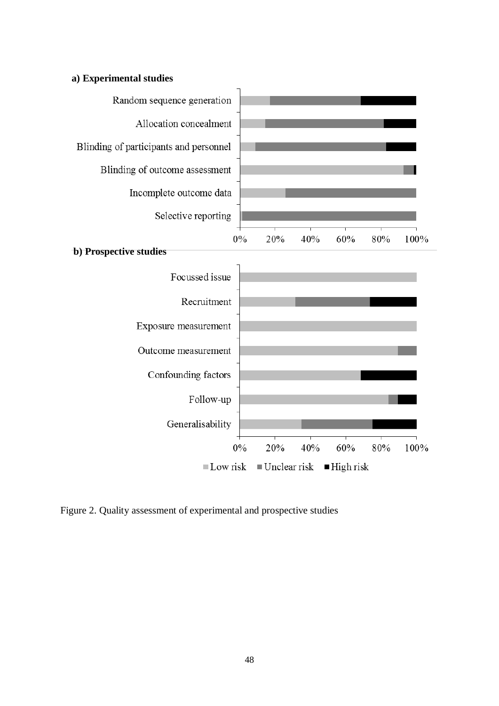



Figure 2. Quality assessment of experimental and prospective studies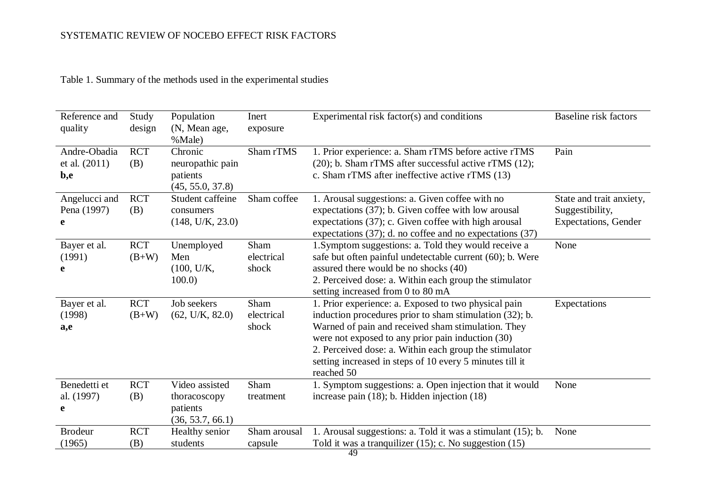| Reference and<br>quality               | Study<br>design       | Population<br>(N, Mean age,<br>%Male)                          | Inert<br>exposure           | Experimental risk factor(s) and conditions                                                                                                                                                                                                                                                                                                                     | Baseline risk factors                                                       |
|----------------------------------------|-----------------------|----------------------------------------------------------------|-----------------------------|----------------------------------------------------------------------------------------------------------------------------------------------------------------------------------------------------------------------------------------------------------------------------------------------------------------------------------------------------------------|-----------------------------------------------------------------------------|
| Andre-Obadia<br>et al. $(2011)$<br>b,e | <b>RCT</b><br>(B)     | Chronic<br>neuropathic pain<br>patients<br>(45, 55.0, 37.8)    | Sham rTMS                   | 1. Prior experience: a. Sham rTMS before active rTMS<br>$(20)$ ; b. Sham rTMS after successful active rTMS $(12)$ ;<br>c. Sham rTMS after ineffective active rTMS (13)                                                                                                                                                                                         | Pain                                                                        |
| Angelucci and<br>Pena (1997)<br>e      | <b>RCT</b><br>(B)     | Student caffeine<br>consumers<br>(148, U/K, 23.0)              | Sham coffee                 | 1. Arousal suggestions: a. Given coffee with no<br>expectations (37); b. Given coffee with low arousal<br>expectations (37); c. Given coffee with high arousal<br>expectations (37); d. no coffee and no expectations (37)                                                                                                                                     | State and trait anxiety,<br>Suggestibility,<br><b>Expectations</b> , Gender |
| Bayer et al.<br>(1991)<br>e            | <b>RCT</b><br>$(B+W)$ | Unemployed<br>Men<br>(100, U/K,<br>100.0                       | Sham<br>electrical<br>shock | 1. Symptom suggestions: a. Told they would receive a<br>safe but often painful undetectable current (60); b. Were<br>assured there would be no shocks (40)<br>2. Perceived dose: a. Within each group the stimulator<br>setting increased from 0 to 80 mA                                                                                                      | None                                                                        |
| Bayer et al.<br>(1998)<br>a,e          | <b>RCT</b><br>$(B+W)$ | Job seekers<br>(62, U/K, 82.0)                                 | Sham<br>electrical<br>shock | 1. Prior experience: a. Exposed to two physical pain<br>induction procedures prior to sham stimulation (32); b.<br>Warned of pain and received sham stimulation. They<br>were not exposed to any prior pain induction (30)<br>2. Perceived dose: a. Within each group the stimulator<br>setting increased in steps of 10 every 5 minutes till it<br>reached 50 | Expectations                                                                |
| Benedetti et<br>al. (1997)<br>e        | <b>RCT</b><br>(B)     | Video assisted<br>thoracoscopy<br>patients<br>(36, 53.7, 66.1) | Sham<br>treatment           | 1. Symptom suggestions: a. Open injection that it would<br>increase pain $(18)$ ; b. Hidden injection $(18)$                                                                                                                                                                                                                                                   | None                                                                        |
| <b>Brodeur</b><br>(1965)               | <b>RCT</b><br>(B)     | Healthy senior<br>students                                     | Sham arousal<br>capsule     | 1. Arousal suggestions: a. Told it was a stimulant (15); b.<br>Told it was a tranquilizer $(15)$ ; c. No suggestion $(15)$                                                                                                                                                                                                                                     | None                                                                        |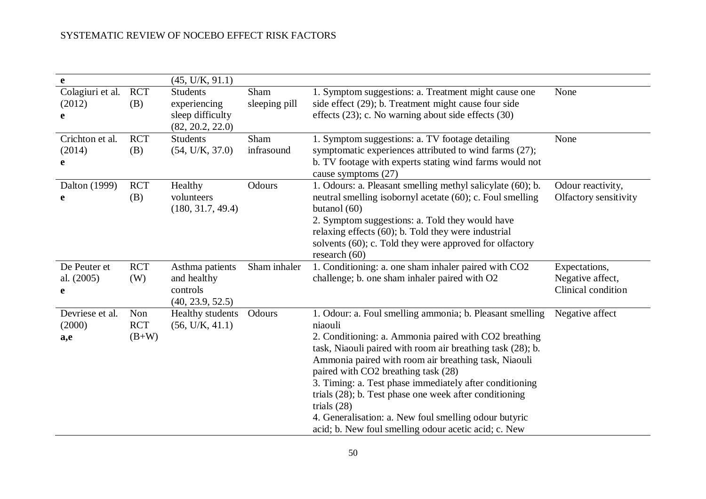| e                                |                              | (45, U/K, 91.1)                                                         |                       |                                                                                                                                                                                                                                                                                                                                                                                                                                                                                                                                                  |                                                         |
|----------------------------------|------------------------------|-------------------------------------------------------------------------|-----------------------|--------------------------------------------------------------------------------------------------------------------------------------------------------------------------------------------------------------------------------------------------------------------------------------------------------------------------------------------------------------------------------------------------------------------------------------------------------------------------------------------------------------------------------------------------|---------------------------------------------------------|
| Colagiuri et al.<br>(2012)<br>e  | <b>RCT</b><br>(B)            | <b>Students</b><br>experiencing<br>sleep difficulty<br>(82, 20.2, 22.0) | Sham<br>sleeping pill | 1. Symptom suggestions: a. Treatment might cause one<br>side effect (29); b. Treatment might cause four side<br>effects $(23)$ ; c. No warning about side effects $(30)$                                                                                                                                                                                                                                                                                                                                                                         | None                                                    |
| Crichton et al.<br>(2014)<br>e   | <b>RCT</b><br>(B)            | <b>Students</b><br>(54, U/K, 37.0)                                      | Sham<br>infrasound    | 1. Symptom suggestions: a. TV footage detailing<br>symptomatic experiences attributed to wind farms (27);<br>b. TV footage with experts stating wind farms would not<br>cause symptoms (27)                                                                                                                                                                                                                                                                                                                                                      | None                                                    |
| Dalton (1999)<br>e               | <b>RCT</b><br>(B)            | Healthy<br>volunteers<br>(180, 31.7, 49.4)                              | Odours                | 1. Odours: a. Pleasant smelling methyl salicylate (60); b.<br>neutral smelling isobornyl acetate (60); c. Foul smelling<br>butanol $(60)$<br>2. Symptom suggestions: a. Told they would have<br>relaxing effects $(60)$ ; b. Told they were industrial<br>solvents (60); c. Told they were approved for olfactory<br>research $(60)$                                                                                                                                                                                                             | Odour reactivity,<br>Olfactory sensitivity              |
| De Peuter et<br>al. (2005)<br>e  | <b>RCT</b><br>(W)            | Asthma patients<br>and healthy<br>controls<br>(40, 23.9, 52.5)          | Sham inhaler          | 1. Conditioning: a. one sham inhaler paired with CO2<br>challenge; b. one sham inhaler paired with O2                                                                                                                                                                                                                                                                                                                                                                                                                                            | Expectations,<br>Negative affect,<br>Clinical condition |
| Devriese et al.<br>(2000)<br>a,e | Non<br><b>RCT</b><br>$(B+W)$ | Healthy students<br>(56, U/K, 41.1)                                     | Odours                | 1. Odour: a. Foul smelling ammonia; b. Pleasant smelling<br>niaouli<br>2. Conditioning: a. Ammonia paired with CO2 breathing<br>task, Niaouli paired with room air breathing task (28); b.<br>Ammonia paired with room air breathing task, Niaouli<br>paired with CO2 breathing task (28)<br>3. Timing: a. Test phase immediately after conditioning<br>trials (28); b. Test phase one week after conditioning<br>trials $(28)$<br>4. Generalisation: a. New foul smelling odour butyric<br>acid; b. New foul smelling odour acetic acid; c. New | Negative affect                                         |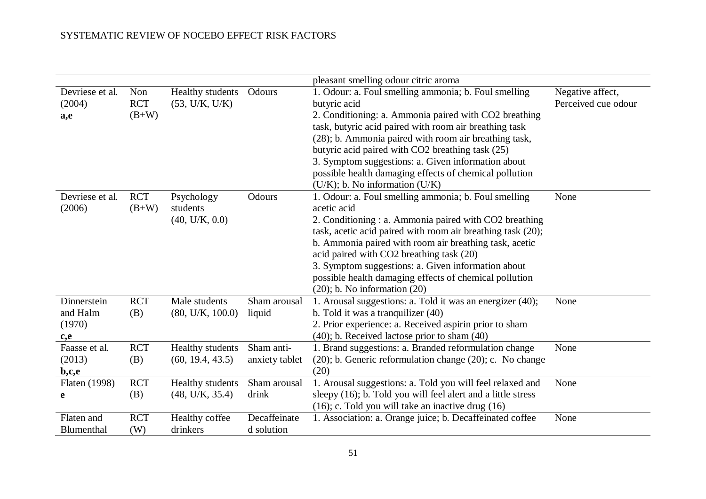|                                                                       |                              |                                          |                              | pleasant smelling odour citric aroma                                                                                                                                                                                                                                                                                                                                                                                                                         |                                         |
|-----------------------------------------------------------------------|------------------------------|------------------------------------------|------------------------------|--------------------------------------------------------------------------------------------------------------------------------------------------------------------------------------------------------------------------------------------------------------------------------------------------------------------------------------------------------------------------------------------------------------------------------------------------------------|-----------------------------------------|
| Devriese et al.<br>(2004)<br>a,e                                      | Non<br><b>RCT</b><br>$(B+W)$ | Healthy students<br>(53, U/K, U/K)       | Odours                       | 1. Odour: a. Foul smelling ammonia; b. Foul smelling<br>but yric acid<br>2. Conditioning: a. Ammonia paired with CO2 breathing<br>task, butyric acid paired with room air breathing task<br>(28); b. Ammonia paired with room air breathing task,<br>butyric acid paired with CO2 breathing task (25)<br>3. Symptom suggestions: a. Given information about<br>possible health damaging effects of chemical pollution<br>$(U/K)$ ; b. No information $(U/K)$ | Negative affect,<br>Perceived cue odour |
| Devriese et al.<br>(2006)                                             | <b>RCT</b><br>$(B+W)$        | Psychology<br>students<br>(40, U/K, 0.0) | Odours                       | 1. Odour: a. Foul smelling ammonia; b. Foul smelling<br>acetic acid<br>2. Conditioning : a. Ammonia paired with CO2 breathing<br>task, acetic acid paired with room air breathing task (20);<br>b. Ammonia paired with room air breathing task, acetic<br>acid paired with CO2 breathing task (20)<br>3. Symptom suggestions: a. Given information about<br>possible health damaging effects of chemical pollution<br>$(20)$ ; b. No information $(20)$      | None                                    |
| Dinnerstein<br>and Halm<br>(1970)<br>c,e                              | <b>RCT</b><br>(B)            | Male students<br>(80, U/K, 100.0)        | Sham arousal<br>liquid       | 1. Arousal suggestions: a. Told it was an energizer (40);<br>b. Told it was a tranquilizer (40)<br>2. Prior experience: a. Received aspirin prior to sham<br>(40); b. Received lactose prior to sham (40)                                                                                                                                                                                                                                                    | None                                    |
| Faasse et al.<br>(2013)<br>$\mathbf{b}$ , $\mathbf{c}$ , $\mathbf{e}$ | <b>RCT</b><br>(B)            | Healthy students<br>(60, 19.4, 43.5)     | Sham anti-<br>anxiety tablet | 1. Brand suggestions: a. Branded reformulation change<br>$(20)$ ; b. Generic reformulation change $(20)$ ; c. No change<br>(20)                                                                                                                                                                                                                                                                                                                              | None                                    |
| Flaten (1998)<br>e                                                    | <b>RCT</b><br>(B)            | Healthy students<br>(48, U/K, 35.4)      | Sham arousal<br>drink        | 1. Arousal suggestions: a. Told you will feel relaxed and<br>sleepy (16); b. Told you will feel alert and a little stress<br>$(16)$ ; c. Told you will take an inactive drug $(16)$                                                                                                                                                                                                                                                                          | None                                    |
| Flaten and<br>Blumenthal                                              | <b>RCT</b><br>(W)            | Healthy coffee<br>drinkers               | Decaffeinate<br>d solution   | 1. Association: a. Orange juice; b. Decaffeinated coffee                                                                                                                                                                                                                                                                                                                                                                                                     | None                                    |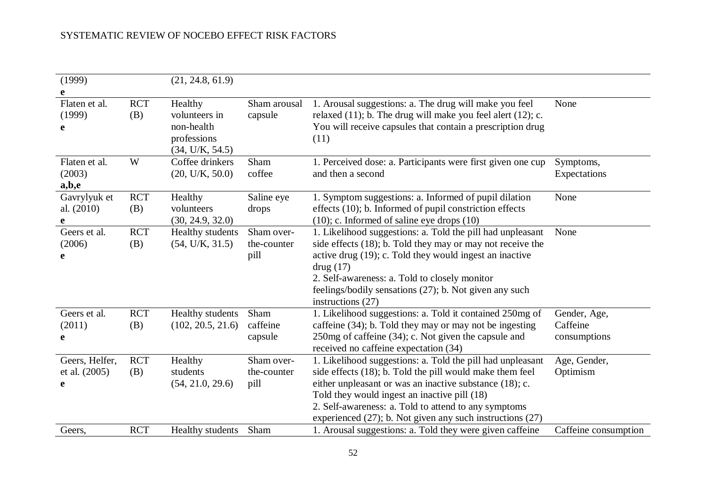| (1999)                               |                   | (21, 24.8, 61.9)                                                         |                                   |                                                                                                                                                                                                                                                                                                                                                             |                                          |
|--------------------------------------|-------------------|--------------------------------------------------------------------------|-----------------------------------|-------------------------------------------------------------------------------------------------------------------------------------------------------------------------------------------------------------------------------------------------------------------------------------------------------------------------------------------------------------|------------------------------------------|
| e                                    |                   |                                                                          |                                   |                                                                                                                                                                                                                                                                                                                                                             |                                          |
| Flaten et al.<br>(1999)<br>e         | <b>RCT</b><br>(B) | Healthy<br>volunteers in<br>non-health<br>professions<br>(34, U/K, 54.5) | Sham arousal<br>capsule           | 1. Arousal suggestions: a. The drug will make you feel<br>relaxed $(11)$ ; b. The drug will make you feel alert $(12)$ ; c.<br>You will receive capsules that contain a prescription drug<br>(11)                                                                                                                                                           | None                                     |
| Flaten et al.<br>(2003)<br>a,b,e     | W                 | Coffee drinkers<br>(20, U/K, 50.0)                                       | Sham<br>coffee                    | 1. Perceived dose: a. Participants were first given one cup<br>and then a second                                                                                                                                                                                                                                                                            | Symptoms,<br>Expectations                |
| Gavrylyuk et<br>al. (2010)<br>e      | <b>RCT</b><br>(B) | Healthy<br>volunteers<br>(30, 24.9, 32.0)                                | Saline eye<br>drops               | 1. Symptom suggestions: a. Informed of pupil dilation<br>effects (10); b. Informed of pupil constriction effects<br>$(10)$ ; c. Informed of saline eye drops $(10)$                                                                                                                                                                                         | None                                     |
| Geers et al.<br>(2006)<br>e          | <b>RCT</b><br>(B) | Healthy students<br>(54, U/K, 31.5)                                      | Sham over-<br>the-counter<br>pill | 1. Likelihood suggestions: a. Told the pill had unpleasant<br>side effects (18); b. Told they may or may not receive the<br>active drug (19); c. Told they would ingest an inactive<br>drug (17)<br>2. Self-awareness: a. Told to closely monitor<br>feelings/bodily sensations (27); b. Not given any such<br>instructions $(27)$                          | None                                     |
| Geers et al.<br>(2011)<br>e          | <b>RCT</b><br>(B) | Healthy students<br>(102, 20.5, 21.6)                                    | Sham<br>caffeine<br>capsule       | 1. Likelihood suggestions: a. Told it contained 250mg of<br>caffeine (34); b. Told they may or may not be ingesting<br>$250mg$ of caffeine (34); c. Not given the capsule and<br>received no caffeine expectation (34)                                                                                                                                      | Gender, Age,<br>Caffeine<br>consumptions |
| Geers, Helfer,<br>et al. (2005)<br>e | <b>RCT</b><br>(B) | Healthy<br>students<br>(54, 21.0, 29.6)                                  | Sham over-<br>the-counter<br>pill | 1. Likelihood suggestions: a. Told the pill had unpleasant<br>side effects (18); b. Told the pill would make them feel<br>either unpleasant or was an inactive substance (18); c.<br>Told they would ingest an inactive pill (18)<br>2. Self-awareness: a. Told to attend to any symptoms<br>experienced $(27)$ ; b. Not given any such instructions $(27)$ | Age, Gender,<br>Optimism                 |
| Geers,                               | <b>RCT</b>        | Healthy students                                                         | Sham                              | 1. Arousal suggestions: a. Told they were given caffeine                                                                                                                                                                                                                                                                                                    | Caffeine consumption                     |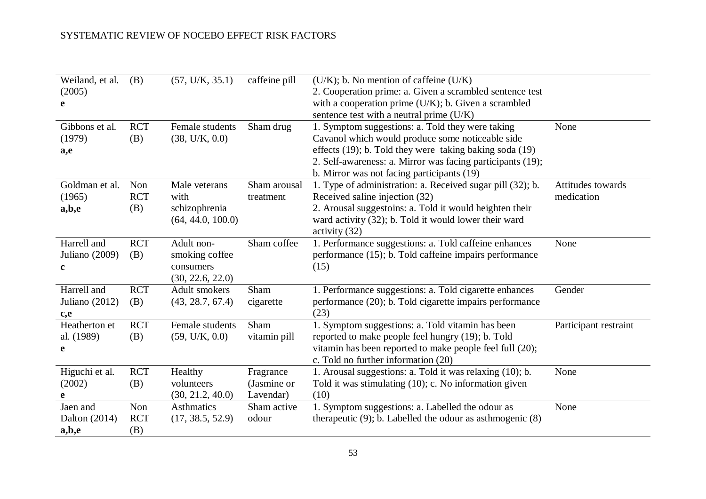| Weiland, et al.  | (B)        | (57, U/K, 35.1)   | caffeine pill | $(U/K)$ ; b. No mention of caffeine $(U/K)$                    |                       |
|------------------|------------|-------------------|---------------|----------------------------------------------------------------|-----------------------|
| (2005)           |            |                   |               | 2. Cooperation prime: a. Given a scrambled sentence test       |                       |
| e                |            |                   |               | with a cooperation prime $(U/K)$ ; b. Given a scrambled        |                       |
|                  |            |                   |               | sentence test with a neutral prime (U/K)                       |                       |
| Gibbons et al.   | <b>RCT</b> | Female students   | Sham drug     | 1. Symptom suggestions: a. Told they were taking               | None                  |
| (1979)           | (B)        | (38, U/K, 0.0)    |               | Cavanol which would produce some noticeable side               |                       |
| a,e              |            |                   |               | effects (19); b. Told they were taking baking soda (19)        |                       |
|                  |            |                   |               | 2. Self-awareness: a. Mirror was facing participants (19);     |                       |
|                  |            |                   |               | b. Mirror was not facing participants (19)                     |                       |
| Goldman et al.   | Non        | Male veterans     | Sham arousal  | 1. Type of administration: a. Received sugar pill (32); b.     | Attitudes towards     |
| (1965)           | <b>RCT</b> | with              | treatment     | Received saline injection (32)                                 | medication            |
| a,b,e            | (B)        | schizophrenia     |               | 2. Arousal suggestoins: a. Told it would heighten their        |                       |
|                  |            | (64, 44.0, 100.0) |               | ward activity (32); b. Told it would lower their ward          |                       |
|                  |            |                   |               | activity $(32)$                                                |                       |
| Harrell and      | <b>RCT</b> | Adult non-        | Sham coffee   | 1. Performance suggestions: a. Told caffeine enhances          | None                  |
| Juliano (2009)   | (B)        | smoking coffee    |               | performance (15); b. Told caffeine impairs performance         |                       |
| $\mathbf c$      |            | consumers         |               | (15)                                                           |                       |
|                  |            | (30, 22.6, 22.0)  |               |                                                                |                       |
| Harrell and      | <b>RCT</b> | Adult smokers     | Sham          | 1. Performance suggestions: a. Told cigarette enhances         | Gender                |
| Juliano $(2012)$ | (B)        | (43, 28.7, 67.4)  | cigarette     | performance (20); b. Told cigarette impairs performance        |                       |
| c,e              |            |                   |               | (23)                                                           |                       |
| Heatherton et    | <b>RCT</b> | Female students   | Sham          | 1. Symptom suggestions: a. Told vitamin has been               | Participant restraint |
| al. (1989)       | (B)        | (59, U/K, 0.0)    | vitamin pill  | reported to make people feel hungry (19); b. Told              |                       |
| e                |            |                   |               | vitamin has been reported to make people feel full (20);       |                       |
|                  |            |                   |               | c. Told no further information (20)                            |                       |
| Higuchi et al.   | <b>RCT</b> | Healthy           | Fragrance     | 1. Arousal suggestions: a. Told it was relaxing (10); b.       | None                  |
| (2002)           | (B)        | volunteers        | (Jasmine or   | Told it was stimulating $(10)$ ; c. No information given       |                       |
| e                |            | (30, 21.2, 40.0)  | Lavendar)     | (10)                                                           |                       |
| Jaen and         | Non        | <b>Asthmatics</b> | Sham active   | 1. Symptom suggestions: a. Labelled the odour as               | None                  |
| Dalton (2014)    | <b>RCT</b> | (17, 38.5, 52.9)  | odour         | therapeutic $(9)$ ; b. Labelled the odour as asthmogenic $(8)$ |                       |
| a,b,e            | (B)        |                   |               |                                                                |                       |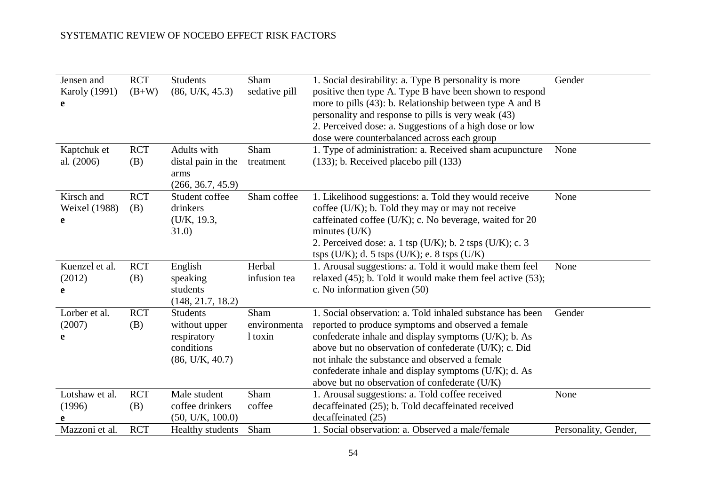| Jensen and<br><b>Karoly</b> (1991)<br>e | <b>RCT</b><br>$(B+W)$ | <b>Students</b><br>(86, U/K, 45.3)                                               | Sham<br>sedative pill           | 1. Social desirability: a. Type B personality is more<br>positive then type A. Type B have been shown to respond<br>more to pills (43): b. Relationship between type A and B<br>personality and response to pills is very weak (43)<br>2. Perceived dose: a. Suggestions of a high dose or low<br>dose were counterbalanced across each group                                                  | Gender               |
|-----------------------------------------|-----------------------|----------------------------------------------------------------------------------|---------------------------------|------------------------------------------------------------------------------------------------------------------------------------------------------------------------------------------------------------------------------------------------------------------------------------------------------------------------------------------------------------------------------------------------|----------------------|
| Kaptchuk et<br>al. (2006)               | <b>RCT</b><br>(B)     | Adults with<br>distal pain in the<br>arms<br>(266, 36.7, 45.9)                   | Sham<br>treatment               | 1. Type of administration: a. Received sham acupuncture<br>$(133)$ ; b. Received placebo pill $(133)$                                                                                                                                                                                                                                                                                          | None                 |
| Kirsch and<br>Weixel (1988)<br>e        | <b>RCT</b><br>(B)     | Student coffee<br>drinkers<br>(U/K, 19.3,<br>31.0)                               | Sham coffee                     | 1. Likelihood suggestions: a. Told they would receive<br>coffee $(U/K)$ ; b. Told they may or may not receive<br>caffeinated coffee ( $U/K$ ); c. No beverage, waited for 20<br>minutes $(U/K)$<br>2. Perceived dose: a. 1 tsp ( $U/K$ ); b. 2 tsps ( $U/K$ ); c. 3<br>tsps $(U/K)$ ; d. 5 tsps $(U/K)$ ; e. 8 tsps $(U/K)$                                                                    | None                 |
| Kuenzel et al.<br>(2012)<br>e           | <b>RCT</b><br>(B)     | English<br>speaking<br>students<br>(148, 21.7, 18.2)                             | Herbal<br>infusion tea          | 1. Arousal suggestions: a. Told it would make them feel<br>relaxed $(45)$ ; b. Told it would make them feel active $(53)$ ;<br>c. No information given (50)                                                                                                                                                                                                                                    | None                 |
| Lorber et al.<br>(2007)<br>e            | <b>RCT</b><br>(B)     | <b>Students</b><br>without upper<br>respiratory<br>conditions<br>(86, U/K, 40.7) | Sham<br>environmenta<br>1 toxin | 1. Social observation: a. Told inhaled substance has been<br>reported to produce symptoms and observed a female<br>confederate inhale and display symptoms $(U/K)$ ; b. As<br>above but no observation of confederate (U/K); c. Did<br>not inhale the substance and observed a female<br>confederate inhale and display symptoms (U/K); d. As<br>above but no observation of confederate (U/K) | Gender               |
| Lotshaw et al.<br>(1996)                | <b>RCT</b><br>(B)     | Male student<br>coffee drinkers<br>(50, U/K, 100.0)                              | Sham<br>coffee                  | 1. Arousal suggestions: a. Told coffee received<br>decaffeinated (25); b. Told decaffeinated received<br>decaffeinated (25)                                                                                                                                                                                                                                                                    | None                 |
| Mazzoni et al.                          | <b>RCT</b>            | Healthy students                                                                 | Sham                            | 1. Social observation: a. Observed a male/female                                                                                                                                                                                                                                                                                                                                               | Personality, Gender, |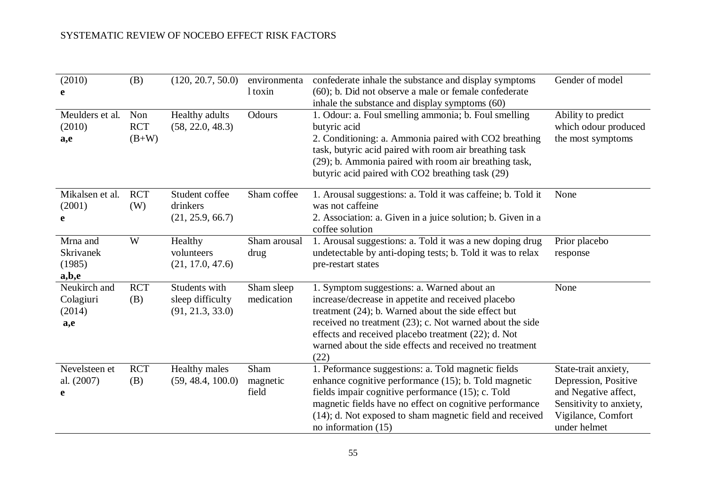| (2010)<br>e                                | (B)                          | (120, 20.7, 50.0)                                     | environmenta<br>1 toxin   | confederate inhale the substance and display symptoms<br>$(60)$ ; b. Did not observe a male or female confederate<br>inhale the substance and display symptoms (60)                                                                                                                                                                                 | Gender of model                                                                                                                       |
|--------------------------------------------|------------------------------|-------------------------------------------------------|---------------------------|-----------------------------------------------------------------------------------------------------------------------------------------------------------------------------------------------------------------------------------------------------------------------------------------------------------------------------------------------------|---------------------------------------------------------------------------------------------------------------------------------------|
| Meulders et al.<br>(2010)<br>a,e           | Non<br><b>RCT</b><br>$(B+W)$ | Healthy adults<br>(58, 22.0, 48.3)                    | Odours                    | 1. Odour: a. Foul smelling ammonia; b. Foul smelling<br>butyric acid<br>2. Conditioning: a. Ammonia paired with CO2 breathing<br>task, butyric acid paired with room air breathing task<br>(29); b. Ammonia paired with room air breathing task,<br>but yric acid paired with CO2 breathing task (29)                                               | Ability to predict<br>which odour produced<br>the most symptoms                                                                       |
| Mikalsen et al.<br>(2001)<br>e             | <b>RCT</b><br>(W)            | Student coffee<br>drinkers<br>(21, 25.9, 66.7)        | Sham coffee               | 1. Arousal suggestions: a. Told it was caffeine; b. Told it<br>was not caffeine<br>2. Association: a. Given in a juice solution; b. Given in a<br>coffee solution                                                                                                                                                                                   | None                                                                                                                                  |
| Mrna and<br>Skrivanek<br>(1985)<br>a,b,e   | W                            | Healthy<br>volunteers<br>(21, 17.0, 47.6)             | Sham arousal<br>drug      | 1. Arousal suggestions: a. Told it was a new doping drug<br>undetectable by anti-doping tests; b. Told it was to relax<br>pre-restart states                                                                                                                                                                                                        | Prior placebo<br>response                                                                                                             |
| Neukirch and<br>Colagiuri<br>(2014)<br>a,e | <b>RCT</b><br>(B)            | Students with<br>sleep difficulty<br>(91, 21.3, 33.0) | Sham sleep<br>medication  | 1. Symptom suggestions: a. Warned about an<br>increase/decrease in appetite and received placebo<br>treatment $(24)$ ; b. Warned about the side effect but<br>received no treatment $(23)$ ; c. Not warned about the side<br>effects and received placebo treatment (22); d. Not<br>warned about the side effects and received no treatment<br>(22) | None                                                                                                                                  |
| Nevelsteen et<br>al. (2007)<br>e           | <b>RCT</b><br>(B)            | Healthy males<br>(59, 48.4, 100.0)                    | Sham<br>magnetic<br>field | 1. Peformance suggestions: a. Told magnetic fields<br>enhance cognitive performance (15); b. Told magnetic<br>fields impair cognitive performance (15); c. Told<br>magnetic fields have no effect on cognitive performance<br>(14); d. Not exposed to sham magnetic field and received<br>no information $(15)$                                     | State-trait anxiety,<br>Depression, Positive<br>and Negative affect,<br>Sensitivity to anxiety,<br>Vigilance, Comfort<br>under helmet |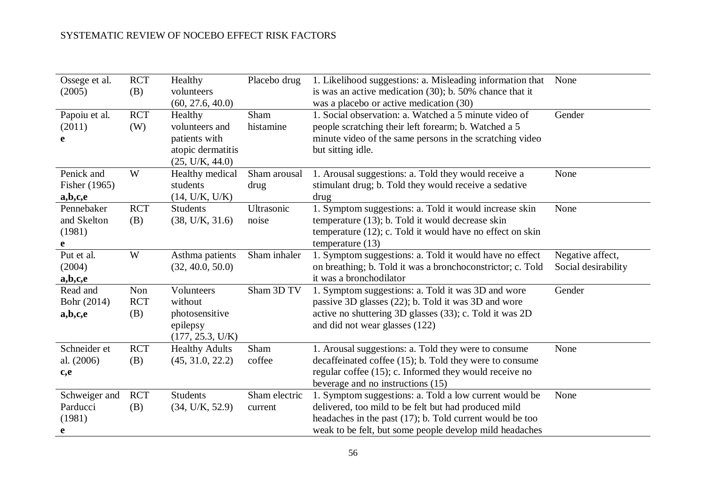| Ossege et al.<br>(2005)                  | <b>RCT</b><br>(B)        | Healthy<br>volunteers<br>(60, 27.6, 40.0)                                          | Placebo drug             | 1. Likelihood suggestions: a. Misleading information that<br>is was an active medication $(30)$ ; b. 50% chance that it<br>was a placebo or active medication (30)                                                                       | None                                    |
|------------------------------------------|--------------------------|------------------------------------------------------------------------------------|--------------------------|------------------------------------------------------------------------------------------------------------------------------------------------------------------------------------------------------------------------------------------|-----------------------------------------|
| Papoiu et al.<br>(2011)<br>e             | <b>RCT</b><br>(W)        | Healthy<br>volunteers and<br>patients with<br>atopic dermatitis<br>(25, U/K, 44.0) | Sham<br>histamine        | 1. Social observation: a. Watched a 5 minute video of<br>people scratching their left forearm; b. Watched a 5<br>minute video of the same persons in the scratching video<br>but sitting idle.                                           | Gender                                  |
| Penick and<br>Fisher (1965)<br>a,b,c,e   | W                        | Healthy medical<br>students<br>(14, U/K, U/K)                                      | Sham arousal<br>drug     | 1. Arousal suggestions: a. Told they would receive a<br>stimulant drug; b. Told they would receive a sedative<br>drug                                                                                                                    | None                                    |
| Pennebaker<br>and Skelton<br>(1981)<br>e | <b>RCT</b><br>(B)        | <b>Students</b><br>(38, U/K, 31.6)                                                 | Ultrasonic<br>noise      | 1. Symptom suggestions: a. Told it would increase skin<br>temperature (13); b. Told it would decrease skin<br>temperature $(12)$ ; c. Told it would have no effect on skin<br>temperature $(13)$                                         | None                                    |
| Put et al.<br>(2004)<br>a,b,c,e          | W                        | Asthma patients<br>(32, 40.0, 50.0)                                                | Sham inhaler             | 1. Symptom suggestions: a. Told it would have no effect<br>on breathing; b. Told it was a bronchoconstrictor; c. Told<br>it was a bronchodilator                                                                                         | Negative affect,<br>Social desirability |
| Read and<br>Bohr (2014)<br>a,b,c,e       | Non<br><b>RCT</b><br>(B) | Volunteers<br>without<br>photosensitive<br>epilepsy<br>(177, 25.3, U/K)            | Sham 3D TV               | 1. Symptom suggestions: a. Told it was 3D and wore<br>passive 3D glasses (22); b. Told it was 3D and wore<br>active no shuttering 3D glasses (33); c. Told it was 2D<br>and did not wear glasses (122)                                   | Gender                                  |
| Schneider et<br>al. (2006)<br>c,e        | <b>RCT</b><br>(B)        | <b>Healthy Adults</b><br>(45, 31.0, 22.2)                                          | Sham<br>coffee           | 1. Arousal suggestions: a. Told they were to consume<br>decaffeinated coffee (15); b. Told they were to consume<br>regular coffee (15); c. Informed they would receive no<br>beverage and no instructions (15)                           | None                                    |
| Schweiger and<br>Parducci<br>(1981)<br>e | <b>RCT</b><br>(B)        | <b>Students</b><br>(34, U/K, 52.9)                                                 | Sham electric<br>current | 1. Symptom suggestions: a. Told a low current would be<br>delivered, too mild to be felt but had produced mild<br>headaches in the past $(17)$ ; b. Told current would be too<br>weak to be felt, but some people develop mild headaches | None                                    |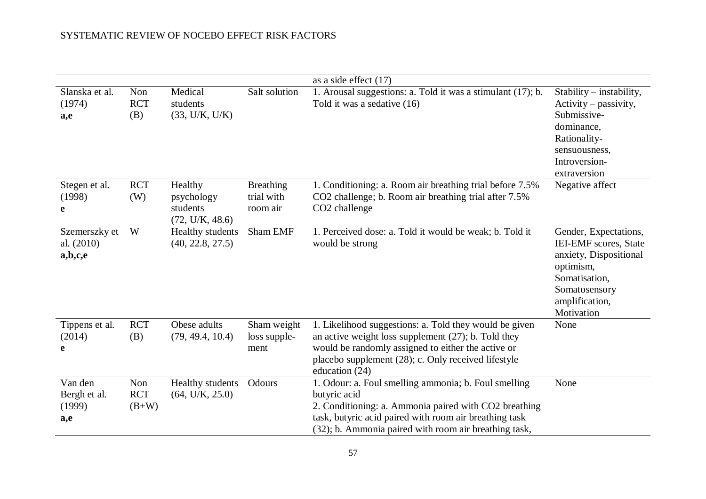|                                          |                              |                                                      |                                            | as a side effect $(17)$                                                                                                                                                                                                                           |                                                                                                                                                         |
|------------------------------------------|------------------------------|------------------------------------------------------|--------------------------------------------|---------------------------------------------------------------------------------------------------------------------------------------------------------------------------------------------------------------------------------------------------|---------------------------------------------------------------------------------------------------------------------------------------------------------|
| Slanska et al.<br>(1974)<br>a,e          | Non<br><b>RCT</b><br>(B)     | Medical<br>students<br>(33, U/K, U/K)                | Salt solution                              | 1. Arousal suggestions: a. Told it was a stimulant (17); b.<br>Told it was a sedative (16)                                                                                                                                                        | Stability – instability,<br>$Activity - passivity,$<br>Submissive-<br>dominance,<br>Rationality-<br>sensuousness,<br>Introversion-<br>extraversion      |
| Stegen et al.<br>(1998)<br>e             | <b>RCT</b><br>(W)            | Healthy<br>psychology<br>students<br>(72, U/K, 48.6) | <b>Breathing</b><br>trial with<br>room air | 1. Conditioning: a. Room air breathing trial before 7.5%<br>CO2 challenge; b. Room air breathing trial after 7.5%<br>CO <sub>2</sub> challenge                                                                                                    | Negative affect                                                                                                                                         |
| Szemerszky et<br>al. (2010)<br>a,b,c,e   | W                            | Healthy students<br>(40, 22.8, 27.5)                 | Sham EMF                                   | 1. Perceived dose: a. Told it would be weak; b. Told it<br>would be strong                                                                                                                                                                        | Gender, Expectations,<br>IEI-EMF scores, State<br>anxiety, Dispositional<br>optimism,<br>Somatisation,<br>Somatosensory<br>amplification,<br>Motivation |
| Tippens et al.<br>(2014)<br>e            | <b>RCT</b><br>(B)            | Obese adults<br>(79, 49.4, 10.4)                     | Sham weight<br>loss supple-<br>ment        | 1. Likelihood suggestions: a. Told they would be given<br>an active weight loss supplement $(27)$ ; b. Told they<br>would be randomly assigned to either the active or<br>placebo supplement (28); c. Only received lifestyle<br>education $(24)$ | None                                                                                                                                                    |
| Van den<br>Bergh et al.<br>(1999)<br>a,e | Non<br><b>RCT</b><br>$(B+W)$ | Healthy students<br>(64, U/K, 25.0)                  | Odours                                     | 1. Odour: a. Foul smelling ammonia; b. Foul smelling<br>butyric acid<br>2. Conditioning: a. Ammonia paired with CO2 breathing<br>task, butyric acid paired with room air breathing task<br>(32); b. Ammonia paired with room air breathing task,  | None                                                                                                                                                    |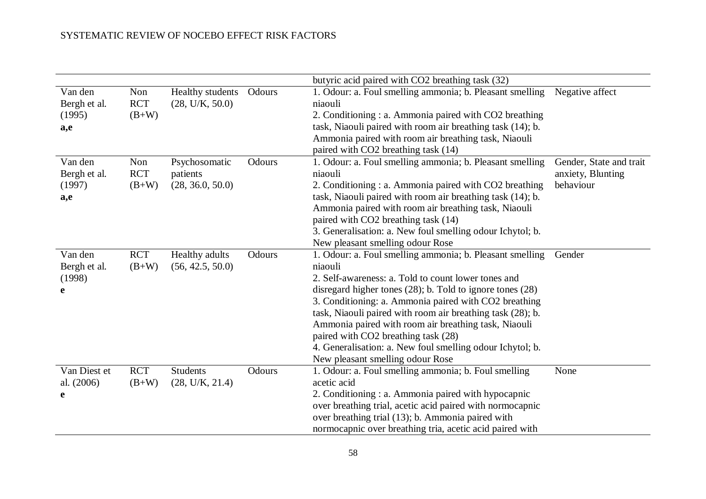|                                          |                              |                                               |        | butyric acid paired with CO2 breathing task (32)                                                                                                                                                                                                                                                                                                                                                                                                                                                                    |                                                           |
|------------------------------------------|------------------------------|-----------------------------------------------|--------|---------------------------------------------------------------------------------------------------------------------------------------------------------------------------------------------------------------------------------------------------------------------------------------------------------------------------------------------------------------------------------------------------------------------------------------------------------------------------------------------------------------------|-----------------------------------------------------------|
| Van den<br>Bergh et al.<br>(1995)<br>a,e | Non<br><b>RCT</b><br>$(B+W)$ | Healthy students<br>(28, U/K, 50.0)           | Odours | 1. Odour: a. Foul smelling ammonia; b. Pleasant smelling<br>niaouli<br>2. Conditioning : a. Ammonia paired with CO2 breathing<br>task, Niaouli paired with room air breathing task (14); b.<br>Ammonia paired with room air breathing task, Niaouli<br>paired with CO2 breathing task (14)                                                                                                                                                                                                                          | Negative affect                                           |
| Van den<br>Bergh et al.<br>(1997)<br>a,e | Non<br><b>RCT</b><br>$(B+W)$ | Psychosomatic<br>patients<br>(28, 36.0, 50.0) | Odours | 1. Odour: a. Foul smelling ammonia; b. Pleasant smelling<br>niaouli<br>2. Conditioning : a. Ammonia paired with CO2 breathing<br>task, Niaouli paired with room air breathing task (14); b.<br>Ammonia paired with room air breathing task, Niaouli<br>paired with CO2 breathing task (14)<br>3. Generalisation: a. New foul smelling odour Ichytol; b.<br>New pleasant smelling odour Rose                                                                                                                         | Gender, State and trait<br>anxiety, Blunting<br>behaviour |
| Van den<br>Bergh et al.<br>(1998)<br>e   | <b>RCT</b><br>$(B+W)$        | Healthy adults<br>(56, 42.5, 50.0)            | Odours | 1. Odour: a. Foul smelling ammonia; b. Pleasant smelling<br>niaouli<br>2. Self-awareness: a. Told to count lower tones and<br>disregard higher tones $(28)$ ; b. Told to ignore tones $(28)$<br>3. Conditioning: a. Ammonia paired with CO2 breathing<br>task, Niaouli paired with room air breathing task (28); b.<br>Ammonia paired with room air breathing task, Niaouli<br>paired with CO2 breathing task (28)<br>4. Generalisation: a. New foul smelling odour Ichytol; b.<br>New pleasant smelling odour Rose | Gender                                                    |
| Van Diest et<br>al. (2006)<br>e          | <b>RCT</b><br>$(B+W)$        | <b>Students</b><br>(28, U/K, 21.4)            | Odours | 1. Odour: a. Foul smelling ammonia; b. Foul smelling<br>acetic acid<br>2. Conditioning : a. Ammonia paired with hypocapnic<br>over breathing trial, acetic acid paired with normocapnic<br>over breathing trial (13); b. Ammonia paired with<br>normocapnic over breathing tria, acetic acid paired with                                                                                                                                                                                                            | None                                                      |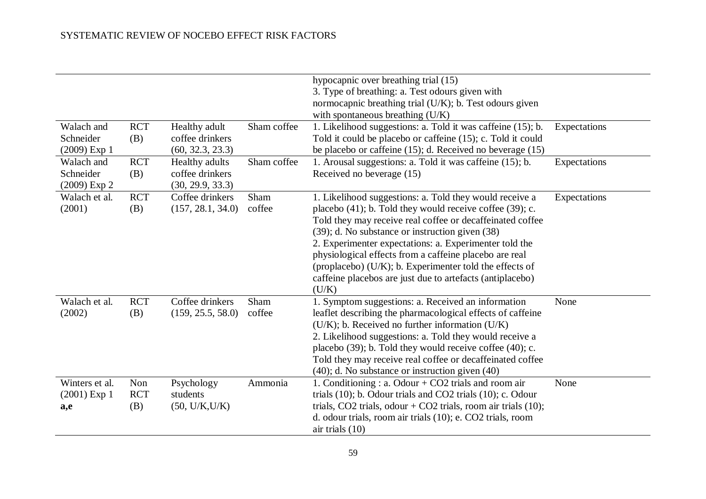| Walach and<br>Schneider<br>$(2009)$ Exp 1 | <b>RCT</b><br>(B)        | Healthy adult<br>coffee drinkers<br>(60, 32.3, 23.3)  | Sham coffee    | hypocapnic over breathing trial (15)<br>3. Type of breathing: a. Test odours given with<br>normocapnic breathing trial (U/K); b. Test odours given<br>with spontaneous breathing (U/K)<br>1. Likelihood suggestions: a. Told it was caffeine (15); b.<br>Told it could be placebo or caffeine (15); c. Told it could<br>be placebo or caffeine $(15)$ ; d. Received no beverage $(15)$                                                                                                         | Expectations |
|-------------------------------------------|--------------------------|-------------------------------------------------------|----------------|------------------------------------------------------------------------------------------------------------------------------------------------------------------------------------------------------------------------------------------------------------------------------------------------------------------------------------------------------------------------------------------------------------------------------------------------------------------------------------------------|--------------|
| Walach and<br>Schneider<br>$(2009)$ Exp 2 | <b>RCT</b><br>(B)        | Healthy adults<br>coffee drinkers<br>(30, 29.9, 33.3) | Sham coffee    | 1. Arousal suggestions: a. Told it was caffeine (15); b.<br>Received no beverage (15)                                                                                                                                                                                                                                                                                                                                                                                                          | Expectations |
| Walach et al.<br>(2001)                   | <b>RCT</b><br>(B)        | Coffee drinkers<br>(157, 28.1, 34.0)                  | Sham<br>coffee | 1. Likelihood suggestions: a. Told they would receive a<br>placebo $(41)$ ; b. Told they would receive coffee $(39)$ ; c.<br>Told they may receive real coffee or decaffeinated coffee<br>(39); d. No substance or instruction given (38)<br>2. Experimenter expectations: a. Experimenter told the<br>physiological effects from a caffeine placebo are real<br>(proplacebo) (U/K); b. Experimenter told the effects of<br>caffeine placebos are just due to artefacts (antiplacebo)<br>(U/K) | Expectations |
| Walach et al.<br>(2002)                   | <b>RCT</b><br>(B)        | Coffee drinkers<br>(159, 25.5, 58.0)                  | Sham<br>coffee | 1. Symptom suggestions: a. Received an information<br>leaflet describing the pharmacological effects of caffeine<br>$(U/K)$ ; b. Received no further information $(U/K)$<br>2. Likelihood suggestions: a. Told they would receive a<br>placebo (39); b. Told they would receive coffee (40); c.<br>Told they may receive real coffee or decaffeinated coffee<br>(40); d. No substance or instruction given (40)                                                                                | None         |
| Winters et al.<br>$(2001)$ Exp 1<br>a,e   | Non<br><b>RCT</b><br>(B) | Psychology<br>students<br>(50, U/K, U/K)              | Ammonia        | 1. Conditioning : a. Odour + $CO2$ trials and room air<br>trials $(10)$ ; b. Odour trials and CO2 trials $(10)$ ; c. Odour<br>trials, CO2 trials, odour + CO2 trials, room air trials $(10)$ ;<br>d. odour trials, room air trials (10); e. CO2 trials, room<br>air trials $(10)$                                                                                                                                                                                                              | None         |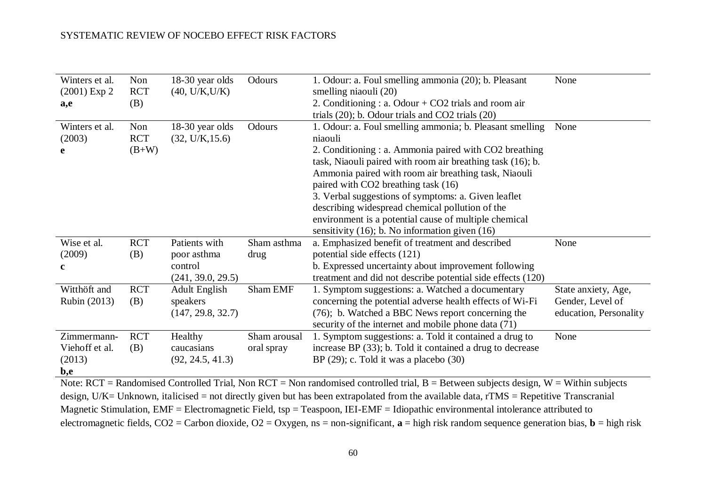| Winters et al.      | Non        | 18-30 year olds      | Odours       | 1. Odour: a. Foul smelling ammonia (20); b. Pleasant                                                                                                                                                     | None                   |
|---------------------|------------|----------------------|--------------|----------------------------------------------------------------------------------------------------------------------------------------------------------------------------------------------------------|------------------------|
| $(2001)$ Exp 2      | <b>RCT</b> | (40, U/K, U/K)       |              | smelling niaouli (20)                                                                                                                                                                                    |                        |
| a,e                 | (B)        |                      |              | 2. Conditioning : a. Odour $+$ CO2 trials and room air                                                                                                                                                   |                        |
|                     |            |                      |              | trials $(20)$ ; b. Odour trials and CO2 trials $(20)$                                                                                                                                                    |                        |
| Winters et al.      | Non        | 18-30 year olds      | Odours       | 1. Odour: a. Foul smelling ammonia; b. Pleasant smelling                                                                                                                                                 | None                   |
| (2003)              | <b>RCT</b> | (32, U/K, 15.6)      |              | niaouli                                                                                                                                                                                                  |                        |
| e                   | $(B+W)$    |                      |              | 2. Conditioning : a. Ammonia paired with CO2 breathing                                                                                                                                                   |                        |
|                     |            |                      |              | task, Niaouli paired with room air breathing task (16); b.                                                                                                                                               |                        |
|                     |            |                      |              | Ammonia paired with room air breathing task, Niaouli                                                                                                                                                     |                        |
|                     |            |                      |              | paired with CO2 breathing task (16)                                                                                                                                                                      |                        |
|                     |            |                      |              | 3. Verbal suggestions of symptoms: a. Given leaflet                                                                                                                                                      |                        |
|                     |            |                      |              | describing widespread chemical pollution of the                                                                                                                                                          |                        |
|                     |            |                      |              | environment is a potential cause of multiple chemical                                                                                                                                                    |                        |
|                     |            |                      |              | sensitivity $(16)$ ; b. No information given $(16)$                                                                                                                                                      |                        |
| Wise et al.         | <b>RCT</b> | Patients with        | Sham asthma  | a. Emphasized benefit of treatment and described                                                                                                                                                         | None                   |
| (2009)              | (B)        | poor asthma          | drug         | potential side effects (121)                                                                                                                                                                             |                        |
| $\mathbf{c}$        |            | control              |              | b. Expressed uncertainty about improvement following                                                                                                                                                     |                        |
|                     |            | (241, 39.0, 29.5)    |              | treatment and did not describe potential side effects (120)                                                                                                                                              |                        |
| Witthöft and        | <b>RCT</b> | <b>Adult English</b> | Sham EMF     | 1. Symptom suggestions: a. Watched a documentary                                                                                                                                                         | State anxiety, Age,    |
| <b>Rubin</b> (2013) | (B)        | speakers             |              | concerning the potential adverse health effects of Wi-Fi                                                                                                                                                 | Gender, Level of       |
|                     |            | (147, 29.8, 32.7)    |              | (76); b. Watched a BBC News report concerning the                                                                                                                                                        | education, Personality |
|                     |            |                      |              | security of the internet and mobile phone data (71)                                                                                                                                                      |                        |
| Zimmermann-         | <b>RCT</b> | Healthy              | Sham arousal | 1. Symptom suggestions: a. Told it contained a drug to                                                                                                                                                   | None                   |
| Viehoff et al.      | (B)        | caucasians           | oral spray   | increase BP (33); b. Told it contained a drug to decrease                                                                                                                                                |                        |
| (2013)              |            | (92, 24.5, 41.3)     |              | BP $(29)$ ; c. Told it was a placebo $(30)$                                                                                                                                                              |                        |
| b,e                 |            |                      |              |                                                                                                                                                                                                          |                        |
| $\mathbf{r}$        |            |                      |              | $\mathbf{1}$ $\mathbf{1}$ $\mathbf{1}$ $\mathbf{1}$ $\mathbf{1}$ $\mathbf{1}$ $\mathbf{1}$ $\mathbf{1}$ $\mathbf{1}$ $\mathbf{1}$ $\mathbf{1}$ $\mathbf{1}$<br>$1!$ , $1!$ $1!$ $1!$ $1!$ $1!$ $1!$ $1!$ | $\sim$ 1.1 $\sim$      |

Note:  $RCT = Randomised Controled Trial, Non RCT = Non randomized controlled trial, B = Between subjects design, W = Within subjects$ design, U/K= Unknown, italicised = not directly given but has been extrapolated from the available data, rTMS = Repetitive Transcranial Magnetic Stimulation, EMF = Electromagnetic Field, tsp = Teaspoon, IEI-EMF = Idiopathic environmental intolerance attributed to electromagnetic fields,  $CO2 =$  Carbon dioxide,  $O2 =$  Oxygen,  $ns =$  non-significant,  $a =$  high risk random sequence generation bias,  $b =$  high risk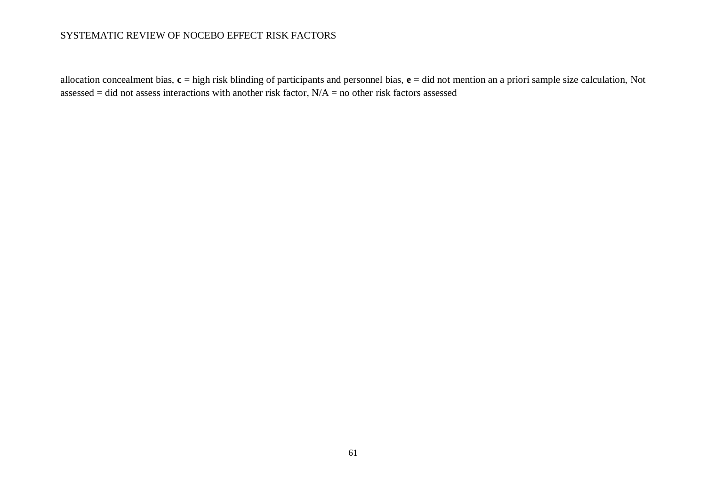allocation concealment bias, **c** = high risk blinding of participants and personnel bias, **e** = did not mention an a priori sample size calculation, Not assessed = did not assess interactions with another risk factor,  $N/A$  = no other risk factors assessed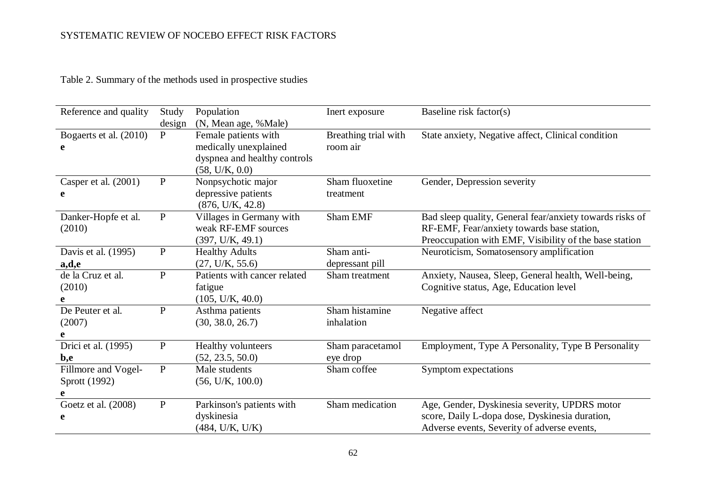Table 2. Summary of the methods used in prospective studies

| Reference and quality  | Study        | Population                   | Inert exposure       | Baseline risk factor(s)                                  |
|------------------------|--------------|------------------------------|----------------------|----------------------------------------------------------|
|                        | design       | (N, Mean age, %Male)         |                      |                                                          |
| Bogaerts et al. (2010) | $\mathbf{P}$ | Female patients with         | Breathing trial with | State anxiety, Negative affect, Clinical condition       |
| e                      |              | medically unexplained        | room air             |                                                          |
|                        |              | dyspnea and healthy controls |                      |                                                          |
|                        |              | (58, U/K, 0.0)               |                      |                                                          |
| Casper et al. (2001)   | $\, {\bf P}$ | Nonpsychotic major           | Sham fluoxetine      | Gender, Depression severity                              |
| e                      |              | depressive patients          | treatment            |                                                          |
|                        |              | (876, U/K, 42.8)             |                      |                                                          |
| Danker-Hopfe et al.    | $\, {\bf P}$ | Villages in Germany with     | Sham EMF             | Bad sleep quality, General fear/anxiety towards risks of |
| (2010)                 |              | weak RF-EMF sources          |                      | RF-EMF, Fear/anxiety towards base station,               |
|                        |              | (397, U/K, 49.1)             |                      | Preoccupation with EMF, Visibility of the base station   |
| Davis et al. (1995)    | $\mathbf P$  | <b>Healthy Adults</b>        | Sham anti-           | Neuroticism, Somatosensory amplification                 |
| a,d,e                  |              | (27, U/K, 55.6)              | depressant pill      |                                                          |
| de la Cruz et al.      | ${\bf P}$    | Patients with cancer related | Sham treatment       | Anxiety, Nausea, Sleep, General health, Well-being,      |
| (2010)                 |              | fatigue                      |                      | Cognitive status, Age, Education level                   |
| e                      |              | (105, U/K, 40.0)             |                      |                                                          |
| De Peuter et al.       | ${\bf P}$    | Asthma patients              | Sham histamine       | Negative affect                                          |
| (2007)                 |              | (30, 38.0, 26.7)             | inhalation           |                                                          |
| e                      |              |                              |                      |                                                          |
| Drici et al. (1995)    | ${\bf P}$    | Healthy volunteers           | Sham paracetamol     | Employment, Type A Personality, Type B Personality       |
| b,e                    |              | (52, 23.5, 50.0)             | eye drop             |                                                          |
| Fillmore and Vogel-    | ${\bf P}$    | Male students                | Sham coffee          | Symptom expectations                                     |
| Sprott (1992)          |              | (56, U/K, 100.0)             |                      |                                                          |
| e                      |              |                              |                      |                                                          |
| Goetz et al. (2008)    | $\, {\bf P}$ | Parkinson's patients with    | Sham medication      | Age, Gender, Dyskinesia severity, UPDRS motor            |
| e                      |              | dyskinesia                   |                      | score, Daily L-dopa dose, Dyskinesia duration,           |
|                        |              | (484, U/K, U/K)              |                      | Adverse events, Severity of adverse events,              |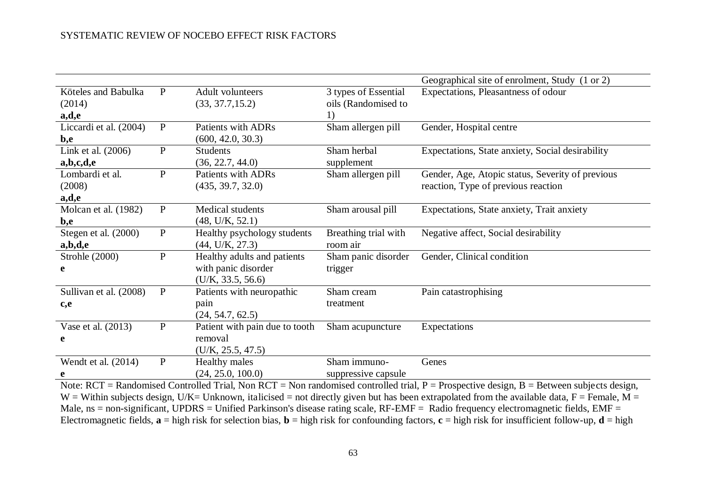|                        |              |                                |                      | Geographical site of enrolment, Study (1 or 2)   |
|------------------------|--------------|--------------------------------|----------------------|--------------------------------------------------|
| Köteles and Babulka    | P            | <b>Adult volunteers</b>        | 3 types of Essential | Expectations, Pleasantness of odour              |
| (2014)                 |              | (33, 37.7, 15.2)               | oils (Randomised to  |                                                  |
| a,d,e                  |              |                                | 1)                   |                                                  |
| Liccardi et al. (2004) | $\mathbf{P}$ | <b>Patients with ADRs</b>      | Sham allergen pill   | Gender, Hospital centre                          |
| b,e                    |              | (600, 42.0, 30.3)              |                      |                                                  |
| Link et al. (2006)     | ${\bf P}$    | <b>Students</b>                | Sham herbal          | Expectations, State anxiety, Social desirability |
| a,b,c,d,e              |              | (36, 22.7, 44.0)               | supplement           |                                                  |
| Lombardi et al.        | $\mathbf{P}$ | <b>Patients with ADRs</b>      | Sham allergen pill   | Gender, Age, Atopic status, Severity of previous |
| (2008)                 |              | (435, 39.7, 32.0)              |                      | reaction, Type of previous reaction              |
| a,d,e                  |              |                                |                      |                                                  |
| Molcan et al. (1982)   | $\mathbf{P}$ | Medical students               | Sham arousal pill    | Expectations, State anxiety, Trait anxiety       |
| b,e                    |              | (48, U/K, 52.1)                |                      |                                                  |
| Stegen et al. (2000)   | ${\bf P}$    | Healthy psychology students    | Breathing trial with | Negative affect, Social desirability             |
| a,b,d,e                |              | (44, U/K, 27.3)                | room air             |                                                  |
| Strohle (2000)         | $\mathbf{P}$ | Healthy adults and patients    | Sham panic disorder  | Gender, Clinical condition                       |
| e                      |              | with panic disorder            | trigger              |                                                  |
|                        |              | (U/K, 33.5, 56.6)              |                      |                                                  |
| Sullivan et al. (2008) | $\mathbf{P}$ | Patients with neuropathic      | Sham cream           | Pain catastrophising                             |
| c,e                    |              | pain                           | treatment            |                                                  |
|                        |              | (24, 54.7, 62.5)               |                      |                                                  |
| Vase et al. (2013)     | $\mathbf P$  | Patient with pain due to tooth | Sham acupuncture     | Expectations                                     |
| e                      |              | removal                        |                      |                                                  |
|                        |              | (U/K, 25.5, 47.5)              |                      |                                                  |
| Wendt et al. $(2014)$  | $\mathbf{P}$ | <b>Healthy males</b>           | Sham immuno-         | Genes                                            |
| e                      |              | (24, 25.0, 100.0)              | suppressive capsule  |                                                  |

Note: RCT = Randomised Controlled Trial, Non RCT = Non randomised controlled trial, P = Prospective design, B = Between subjects design, W = Within subjects design, U/K= Unknown, italicised = not directly given but has been extrapolated from the available data, F = Female, M = Male, ns = non-significant, UPDRS = Unified Parkinson's disease rating scale, RF-EMF = Radio frequency electromagnetic fields, EMF = Electromagnetic fields,  $\mathbf{a} = \text{high risk}$  for selection bias,  $\mathbf{b} = \text{high risk}$  for confounding factors,  $\mathbf{c} = \text{high risk}$  for insufficient follow-up,  $\mathbf{d} = \text{high}$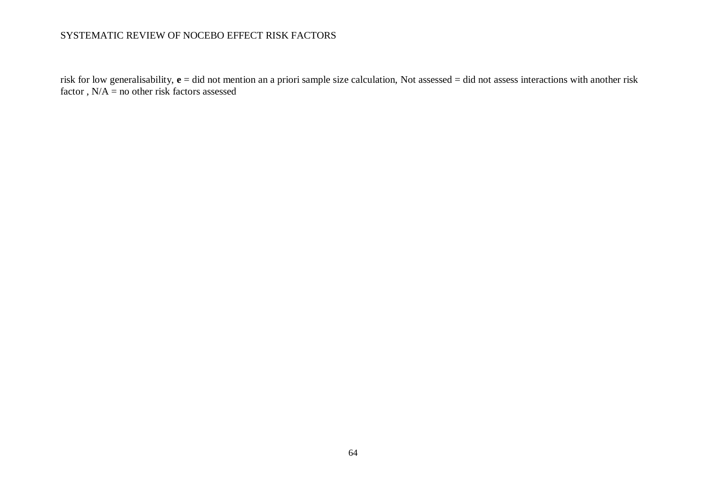risk for low generalisability, **e** = did not mention an a priori sample size calculation, Not assessed = did not assess interactions with another risk factor,  $N/A$  = no other risk factors assessed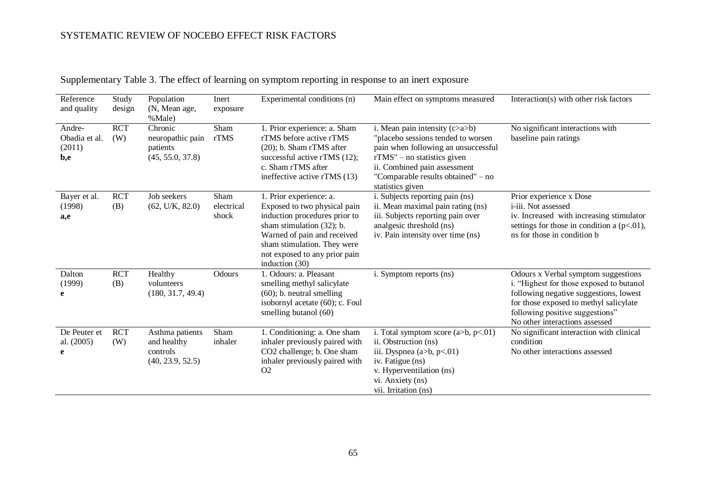| Reference<br>and quality                 | Study<br>design   | Population<br>(N, Mean age,<br>%Male)                          | Inert<br>exposure           | Experimental conditions (n)                                                                                                                                                                                                               | Main effect on symptoms measured                                                                                                                                                                                                          | Interaction(s) with other risk factors                                                                                                                                                                                                   |
|------------------------------------------|-------------------|----------------------------------------------------------------|-----------------------------|-------------------------------------------------------------------------------------------------------------------------------------------------------------------------------------------------------------------------------------------|-------------------------------------------------------------------------------------------------------------------------------------------------------------------------------------------------------------------------------------------|------------------------------------------------------------------------------------------------------------------------------------------------------------------------------------------------------------------------------------------|
| Andre-<br>Obadia et al.<br>(2011)<br>b,e | <b>RCT</b><br>(W) | Chronic<br>neuropathic pain<br>patients<br>(45, 55.0, 37.8)    | Sham<br>rTMS                | 1. Prior experience: a. Sham<br>rTMS before active rTMS<br>$(20)$ ; b. Sham rTMS after<br>successful active rTMS (12);<br>c. Sham rTMS after<br>ineffective active rTMS (13)                                                              | i. Mean pain intensity $(c>a>b)$<br>"placebo sessions tended to worsen<br>pain when following an unsuccessful<br>$rTMS''$ – no statistics given<br>ii. Combined pain assessment<br>"Comparable results obtained" - no<br>statistics given | No significant interactions with<br>baseline pain ratings                                                                                                                                                                                |
| Bayer et al.<br>(1998)<br>a,e            | <b>RCT</b><br>(B) | Job seekers<br>(62, U/K, 82.0)                                 | Sham<br>electrical<br>shock | 1. Prior experience: a.<br>Exposed to two physical pain<br>induction procedures prior to<br>sham stimulation $(32)$ ; b.<br>Warned of pain and received<br>sham stimulation. They were<br>not exposed to any prior pain<br>induction (30) | i. Subjects reporting pain (ns)<br>ii. Mean maximal pain rating (ns)<br>iii. Subjects reporting pain over<br>analgesic threshold (ns)<br>iv. Pain intensity over time (ns)                                                                | Prior experience x Dose<br>i-iii. Not assessed<br>iv. Increased with increasing stimulator<br>settings for those in condition a $(p<.01)$ ,<br>ns for those in condition b                                                               |
| Dalton<br>(1999)<br>e                    | <b>RCT</b><br>(B) | Healthy<br>volunteers<br>(180, 31.7, 49.4)                     | Odours                      | 1. Odours: a. Pleasant<br>smelling methyl salicylate<br>$(60)$ ; b. neutral smelling<br>isobornyl acetate (60); c. Foul<br>smelling butanol (60)                                                                                          | i. Symptom reports (ns)                                                                                                                                                                                                                   | Odours x Verbal symptom suggestions<br>i. "Highest for those exposed to butanol<br>following negative suggestions, lowest<br>for those exposed to methyl salicylate<br>following positive suggestions"<br>No other interactions assessed |
| De Peuter et<br>al. (2005)<br>e          | <b>RCT</b><br>(W) | Asthma patients<br>and healthy<br>controls<br>(40, 23.9, 52.5) | Sham<br>inhaler             | 1. Conditioning: a. One sham<br>inhaler previously paired with<br>CO2 challenge; b. One sham<br>inhaler previously paired with<br>O2                                                                                                      | i. Total symptom score $(a>b, p<.01)$<br>ii. Obstruction (ns)<br>iii. Dyspnea (a>b, p<.01)<br>iv. Fatigue (ns)<br>v. Hyperventilation (ns)<br>vi. Anxiety (ns)<br>vii. Irritation (ns)                                                    | No significant interaction with clinical<br>condition<br>No other interactions assessed                                                                                                                                                  |

Supplementary Table 3. The effect of learning on symptom reporting in response to an inert exposure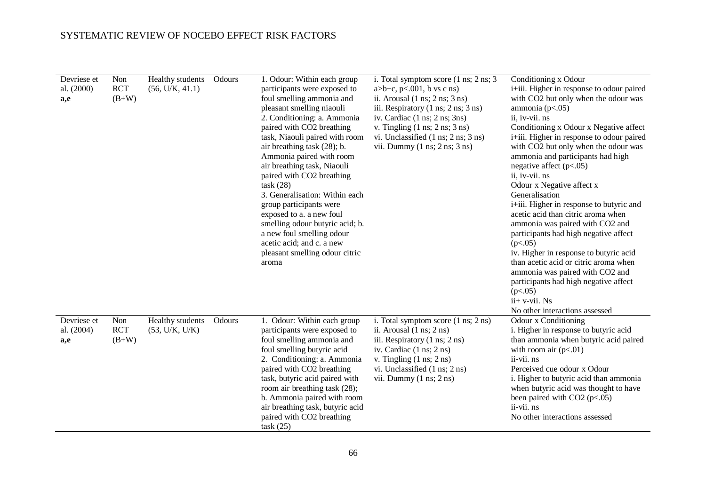| Devriese et<br>al. (2000)<br>a,e | Non<br><b>RCT</b><br>$(B+W)$ | Healthy students<br>(56, U/K, 41.1) | Odours | 1. Odour: Within each group<br>participants were exposed to<br>foul smelling ammonia and<br>pleasant smelling niaouli<br>2. Conditioning: a. Ammonia<br>paired with CO2 breathing<br>task, Niaouli paired with room<br>air breathing task (28); b.<br>Ammonia paired with room<br>air breathing task, Niaouli<br>paired with CO2 breathing<br>task(28)<br>3. Generalisation: Within each<br>group participants were<br>exposed to a. a new foul<br>smelling odour butyric acid; b.<br>a new foul smelling odour<br>acetic acid; and c. a new<br>pleasant smelling odour citric<br>aroma | i. Total symptom score $(1 \text{ ns}; 2 \text{ ns}; 3)$<br>$a>b+c, p<.001$ , b vs c ns)<br>ii. Arousal $(1 \text{ ns}; 2 \text{ ns}; 3 \text{ ns})$<br>iii. Respiratory (1 ns; 2 ns; 3 ns)<br>iv. Cardiac $(1 \text{ ns}; 2 \text{ ns}; 3 \text{ ns})$<br>v. Tingling $(1 \text{ ns}; 2 \text{ ns}; 3 \text{ ns})$<br>vi. Unclassified $(1 \text{ ns}; 2 \text{ ns}; 3 \text{ ns})$<br>vii. Dummy $(1 \text{ ns}; 2 \text{ ns}; 3 \text{ ns})$ | Conditioning x Odour<br>i+iii. Higher in response to odour paired<br>with CO2 but only when the odour was<br>ammonia $(p<.05)$<br>ii, iv-vii. ns<br>Conditioning x Odour x Negative affect<br>i+iii. Higher in response to odour paired<br>with CO2 but only when the odour was<br>ammonia and participants had high<br>negative affect $(p<.05)$<br>ii, iv-vii. ns<br>Odour x Negative affect x<br>Generalisation<br>i+iii. Higher in response to butyric and<br>acetic acid than citric aroma when<br>ammonia was paired with CO2 and<br>participants had high negative affect<br>(p<.05)<br>iv. Higher in response to butyric acid<br>than acetic acid or citric aroma when<br>ammonia was paired with CO2 and<br>participants had high negative affect<br>(p<.05)<br>$ii+ v-vii$ . Ns<br>No other interactions assessed |
|----------------------------------|------------------------------|-------------------------------------|--------|-----------------------------------------------------------------------------------------------------------------------------------------------------------------------------------------------------------------------------------------------------------------------------------------------------------------------------------------------------------------------------------------------------------------------------------------------------------------------------------------------------------------------------------------------------------------------------------------|-------------------------------------------------------------------------------------------------------------------------------------------------------------------------------------------------------------------------------------------------------------------------------------------------------------------------------------------------------------------------------------------------------------------------------------------------|-----------------------------------------------------------------------------------------------------------------------------------------------------------------------------------------------------------------------------------------------------------------------------------------------------------------------------------------------------------------------------------------------------------------------------------------------------------------------------------------------------------------------------------------------------------------------------------------------------------------------------------------------------------------------------------------------------------------------------------------------------------------------------------------------------------------------------|
| Devriese et<br>al. (2004)<br>a,e | Non<br><b>RCT</b><br>$(B+W)$ | Healthy students<br>(53, U/K, U/K)  | Odours | 1. Odour: Within each group<br>participants were exposed to<br>foul smelling ammonia and<br>foul smelling butyric acid<br>2. Conditioning: a. Ammonia<br>paired with CO2 breathing<br>task, butyric acid paired with<br>room air breathing task (28);<br>b. Ammonia paired with room<br>air breathing task, butyric acid<br>paired with CO2 breathing<br>task (25)                                                                                                                                                                                                                      | i. Total symptom score (1 ns; 2 ns)<br>ii. Arousal $(1 \text{ ns}; 2 \text{ ns})$<br>iii. Respiratory (1 ns; 2 ns)<br>iv. Cardiac $(1 \text{ ns}; 2 \text{ ns})$<br>v. Tingling $(1 \text{ ns}; 2 \text{ ns})$<br>vi. Unclassified $(1 \text{ ns}; 2 \text{ ns})$<br>vii. Dummy $(1 \text{ ns}; 2 \text{ ns})$                                                                                                                                  | Odour x Conditioning<br>i. Higher in response to butyric acid<br>than ammonia when butyric acid paired<br>with room air $(p<.01)$<br>ii-vii. ns<br>Perceived cue odour x Odour<br>i. Higher to butyric acid than ammonia<br>when butyric acid was thought to have<br>been paired with $CO2 (p<.05)$<br>ii-vii. ns<br>No other interactions assessed                                                                                                                                                                                                                                                                                                                                                                                                                                                                         |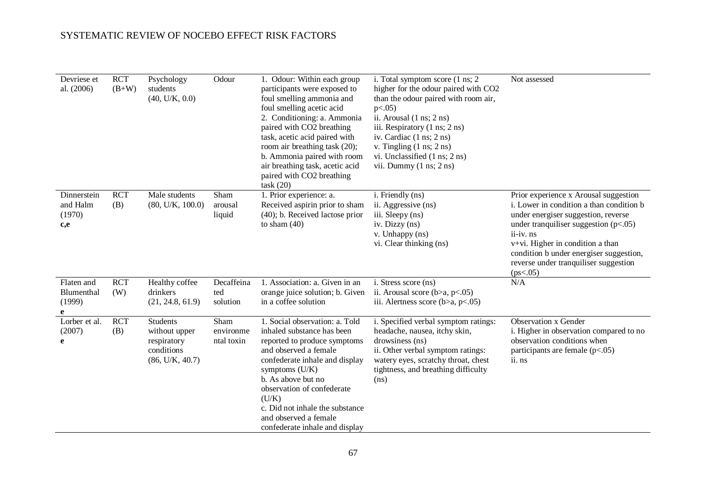| Devriese et<br>al. (2006)                | <b>RCT</b><br>$(B+W)$ | Psychology<br>students<br>(40, U/K, 0.0)                                         | Odour                           | 1. Odour: Within each group<br>participants were exposed to<br>foul smelling ammonia and<br>foul smelling acetic acid<br>2. Conditioning: a. Ammonia<br>paired with CO2 breathing<br>task, acetic acid paired with<br>room air breathing task (20);<br>b. Ammonia paired with room<br>air breathing task, acetic acid<br>paired with CO2 breathing<br>task(20) | i. Total symptom score (1 ns; 2)<br>higher for the odour paired with CO2<br>than the odour paired with room air,<br>$p<.05$ )<br>ii. Arousal $(1 \text{ ns}; 2 \text{ ns})$<br>iii. Respiratory (1 ns; 2 ns)<br>iv. Cardiac (1 ns; 2 ns)<br>v. Tingling $(1 \text{ ns}; 2 \text{ ns})$<br>vi. Unclassified (1 ns; 2 ns)<br>vii. Dummy $(1 \text{ ns}; 2 \text{ ns})$ | Not assessed                                                                                                                                                                                                                                                                                                                |
|------------------------------------------|-----------------------|----------------------------------------------------------------------------------|---------------------------------|----------------------------------------------------------------------------------------------------------------------------------------------------------------------------------------------------------------------------------------------------------------------------------------------------------------------------------------------------------------|----------------------------------------------------------------------------------------------------------------------------------------------------------------------------------------------------------------------------------------------------------------------------------------------------------------------------------------------------------------------|-----------------------------------------------------------------------------------------------------------------------------------------------------------------------------------------------------------------------------------------------------------------------------------------------------------------------------|
| Dinnerstein<br>and Halm<br>(1970)<br>c,e | <b>RCT</b><br>(B)     | Male students<br>(80, U/K, 100.0)                                                | Sham<br>arousal<br>liquid       | 1. Prior experience: a.<br>Received aspirin prior to sham<br>(40); b. Received lactose prior<br>to sham $(40)$                                                                                                                                                                                                                                                 | i. Friendly (ns)<br>ii. Aggressive (ns)<br>iii. Sleepy (ns)<br>iv. Dizzy (ns)<br>v. Unhappy (ns)<br>vi. Clear thinking (ns)                                                                                                                                                                                                                                          | Prior experience x Arousal suggestion<br>i. Lower in condition a than condition b<br>under energiser suggestion, reverse<br>under tranquiliser suggestion $(p<.05)$<br>$ii - iv$ . $ns$<br>v+vi. Higher in condition a than<br>condition b under energiser suggestion,<br>reverse under tranquiliser suggestion<br>(ps<.05) |
| Flaten and<br>Blumenthal<br>(1999)<br>e  | <b>RCT</b><br>(W)     | Healthy coffee<br>drinkers<br>(21, 24.8, 61.9)                                   | Decaffeina<br>ted<br>solution   | 1. Association: a. Given in an<br>orange juice solution; b. Given<br>in a coffee solution                                                                                                                                                                                                                                                                      | i. Stress score (ns)<br>ii. Arousal score ( $b>a$ , $p<.05$ )<br>iii. Alertness score ( $b>a$ , $p<.05$ )                                                                                                                                                                                                                                                            | N/A                                                                                                                                                                                                                                                                                                                         |
| Lorber et al.<br>(2007)<br>e             | <b>RCT</b><br>(B)     | <b>Students</b><br>without upper<br>respiratory<br>conditions<br>(86, U/K, 40.7) | Sham<br>environme<br>ntal toxin | 1. Social observation: a. Told<br>inhaled substance has been<br>reported to produce symptoms<br>and observed a female<br>confederate inhale and display<br>symptoms $(U/K)$<br>b. As above but no<br>observation of confederate<br>(U/K)<br>c. Did not inhale the substance<br>and observed a female<br>confederate inhale and display                         | i. Specified verbal symptom ratings:<br>headache, nausea, itchy skin,<br>drowsiness (ns)<br>ii. Other verbal symptom ratings:<br>watery eyes, scratchy throat, chest<br>tightness, and breathing difficulty<br>(ns)                                                                                                                                                  | <b>Observation x Gender</b><br>i. Higher in observation compared to no<br>observation conditions when<br>participants are female $(p<.05)$<br>ii. ns                                                                                                                                                                        |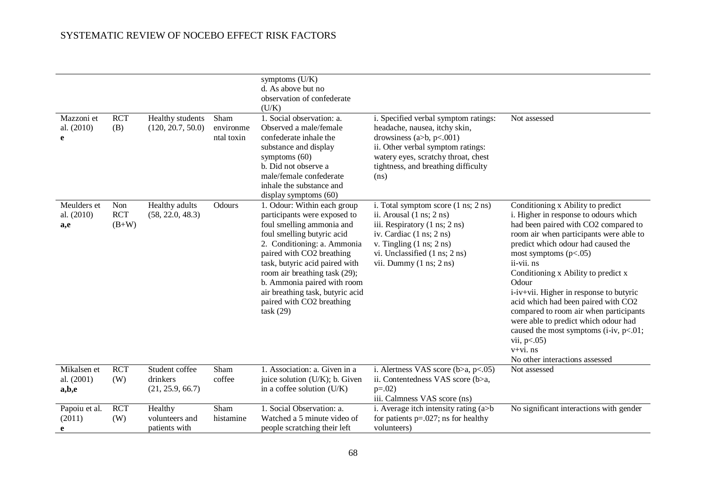| Mazzoni et<br>al. (2010)<br>e      | <b>RCT</b><br>(B)            | Healthy students<br>(120, 20.7, 50.0)          | Sham<br>environme<br>ntal toxin | symptoms (U/K)<br>d. As above but no<br>observation of confederate<br>(U/K)<br>1. Social observation: a.<br>Observed a male/female<br>confederate inhale the<br>substance and display<br>symptoms $(60)$<br>b. Did not observe a<br>male/female confederate<br>inhale the substance and<br>display symptoms (60)                                                  | i. Specified verbal symptom ratings:<br>headache, nausea, itchy skin,<br>drowsiness (a>b, $p<.001$ )<br>ii. Other verbal symptom ratings:<br>watery eyes, scratchy throat, chest<br>tightness, and breathing difficulty<br>(ns)                                                              | Not assessed                                                                                                                                                                                                                                                                                                                                                                                                                                                                                                                                                                     |
|------------------------------------|------------------------------|------------------------------------------------|---------------------------------|-------------------------------------------------------------------------------------------------------------------------------------------------------------------------------------------------------------------------------------------------------------------------------------------------------------------------------------------------------------------|----------------------------------------------------------------------------------------------------------------------------------------------------------------------------------------------------------------------------------------------------------------------------------------------|----------------------------------------------------------------------------------------------------------------------------------------------------------------------------------------------------------------------------------------------------------------------------------------------------------------------------------------------------------------------------------------------------------------------------------------------------------------------------------------------------------------------------------------------------------------------------------|
| Meulders et<br>al. (2010)<br>a,e   | Non<br><b>RCT</b><br>$(B+W)$ | Healthy adults<br>(58, 22.0, 48.3)             | Odours                          | 1. Odour: Within each group<br>participants were exposed to<br>foul smelling ammonia and<br>foul smelling butyric acid<br>2. Conditioning: a. Ammonia<br>paired with CO2 breathing<br>task, butyric acid paired with<br>room air breathing task (29);<br>b. Ammonia paired with room<br>air breathing task, butyric acid<br>paired with CO2 breathing<br>task(29) | i. Total symptom score $(1 \text{ ns}; 2 \text{ ns})$<br>ii. Arousal $(1 \text{ ns}; 2 \text{ ns})$<br>iii. Respiratory (1 ns; 2 ns)<br>iv. Cardiac $(1 \text{ ns}; 2 \text{ ns})$<br>v. Tingling (1 ns; 2 ns)<br>vi. Unclassified (1 ns; 2 ns)<br>vii. Dummy $(1 \text{ ns}; 2 \text{ ns})$ | Conditioning x Ability to predict<br>i. Higher in response to odours which<br>had been paired with CO2 compared to<br>room air when participants were able to<br>predict which odour had caused the<br>most symptoms $(p<.05)$<br>ii-vii. ns<br>Conditioning x Ability to predict x<br>Odour<br>i-iv+vii. Higher in response to butyric<br>acid which had been paired with CO2<br>compared to room air when participants<br>were able to predict which odour had<br>caused the most symptoms (i-iv, $p<.01$ ;<br>vii, $p<.05$ )<br>$v+vi$ . ns<br>No other interactions assessed |
| Mikalsen et<br>al. (2001)<br>a,b,e | <b>RCT</b><br>(W)            | Student coffee<br>drinkers<br>(21, 25.9, 66.7) | Sham<br>coffee                  | 1. Association: a. Given in a<br>juice solution (U/K); b. Given<br>in a coffee solution $(U/K)$                                                                                                                                                                                                                                                                   | i. Alertness VAS score ( $b>a$ , $p<.05$ )<br>ii. Contentedness VAS score (b>a,<br>$p=.02)$<br>iii. Calmness VAS score (ns)                                                                                                                                                                  | Not assessed                                                                                                                                                                                                                                                                                                                                                                                                                                                                                                                                                                     |
| Papoiu et al.<br>(2011)<br>e       | <b>RCT</b><br>(W)            | Healthy<br>volunteers and<br>patients with     | Sham<br>histamine               | 1. Social Observation: a.<br>Watched a 5 minute video of<br>people scratching their left                                                                                                                                                                                                                                                                          | i. Average itch intensity rating $(a>b$<br>for patients $p=.027$ ; ns for healthy<br>volunteers)                                                                                                                                                                                             | No significant interactions with gender                                                                                                                                                                                                                                                                                                                                                                                                                                                                                                                                          |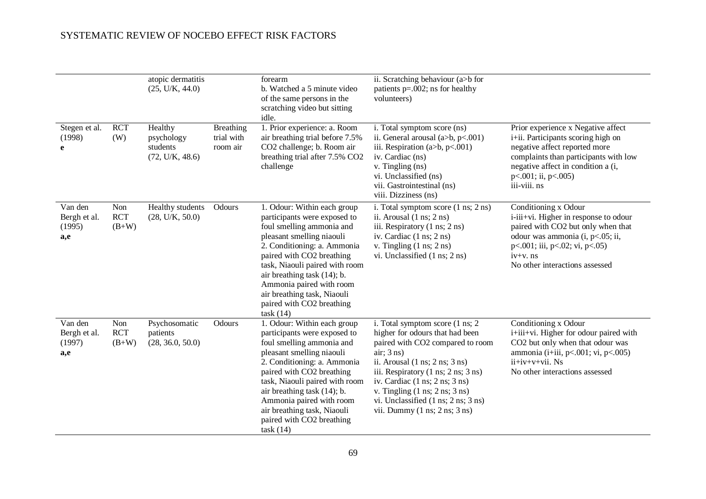|                                          |                              | atopic dermatitis<br>(25, U/K, 44.0)                 |                                            | forearm<br>b. Watched a 5 minute video<br>of the same persons in the<br>scratching video but sitting<br>idle.                                                                                                                                                                                                                                          | ii. Scratching behaviour (a>b for<br>patients $p=.002$ ; ns for healthy<br>volunteers)                                                                                                                                                                                                                                                                                                                                                                                      |                                                                                                                                                                                                                                       |
|------------------------------------------|------------------------------|------------------------------------------------------|--------------------------------------------|--------------------------------------------------------------------------------------------------------------------------------------------------------------------------------------------------------------------------------------------------------------------------------------------------------------------------------------------------------|-----------------------------------------------------------------------------------------------------------------------------------------------------------------------------------------------------------------------------------------------------------------------------------------------------------------------------------------------------------------------------------------------------------------------------------------------------------------------------|---------------------------------------------------------------------------------------------------------------------------------------------------------------------------------------------------------------------------------------|
| Stegen et al.<br>(1998)<br>e             | <b>RCT</b><br>(W)            | Healthy<br>psychology<br>students<br>(72, U/K, 48.6) | <b>Breathing</b><br>trial with<br>room air | 1. Prior experience: a. Room<br>air breathing trial before 7.5%<br>CO2 challenge; b. Room air<br>breathing trial after 7.5% CO2<br>challenge                                                                                                                                                                                                           | i. Total symptom score (ns)<br>ii. General arousal (a>b, p<.001)<br>iii. Respiration (a>b, $p<001$ )<br>iv. Cardiac (ns)<br>v. Tingling (ns)<br>vi. Unclassified (ns)<br>vii. Gastrointestinal (ns)<br>viii. Dizziness (ns)                                                                                                                                                                                                                                                 | Prior experience x Negative affect<br>i+ii. Participants scoring high on<br>negative affect reported more<br>complaints than participants with low<br>negative affect in condition a (i,<br>p<.001; ii, p<.005)<br>iii-viii. ns       |
| Van den<br>Bergh et al.<br>(1995)<br>a,e | Non<br><b>RCT</b><br>$(B+W)$ | Healthy students<br>(28, U/K, 50.0)                  | Odours                                     | 1. Odour: Within each group<br>participants were exposed to<br>foul smelling ammonia and<br>pleasant smelling niaouli<br>2. Conditioning: a. Ammonia<br>paired with CO2 breathing<br>task, Niaouli paired with room<br>air breathing task (14); b.<br>Ammonia paired with room<br>air breathing task, Niaouli<br>paired with CO2 breathing<br>task(14) | i. Total symptom score $(1 \text{ ns}; 2 \text{ ns})$<br>ii. Arousal $(1 \text{ ns}; 2 \text{ ns})$<br>iii. Respiratory (1 ns; 2 ns)<br>iv. Cardiac (1 ns; 2 ns)<br>v. Tingling $(1 \text{ ns}; 2 \text{ ns})$<br>vi. Unclassified (1 ns; 2 ns)                                                                                                                                                                                                                             | Conditioning x Odour<br>i-iii+vi. Higher in response to odour<br>paired with CO2 but only when that<br>odour was ammonia (i, p<.05; ii,<br>$p<.001$ ; iii, $p<.02$ ; vi, $p<.05$ )<br>$iv+v$ . $ns$<br>No other interactions assessed |
| Van den<br>Bergh et al.<br>(1997)<br>a,e | Non<br><b>RCT</b><br>$(B+W)$ | Psychosomatic<br>patients<br>(28, 36.0, 50.0)        | Odours                                     | 1. Odour: Within each group<br>participants were exposed to<br>foul smelling ammonia and<br>pleasant smelling niaouli<br>2. Conditioning: a. Ammonia<br>paired with CO2 breathing<br>task, Niaouli paired with room<br>air breathing task (14); b.<br>Ammonia paired with room<br>air breathing task, Niaouli<br>paired with CO2 breathing<br>task(14) | i. Total symptom score (1 ns; 2<br>higher for odours that had been<br>paired with CO2 compared to room<br>air; 3 ns)<br>ii. Arousal $(1 \text{ ns}; 2 \text{ ns}; 3 \text{ ns})$<br>iii. Respiratory (1 ns; 2 ns; 3 ns)<br>iv. Cardiac $(1 \text{ ns}; 2 \text{ ns}; 3 \text{ ns})$<br>v. Tingling $(1 \text{ ns}; 2 \text{ ns}; 3 \text{ ns})$<br>vi. Unclassified $(1 \text{ ns}; 2 \text{ ns}; 3 \text{ ns})$<br>vii. Dummy $(1 \text{ ns}; 2 \text{ ns}; 3 \text{ ns})$ | Conditioning x Odour<br>i+iii+vi. Higher for odour paired with<br>CO2 but only when that odour was<br>ammonia (i+iii, p<.001; vi, p<.005)<br>ii+iv+v+vii. Ns<br>No other interactions assessed                                        |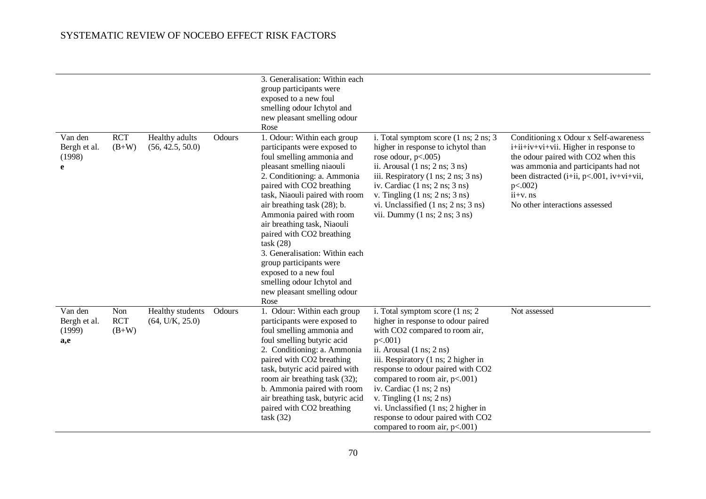|                                          |                              |                                     |        | 3. Generalisation: Within each<br>group participants were<br>exposed to a new foul<br>smelling odour Ichytol and<br>new pleasant smelling odour<br>Rose                                                                                                                                                                                                                                                                                                                                                           |                                                                                                                                                                                                                                                                                                                                                                                                                                                                         |                                                                                                                                                                                                                                                                                            |
|------------------------------------------|------------------------------|-------------------------------------|--------|-------------------------------------------------------------------------------------------------------------------------------------------------------------------------------------------------------------------------------------------------------------------------------------------------------------------------------------------------------------------------------------------------------------------------------------------------------------------------------------------------------------------|-------------------------------------------------------------------------------------------------------------------------------------------------------------------------------------------------------------------------------------------------------------------------------------------------------------------------------------------------------------------------------------------------------------------------------------------------------------------------|--------------------------------------------------------------------------------------------------------------------------------------------------------------------------------------------------------------------------------------------------------------------------------------------|
| Van den<br>Bergh et al.<br>(1998)<br>e   | <b>RCT</b><br>$(B+W)$        | Healthy adults<br>(56, 42.5, 50.0)  | Odours | 1. Odour: Within each group<br>participants were exposed to<br>foul smelling ammonia and<br>pleasant smelling niaouli<br>2. Conditioning: a. Ammonia<br>paired with CO2 breathing<br>task, Niaouli paired with room<br>air breathing task (28); b.<br>Ammonia paired with room<br>air breathing task, Niaouli<br>paired with CO2 breathing<br>task(28)<br>3. Generalisation: Within each<br>group participants were<br>exposed to a new foul<br>smelling odour Ichytol and<br>new pleasant smelling odour<br>Rose | i. Total symptom score (1 ns; 2 ns; 3<br>higher in response to ichytol than<br>rose odour, $p<.005$ )<br>ii. Arousal $(1 \text{ ns}; 2 \text{ ns}; 3 \text{ ns})$<br>iii. Respiratory (1 ns; 2 ns; 3 ns)<br>iv. Cardiac $(1 \text{ ns}; 2 \text{ ns}; 3 \text{ ns})$<br>v. Tingling $(1 \text{ ns}; 2 \text{ ns}; 3 \text{ ns})$<br>vi. Unclassified $(1 \text{ ns}; 2 \text{ ns}; 3 \text{ ns})$<br>vii. Dummy $(1 \text{ ns}; 2 \text{ ns}; 3 \text{ ns})$            | Conditioning x Odour x Self-awareness<br>$i+i$ $i+i$ $v+v$ $i+vi$ $i$ . Higher in response to<br>the odour paired with CO2 when this<br>was ammonia and participants had not<br>been distracted (i+ii, p<.001, iv+vi+vii,<br>$p<.002$ )<br>$ii+v$ . $ns$<br>No other interactions assessed |
| Van den<br>Bergh et al.<br>(1999)<br>a,e | Non<br><b>RCT</b><br>$(B+W)$ | Healthy students<br>(64, U/K, 25.0) | Odours | 1. Odour: Within each group<br>participants were exposed to<br>foul smelling ammonia and<br>foul smelling butyric acid<br>2. Conditioning: a. Ammonia<br>paired with CO2 breathing<br>task, butyric acid paired with<br>room air breathing task (32);<br>b. Ammonia paired with room<br>air breathing task, butyric acid<br>paired with CO2 breathing<br>task (32)                                                                                                                                                | i. Total symptom score (1 ns; 2<br>higher in response to odour paired<br>with CO2 compared to room air,<br>$p<.001$ )<br>ii. Arousal $(1 \text{ ns}; 2 \text{ ns})$<br>iii. Respiratory (1 ns; 2 higher in<br>response to odour paired with CO2<br>compared to room air, p<.001)<br>iv. Cardiac (1 ns; 2 ns)<br>v. Tingling $(1 \text{ ns}; 2 \text{ ns})$<br>vi. Unclassified (1 ns; 2 higher in<br>response to odour paired with CO2<br>compared to room air, p<.001) | Not assessed                                                                                                                                                                                                                                                                               |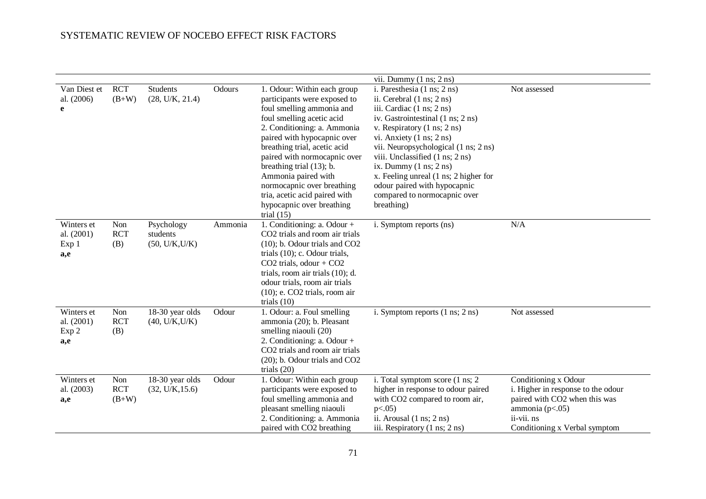|                                          |                              |                                          |         |                                                                                                                                                                                                                                                                                                                                                                                                                    | vii. Dummy $(1 \text{ ns}; 2 \text{ ns})$                                                                                                                                                                                                                                                                                                                                                                                                                               |                                                                                                                                                                   |
|------------------------------------------|------------------------------|------------------------------------------|---------|--------------------------------------------------------------------------------------------------------------------------------------------------------------------------------------------------------------------------------------------------------------------------------------------------------------------------------------------------------------------------------------------------------------------|-------------------------------------------------------------------------------------------------------------------------------------------------------------------------------------------------------------------------------------------------------------------------------------------------------------------------------------------------------------------------------------------------------------------------------------------------------------------------|-------------------------------------------------------------------------------------------------------------------------------------------------------------------|
| Van Diest et<br>al. (2006)<br>e          | <b>RCT</b><br>$(B+W)$        | Students<br>(28, U/K, 21.4)              | Odours  | 1. Odour: Within each group<br>participants were exposed to<br>foul smelling ammonia and<br>foul smelling acetic acid<br>2. Conditioning: a. Ammonia<br>paired with hypocapnic over<br>breathing trial, acetic acid<br>paired with normocapnic over<br>breathing trial (13); b.<br>Ammonia paired with<br>normocapnic over breathing<br>tria, acetic acid paired with<br>hypocapnic over breathing<br>trial $(15)$ | i. Paresthesia (1 ns; 2 ns)<br>ii. Cerebral $(1 \text{ ns}; 2 \text{ ns})$<br>iii. Cardiac (1 ns; 2 ns)<br>iv. Gastrointestinal (1 ns; 2 ns)<br>v. Respiratory (1 ns; 2 ns)<br>vi. Anxiety $(1 \text{ ns}; 2 \text{ ns})$<br>vii. Neuropsychological (1 ns; 2 ns)<br>viii. Unclassified (1 ns; 2 ns)<br>ix. Dummy $(1 \text{ ns}; 2 \text{ ns})$<br>x. Feeling unreal (1 ns; 2 higher for<br>odour paired with hypocapnic<br>compared to normocapnic over<br>breathing) | Not assessed                                                                                                                                                      |
| Winters et<br>al. (2001)<br>Exp 1<br>a,e | Non<br><b>RCT</b><br>(B)     | Psychology<br>students<br>(50, U/K, U/K) | Ammonia | 1. Conditioning: a. Odour +<br>CO2 trials and room air trials<br>(10); b. Odour trials and CO2<br>trials (10); c. Odour trials,<br>$CO2$ trials, odour + $CO2$<br>trials, room air trials (10); d.<br>odour trials, room air trials<br>$(10)$ ; e. CO2 trials, room air<br>trials $(10)$                                                                                                                           | i. Symptom reports (ns)                                                                                                                                                                                                                                                                                                                                                                                                                                                 | N/A                                                                                                                                                               |
| Winters et<br>al. (2001)<br>Exp 2<br>a,e | Non<br><b>RCT</b><br>(B)     | 18-30 year olds<br>(40, U/K, U/K)        | Odour   | 1. Odour: a. Foul smelling<br>ammonia (20); b. Pleasant<br>smelling niaouli (20)<br>2. Conditioning: a. Odour +<br>CO2 trials and room air trials<br>(20); b. Odour trials and CO2<br>trials $(20)$                                                                                                                                                                                                                | i. Symptom reports $(1 \text{ ns}; 2 \text{ ns})$                                                                                                                                                                                                                                                                                                                                                                                                                       | Not assessed                                                                                                                                                      |
| Winters et<br>al. (2003)<br>a,e          | Non<br><b>RCT</b><br>$(B+W)$ | 18-30 year olds<br>(32, U/K, 15.6)       | Odour   | 1. Odour: Within each group<br>participants were exposed to<br>foul smelling ammonia and<br>pleasant smelling niaouli<br>2. Conditioning: a. Ammonia<br>paired with CO2 breathing                                                                                                                                                                                                                                  | i. Total symptom score (1 ns; 2)<br>higher in response to odour paired<br>with CO2 compared to room air,<br>$p<.05$ )<br>ii. Arousal $(1 \text{ ns}; 2 \text{ ns})$<br>iii. Respiratory (1 ns; 2 ns)                                                                                                                                                                                                                                                                    | Conditioning x Odour<br>i. Higher in response to the odour<br>paired with CO2 when this was<br>ammonia ( $p<.05$ )<br>ii-vii. ns<br>Conditioning x Verbal symptom |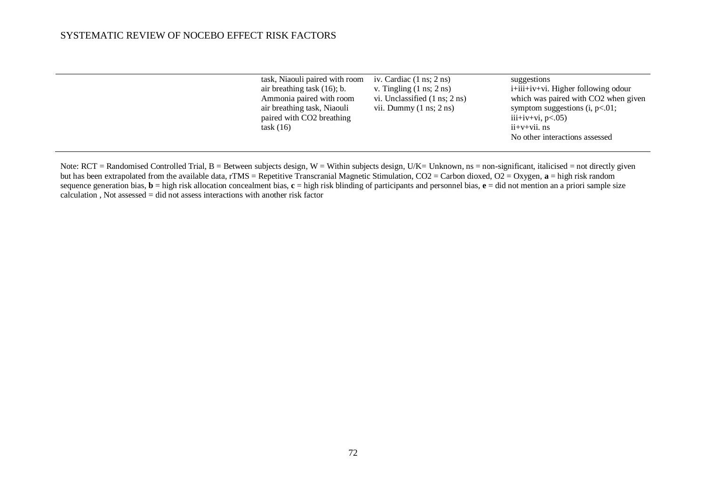| task, Niaouli paired with room<br>air breathing task $(16)$ ; b.<br>Ammonia paired with room<br>air breathing task, Niaouli<br>paired with CO2 breathing<br>task(16) | iv. Cardiac $(1 \text{ ns}; 2 \text{ ns})$<br>v. Tingling $(1 \text{ ns}; 2 \text{ ns})$<br>vi. Unclassified $(1 \text{ ns}; 2 \text{ ns})$<br>vii. Dummy $(1 \text{ ns}; 2 \text{ ns})$ | suggestions<br>$i+iii+iv+vi$ . Higher following odour<br>which was paired with CO2 when given<br>symptom suggestions $(i, p<.01)$ ;<br>iii+iv+vi, $p<0.05$ )<br>$ii+v+vi$ <i>i</i> . $ns$ |
|----------------------------------------------------------------------------------------------------------------------------------------------------------------------|------------------------------------------------------------------------------------------------------------------------------------------------------------------------------------------|-------------------------------------------------------------------------------------------------------------------------------------------------------------------------------------------|
|                                                                                                                                                                      |                                                                                                                                                                                          | No other interactions assessed                                                                                                                                                            |
|                                                                                                                                                                      |                                                                                                                                                                                          |                                                                                                                                                                                           |

Note:  $RCT = Randomised Controled Trial, B = Between subjects design, W = Within subjects design, U/K = Unknown, ns = non-significant, italicised = not directly given$ but has been extrapolated from the available data, rTMS = Repetitive Transcranial Magnetic Stimulation, CO2 = Carbon dioxed, O2 = Oxygen, **a** = high risk random sequence generation bias, **b** = high risk allocation concealment bias, **c** = high risk blinding of participants and personnel bias, **e** = did not mention an a priori sample size  $calculation$ , Not assessed = did not assess interactions with another risk factor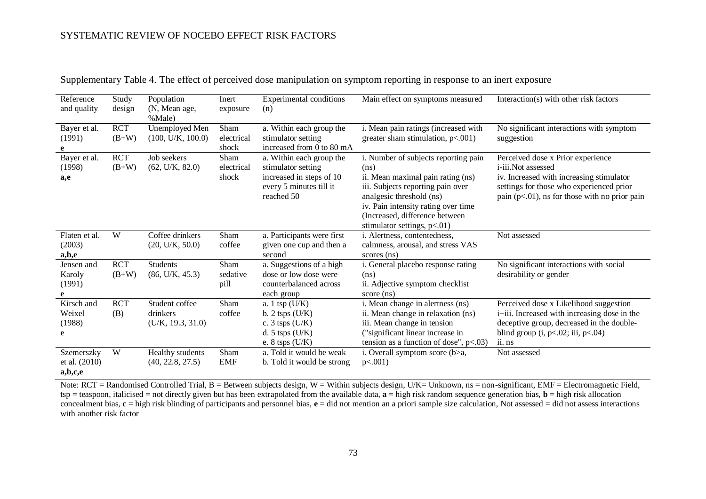| Reference<br>and quality               | Study<br>design       | Population<br>(N, Mean age,<br>%Male)           | Inert<br>exposure           | Experimental conditions<br>(n)                                                                                        | Main effect on symptoms measured                                                                                                                                                                                                                              | Interaction(s) with other risk factors                                                                                                                                                              |
|----------------------------------------|-----------------------|-------------------------------------------------|-----------------------------|-----------------------------------------------------------------------------------------------------------------------|---------------------------------------------------------------------------------------------------------------------------------------------------------------------------------------------------------------------------------------------------------------|-----------------------------------------------------------------------------------------------------------------------------------------------------------------------------------------------------|
| Bayer et al.<br>(1991)<br>e            | <b>RCT</b><br>$(B+W)$ | Unemployed Men<br>(100, U/K, 100.0)             | Sham<br>electrical<br>shock | a. Within each group the<br>stimulator setting<br>increased from 0 to 80 mA                                           | i. Mean pain ratings (increased with<br>greater sham stimulation, $p<.001$ )                                                                                                                                                                                  | No significant interactions with symptom<br>suggestion                                                                                                                                              |
| Bayer et al.<br>(1998)<br>a,e          | <b>RCT</b><br>$(B+W)$ | Job seekers<br>(62, U/K, 82.0)                  | Sham<br>electrical<br>shock | a. Within each group the<br>stimulator setting<br>increased in steps of 10<br>every 5 minutes till it<br>reached 50   | i. Number of subjects reporting pain<br>(ns)<br>ii. Mean maximal pain rating (ns)<br>iii. Subjects reporting pain over<br>analgesic threshold (ns)<br>iv. Pain intensity rating over time<br>(Increased, difference between<br>stimulator settings, $p<.01$ ) | Perceived dose x Prior experience<br>i-iii.Not assessed<br>iv. Increased with increasing stimulator<br>settings for those who experienced prior<br>pain $(p<.01)$ , ns for those with no prior pain |
| Flaten et al.<br>(2003)<br>a,b,e       | W                     | Coffee drinkers<br>(20, U/K, 50.0)              | Sham<br>coffee              | a. Participants were first<br>given one cup and then a<br>second                                                      | i. Alertness, contentedness,<br>calmness, arousal, and stress VAS<br>scores (ns)                                                                                                                                                                              | Not assessed                                                                                                                                                                                        |
| Jensen and<br>Karoly<br>(1991)         | <b>RCT</b><br>$(B+W)$ | <b>Students</b><br>(86, U/K, 45.3)              | Sham<br>sedative<br>pill    | a. Suggestions of a high<br>dose or low dose were<br>counterbalanced across<br>each group                             | i. General placebo response rating<br>(ns)<br>ii. Adjective symptom checklist<br>score (ns)                                                                                                                                                                   | No significant interactions with social<br>desirability or gender                                                                                                                                   |
| Kirsch and<br>Weixel<br>(1988)<br>e    | <b>RCT</b><br>(B)     | Student coffee<br>drinkers<br>(U/K, 19.3, 31.0) | Sham<br>coffee              | a. $1 \text{ tsp } (U/K)$<br>b. $2$ tsps $(U/K)$<br>c. $3$ tsps $(U/K)$<br>d. $5$ tsps $(U/K)$<br>e. $8$ tsps $(U/K)$ | i. Mean change in alertness (ns)<br>ii. Mean change in relaxation (ns)<br>iii. Mean change in tension<br>("significant linear increase in<br>tension as a function of dose", $p<0.03$ )                                                                       | Perceived dose x Likelihood suggestion<br>i+iii. Increased with increasing dose in the<br>deceptive group, decreased in the double-<br>blind group $(i, p<.02; ii, p<.04)$<br>ii. ns                |
| Szemerszky<br>et al. (2010)<br>a,b,c,e | W                     | Healthy students<br>(40, 22.8, 27.5)            | Sham<br><b>EMF</b>          | a. Told it would be weak<br>b. Told it would be strong                                                                | i. Overall symptom score (b>a,<br>$p<.001$ )                                                                                                                                                                                                                  | Not assessed                                                                                                                                                                                        |

Supplementary Table 4. The effect of perceived dose manipulation on symptom reporting in response to an inert exposure

Note:  $RCT = Randomised Controled Trial, B = Between subjects design, W = Within subjects design, U/K = Unknown, ns = non-significant, EMF = Electronic Field,$ tsp = teaspoon, italicised = not directly given but has been extrapolated from the available data, **a** = high risk random sequence generation bias, **b** = high risk allocation concealment bias,  $c =$  high risk blinding of participants and personnel bias,  $e =$  did not mention an a priori sample size calculation, Not assessed = did not assess interactions with another risk factor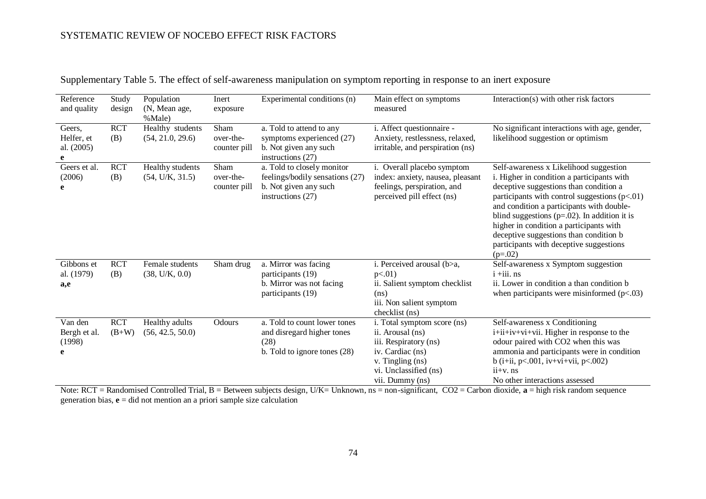| Reference<br>and quality                | Study<br>design       | Population<br>(N, Mean age,<br>%Male) | Inert<br>exposure                 | Experimental conditions (n)                                                                                   | Main effect on symptoms<br>measured                                                                                                                          | Interaction(s) with other risk factors                                                                                                                                                                                                                                                                                                                                                                                        |
|-----------------------------------------|-----------------------|---------------------------------------|-----------------------------------|---------------------------------------------------------------------------------------------------------------|--------------------------------------------------------------------------------------------------------------------------------------------------------------|-------------------------------------------------------------------------------------------------------------------------------------------------------------------------------------------------------------------------------------------------------------------------------------------------------------------------------------------------------------------------------------------------------------------------------|
| Geers,<br>Helfer, et<br>al. (2005)<br>e | <b>RCT</b><br>(B)     | Healthy students<br>(54, 21.0, 29.6)  | Sham<br>over-the-<br>counter pill | a. Told to attend to any<br>symptoms experienced (27)<br>b. Not given any such<br>instructions $(27)$         | i. Affect questionnaire -<br>Anxiety, restlessness, relaxed,<br>irritable, and perspiration (ns)                                                             | No significant interactions with age, gender,<br>likelihood suggestion or optimism                                                                                                                                                                                                                                                                                                                                            |
| Geers et al.<br>(2006)<br>e             | <b>RCT</b><br>(B)     | Healthy students<br>(54, U/K, 31.5)   | Sham<br>over-the-<br>counter pill | a. Told to closely monitor<br>feelings/bodily sensations (27)<br>b. Not given any such<br>instructions $(27)$ | i. Overall placebo symptom<br>index: anxiety, nausea, pleasant<br>feelings, perspiration, and<br>perceived pill effect (ns)                                  | Self-awareness x Likelihood suggestion<br>i. Higher in condition a participants with<br>deceptive suggestions than condition a<br>participants with control suggestions (p<.01)<br>and condition a participants with double-<br>blind suggestions ( $p=.02$ ). In addition it is<br>higher in condition a participants with<br>deceptive suggestions than condition b<br>participants with deceptive suggestions<br>$(p=.02)$ |
| Gibbons et<br>al. (1979)<br>a,e         | <b>RCT</b><br>(B)     | Female students<br>(38, U/K, 0.0)     | Sham drug                         | a. Mirror was facing<br>participants (19)<br>b. Mirror was not facing<br>participants (19)                    | i. Perceived arousal (b>a,<br>$p<.01$ )<br>ii. Salient symptom checklist<br>(n <sub>s</sub> )<br>iii. Non salient symptom<br>checklist (ns)                  | Self-awareness x Symptom suggestion<br>$i + iii$ . ns<br>ii. Lower in condition a than condition b<br>when participants were misinformed $(p<.03)$                                                                                                                                                                                                                                                                            |
| Van den<br>Bergh et al.<br>(1998)       | <b>RCT</b><br>$(B+W)$ | Healthy adults<br>(56, 42.5, 50.0)    | Odours                            | a. Told to count lower tones<br>and disregard higher tones<br>(28)<br>b. Told to ignore tones (28)            | i. Total symptom score (ns)<br>ii. Arousal (ns)<br>iii. Respiratory (ns)<br>iv. Cardiac (ns)<br>v. Tingling (ns)<br>vi. Unclassified (ns)<br>vii. Dummy (ns) | Self-awareness x Conditioning<br>i+ii+iv+vi+vii. Higher in response to the<br>odour paired with CO2 when this was<br>ammonia and participants were in condition<br>b (i+ii, $p<.001$ , iv+vi+vii, $p<.002$ )<br>$ii+v$ . ns<br>No other interactions assessed                                                                                                                                                                 |

Supplementary Table 5. The effect of self-awareness manipulation on symptom reporting in response to an inert exposure

Note: RCT = Randomised Controlled Trial, B = Between subjects design, U/K= Unknown, ns = non-significant, CO2 = Carbon dioxide, a = high risk random sequence generation bias,  $\mathbf{e} = \text{did}$  not mention an a priori sample size calculation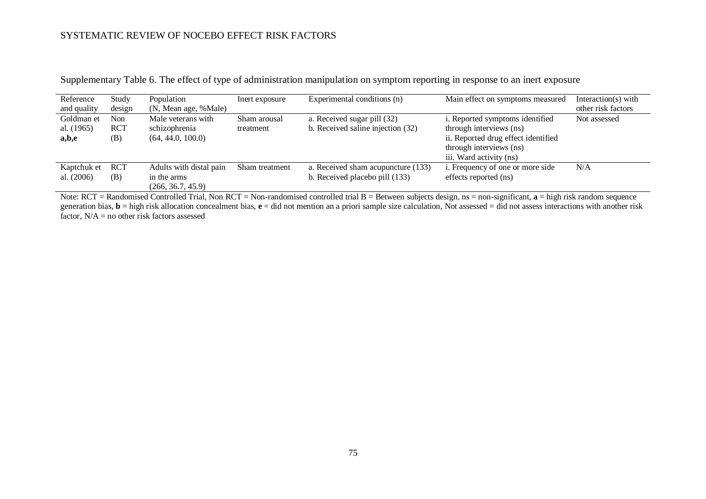| Reference<br>and quality | Study<br>design | Population<br>(N, Mean age, %Male) | Inert exposure | Experimental conditions (n)        | Main effect on symptoms measured    | Interaction(s) with<br>other risk factors |
|--------------------------|-----------------|------------------------------------|----------------|------------------------------------|-------------------------------------|-------------------------------------------|
| Goldman et               | Non             | Male veterans with                 | Sham arousal   | a. Received sugar pill (32)        | i. Reported symptoms identified     | Not assessed                              |
| al. (1965)               | <b>RCT</b>      | schizophrenia                      | treatment      | b. Received saline injection (32)  | through interviews (ns)             |                                           |
| a,b,e                    | (B)             | (64, 44.0, 100.0)                  |                |                                    | ii. Reported drug effect identified |                                           |
|                          |                 |                                    |                |                                    | through interviews (ns)             |                                           |
|                          |                 |                                    |                |                                    | iii. Ward activity (ns)             |                                           |
| Kaptchuk et              | <b>RCT</b>      | Adults with distal pain            | Sham treatment | a. Received sham acupuncture (133) | i. Frequency of one or more side    | N/A                                       |
| al. (2006)               | (B)             | in the arms                        |                | b. Received placebo pill (133)     | effects reported (ns)               |                                           |
|                          |                 | (266, 36.7, 45.9)                  |                |                                    |                                     |                                           |

Supplementary Table 6. The effect of type of administration manipulation on symptom reporting in response to an inert exposure

Note: RCT = Randomised Controlled Trial, Non RCT = Non-randomised controlled trial B = Between subjects design, ns = non-significant, **a** = high risk random sequence generation bias, **b** = high risk allocation concealment bias, **e** = did not mention an a priori sample size calculation, Not assessed = did not assess interactions with another risk factor,  $N/A$  = no other risk factors assessed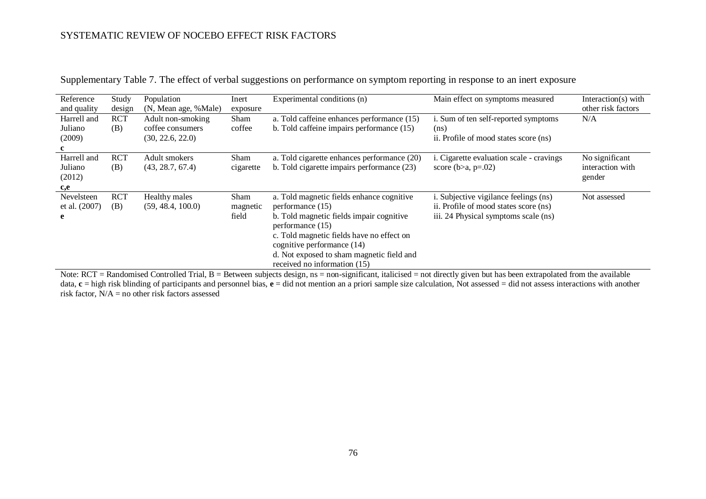| Reference<br>and quality                | Study<br>design   | Population<br>(N, Mean age, %Male)                        | Inert<br>exposure         | Experimental conditions (n)                                                                                                                                                                                                                                                           | Main effect on symptoms measured                                                                                               | Interaction(s) with<br>other risk factors    |
|-----------------------------------------|-------------------|-----------------------------------------------------------|---------------------------|---------------------------------------------------------------------------------------------------------------------------------------------------------------------------------------------------------------------------------------------------------------------------------------|--------------------------------------------------------------------------------------------------------------------------------|----------------------------------------------|
| Harrell and<br>Juliano<br>(2009)        | <b>RCT</b><br>(B) | Adult non-smoking<br>coffee consumers<br>(30, 22.6, 22.0) | Sham<br>coffee            | a. Told caffeine enhances performance (15)<br>b. Told caffeine impairs performance (15)                                                                                                                                                                                               | i. Sum of ten self-reported symptoms<br>(n <sub>s</sub> )<br>ii. Profile of mood states score (ns)                             | N/A                                          |
| Harrell and<br>Juliano<br>(2012)<br>c,e | <b>RCT</b><br>(B) | Adult smokers<br>(43, 28.7, 67.4)                         | Sham<br>cigarette         | a. Told cigarette enhances performance (20)<br>b. Told cigarette impairs performance (23)                                                                                                                                                                                             | i. Cigarette evaluation scale - cravings<br>score ( $b>a$ , $p=.02$ )                                                          | No significant<br>interaction with<br>gender |
| Nevelsteen<br>et al. (2007)<br>e        | <b>RCT</b><br>(B) | Healthy males<br>(59, 48.4, 100.0)                        | Sham<br>magnetic<br>field | a. Told magnetic fields enhance cognitive<br>performance (15)<br>b. Told magnetic fields impair cognitive<br>performance (15)<br>c. Told magnetic fields have no effect on<br>cognitive performance (14)<br>d. Not exposed to sham magnetic field and<br>received no information (15) | <i>i</i> . Subjective vigilance feelings (ns)<br>ii. Profile of mood states score (ns)<br>iii. 24 Physical symptoms scale (ns) | Not assessed                                 |

Supplementary Table 7. The effect of verbal suggestions on performance on symptom reporting in response to an inert exposure

Note: RCT = Randomised Controlled Trial, B = Between subjects design, ns = non-significant, italicised = not directly given but has been extrapolated from the available data, **c** = high risk blinding of participants and personnel bias, **e** = did not mention an a priori sample size calculation, Not assessed = did not assess interactions with another risk factor,  $N/A$  = no other risk factors assessed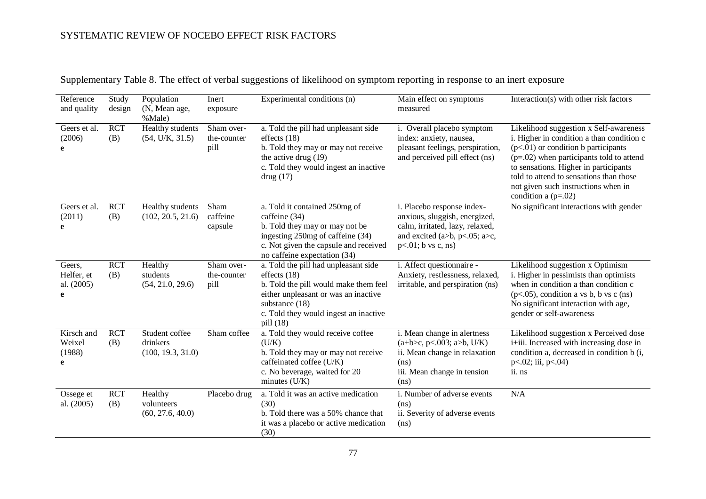| Reference<br>and quality                | Study<br>design   | Population<br>(N, Mean age,<br>%Male)           | Inert<br>exposure                 | Experimental conditions (n)                                                                                                                                                                                     | Main effect on symptoms<br>measured                                                                                                                      | Interaction(s) with other risk factors                                                                                                                                                                                                                                                                                         |
|-----------------------------------------|-------------------|-------------------------------------------------|-----------------------------------|-----------------------------------------------------------------------------------------------------------------------------------------------------------------------------------------------------------------|----------------------------------------------------------------------------------------------------------------------------------------------------------|--------------------------------------------------------------------------------------------------------------------------------------------------------------------------------------------------------------------------------------------------------------------------------------------------------------------------------|
| Geers et al.<br>(2006)<br>e             | <b>RCT</b><br>(B) | Healthy students<br>(54, U/K, 31.5)             | Sham over-<br>the-counter<br>pill | a. Told the pill had unpleasant side<br>effects $(18)$<br>b. Told they may or may not receive<br>the active drug $(19)$<br>c. Told they would ingest an inactive<br>drug(17)                                    | i. Overall placebo symptom<br>index: anxiety, nausea,<br>pleasant feelings, perspiration,<br>and perceived pill effect (ns)                              | Likelihood suggestion x Self-awareness<br>i. Higher in condition a than condition c<br>$(p<.01)$ or condition b participants<br>$(p=.02)$ when participants told to attend<br>to sensations. Higher in participants<br>told to attend to sensations than those<br>not given such instructions when in<br>condition a $(p=.02)$ |
| Geers et al.<br>(2011)<br>e             | <b>RCT</b><br>(B) | Healthy students<br>(102, 20.5, 21.6)           | Sham<br>caffeine<br>capsule       | a. Told it contained 250mg of<br>caffeine (34)<br>b. Told they may or may not be<br>ingesting 250mg of caffeine (34)<br>c. Not given the capsule and received<br>no caffeine expectation (34)                   | i. Placebo response index-<br>anxious, sluggish, energized,<br>calm, irritated, lazy, relaxed,<br>and excited (a>b, p<.05; a>c,<br>$p<.01$ ; b vs c, ns) | No significant interactions with gender                                                                                                                                                                                                                                                                                        |
| Geers,<br>Helfer, et<br>al. (2005)<br>e | <b>RCT</b><br>(B) | Healthy<br>students<br>(54, 21.0, 29.6)         | Sham over-<br>the-counter<br>pill | a. Told the pill had unpleasant side<br>effects $(18)$<br>b. Told the pill would make them feel<br>either unpleasant or was an inactive<br>substance (18)<br>c. Told they would ingest an inactive<br>pill (18) | i. Affect questionnaire -<br>Anxiety, restlessness, relaxed,<br>irritable, and perspiration (ns)                                                         | Likelihood suggestion x Optimism<br>i. Higher in pessimists than optimists<br>when in condition a than condition c<br>$(p<.05)$ , condition a vs b, b vs c (ns)<br>No significant interaction with age,<br>gender or self-awareness                                                                                            |
| Kirsch and<br>Weixel<br>(1988)<br>e     | <b>RCT</b><br>(B) | Student coffee<br>drinkers<br>(100, 19.3, 31.0) | Sham coffee                       | a. Told they would receive coffee<br>(U/K)<br>b. Told they may or may not receive<br>caffeinated coffee (U/K)<br>c. No beverage, waited for 20<br>minutes $(U/K)$                                               | i. Mean change in alertness<br>$(a+b>c, p<.003; a>b, U/K)$<br>ii. Mean change in relaxation<br>(ns)<br>iii. Mean change in tension<br>(ns)               | Likelihood suggestion x Perceived dose<br>i+iii. Increased with increasing dose in<br>condition a, decreased in condition b (i,<br>$p<.02$ ; iii, $p<.04$ )<br>ii. ns                                                                                                                                                          |
| Ossege et<br>al. (2005)                 | <b>RCT</b><br>(B) | Healthy<br>volunteers<br>(60, 27.6, 40.0)       | Placebo drug                      | a. Told it was an active medication<br>(30)<br>b. Told there was a 50% chance that<br>it was a placebo or active medication<br>(30)                                                                             | i. Number of adverse events<br>(ns)<br>ii. Severity of adverse events<br>(ns)                                                                            | N/A                                                                                                                                                                                                                                                                                                                            |

Supplementary Table 8. The effect of verbal suggestions of likelihood on symptom reporting in response to an inert exposure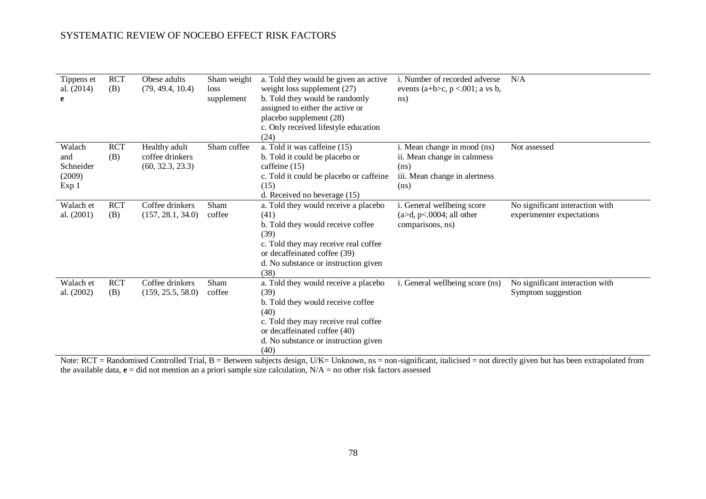| Tippens et<br>al. (2014)<br>e                 | <b>RCT</b><br>(B) | Obese adults<br>(79, 49.4, 10.4)                     | Sham weight<br>loss<br>supplement | a. Told they would be given an active<br>weight loss supplement (27)<br>b. Told they would be randomly<br>assigned to either the active or<br>placebo supplement (28)<br>c. Only received lifestyle education<br>(24) | <i>i.</i> Number of recorded adverse<br>events (a+b>c, $p < .001$ ; a vs b,<br>ns)                          | N/A                                                          |
|-----------------------------------------------|-------------------|------------------------------------------------------|-----------------------------------|-----------------------------------------------------------------------------------------------------------------------------------------------------------------------------------------------------------------------|-------------------------------------------------------------------------------------------------------------|--------------------------------------------------------------|
| Walach<br>and<br>Schneider<br>(2009)<br>Exp 1 | <b>RCT</b><br>(B) | Healthy adult<br>coffee drinkers<br>(60, 32.3, 23.3) | Sham coffee                       | a. Told it was caffeine (15)<br>b. Told it could be placebo or<br>caffeine (15)<br>c. Told it could be placebo or caffeine<br>(15)<br>d. Received no beverage (15)                                                    | i. Mean change in mood (ns)<br>ii. Mean change in calmness<br>(ns)<br>iii. Mean change in alertness<br>(ns) | Not assessed                                                 |
| Walach et<br>al. (2001)                       | <b>RCT</b><br>(B) | Coffee drinkers<br>(157, 28.1, 34.0)                 | Sham<br>coffee                    | a. Told they would receive a placebo<br>(41)                                                                                                                                                                          | i. General wellbeing score<br>$(a>d, p<.0004;$ all other                                                    | No significant interaction with<br>experimenter expectations |
|                                               |                   |                                                      |                                   | b. Told they would receive coffee<br>(39)<br>c. Told they may receive real coffee<br>or decaffeinated coffee (39)<br>d. No substance or instruction given<br>(38)                                                     | comparisons, ns)                                                                                            |                                                              |
| Walach et                                     | <b>RCT</b>        | Coffee drinkers                                      | Sham                              | a. Told they would receive a placebo                                                                                                                                                                                  | i. General wellbeing score (ns)                                                                             | No significant interaction with                              |
| al. (2002)                                    | (B)               | (159, 25.5, 58.0)                                    | coffee                            | (39)<br>b. Told they would receive coffee<br>(40)<br>c. Told they may receive real coffee<br>or decaffeinated coffee (40)<br>d. No substance or instruction given<br>(40)                                             |                                                                                                             | Symptom suggestion                                           |

Note: RCT = Randomised Controlled Trial, B = Between subjects design, U/K= Unknown, ns = non-significant, italicised = not directly given but has been extrapolated from the available data,  $\mathbf{e} = \text{did}$  not mention an a priori sample size calculation,  $N/A =$  no other risk factors assessed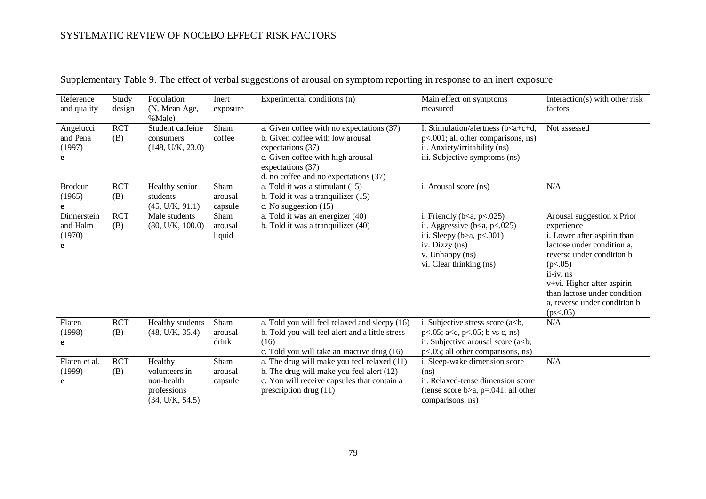| Reference<br>and quality               | Study<br>design   | Population<br>(N, Mean Age,<br>%Male)                                    | Inert<br>exposure          | Experimental conditions (n)                                                                                                                                                                           | Main effect on symptoms<br>measured                                                                                                                                             | Interaction(s) with other risk<br>factors                                                                                                                                                                                                                               |
|----------------------------------------|-------------------|--------------------------------------------------------------------------|----------------------------|-------------------------------------------------------------------------------------------------------------------------------------------------------------------------------------------------------|---------------------------------------------------------------------------------------------------------------------------------------------------------------------------------|-------------------------------------------------------------------------------------------------------------------------------------------------------------------------------------------------------------------------------------------------------------------------|
| Angelucci<br>and Pena<br>(1997)<br>e   | <b>RCT</b><br>(B) | Student caffeine<br>consumers<br>(148, U/K, 23.0)                        | Sham<br>coffee             | a. Given coffee with no expectations (37)<br>b. Given coffee with low arousal<br>expectations (37)<br>c. Given coffee with high arousal<br>expectations (37)<br>d. no coffee and no expectations (37) | I. Stimulation/alertness (b <a+c+d,<br>p&lt;.001; all other comparisons, ns)<br/>ii. Anxiety/irritability (ns)<br/>iii. Subjective symptoms (ns)</a+c+d,<br>                    | Not assessed                                                                                                                                                                                                                                                            |
| <b>Brodeur</b><br>(1965)               | <b>RCT</b><br>(B) | Healthy senior<br>students<br>(45, U/K, 91.1)                            | Sham<br>arousal<br>capsule | a. Told it was a stimulant (15)<br>b. Told it was a tranquilizer $(15)$<br>c. No suggestion (15)                                                                                                      | i. Arousal score (ns)                                                                                                                                                           | N/A                                                                                                                                                                                                                                                                     |
| Dinnerstein<br>and Halm<br>(1970)<br>e | <b>RCT</b><br>(B) | Male students<br>(80, U/K, 100.0)                                        | Sham<br>arousal<br>liquid  | a. Told it was an energizer (40)<br>b. Told it was a tranquilizer (40)                                                                                                                                | i. Friendly ( $b < a$ , $p < .025$ )<br>ii. Aggressive $(b < a, p < .025)$<br>iii. Sleepy ( $b>a$ , $p<.001$ )<br>iv. Dizzy (ns)<br>v. Unhappy (ns)<br>vi. Clear thinking (ns)  | Arousal suggestion x Prior<br>experience<br>i. Lower after aspirin than<br>lactose under condition a,<br>reverse under condition b<br>(p<.05)<br>ii-iv. ns<br>$v+vi$ . Higher after aspirin<br>than lactose under condition<br>a, reverse under condition b<br>(ps<.05) |
| Flaten<br>(1998)<br>e                  | <b>RCT</b><br>(B) | Healthy students<br>(48, U/K, 35.4)                                      | Sham<br>arousal<br>drink   | a. Told you will feel relaxed and sleepy (16)<br>b. Told you will feel alert and a little stress<br>(16)<br>c. Told you will take an inactive drug (16)                                               | i. Subjective stress score $(a < b,$<br>$p<.05$ ; a <c, <math="">p&lt;.05; b vs c, ns)<br/>ii. Subjective arousal score (a<br/>b,<br/>p&lt;.05; all other comparisons, ns)</c,> | N/A                                                                                                                                                                                                                                                                     |
| Flaten et al.<br>(1999)<br>e           | <b>RCT</b><br>(B) | Healthy<br>volunteers in<br>non-health<br>professions<br>(34, U/K, 54.5) | Sham<br>arousal<br>capsule | a. The drug will make you feel relaxed (11)<br>b. The drug will make you feel alert (12)<br>c. You will receive capsules that contain a<br>prescription drug $(11)$                                   | i. Sleep-wake dimension score<br>(ns)<br>ii. Relaxed-tense dimension score<br>(tense score b>a, $p=.041$ ; all other<br>comparisons, ns)                                        | N/A                                                                                                                                                                                                                                                                     |

Supplementary Table 9. The effect of verbal suggestions of arousal on symptom reporting in response to an inert exposure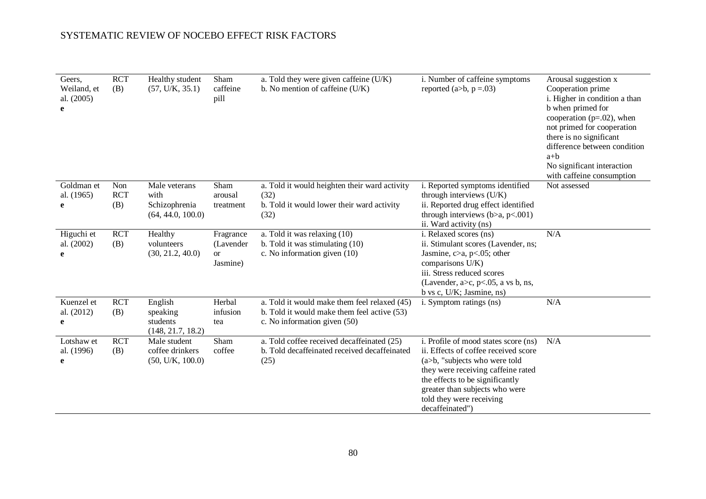| Geers,<br>Weiland, et<br>al. (2005)<br>e | <b>RCT</b><br>(B)        | Healthy student<br>(57, U/K, 35.1)                          | Sham<br>caffeine<br>pill                        | a. Told they were given caffeine (U/K)<br>b. No mention of caffeine (U/K)                                                   | i. Number of caffeine symptoms<br>reported (a>b, $p = .03$ )                                                                                                                                                                                                            | Arousal suggestion x<br>Cooperation prime<br>i. Higher in condition a than<br>b when primed for<br>cooperation ( $p=.02$ ), when<br>not primed for cooperation<br>there is no significant<br>difference between condition<br>$a+b$<br>No significant interaction<br>with caffeine consumption |
|------------------------------------------|--------------------------|-------------------------------------------------------------|-------------------------------------------------|-----------------------------------------------------------------------------------------------------------------------------|-------------------------------------------------------------------------------------------------------------------------------------------------------------------------------------------------------------------------------------------------------------------------|-----------------------------------------------------------------------------------------------------------------------------------------------------------------------------------------------------------------------------------------------------------------------------------------------|
| Goldman et<br>al. (1965)<br>e            | Non<br><b>RCT</b><br>(B) | Male veterans<br>with<br>Schizophrenia<br>(64, 44.0, 100.0) | Sham<br>arousal<br>treatment                    | a. Told it would heighten their ward activity<br>(32)<br>b. Told it would lower their ward activity<br>(32)                 | i. Reported symptoms identified<br>through interviews (U/K)<br>ii. Reported drug effect identified<br>through interviews ( $b>a$ , $p<.001$ )<br>ii. Ward activity (ns)                                                                                                 | Not assessed                                                                                                                                                                                                                                                                                  |
| Higuchi et<br>al. (2002)<br>e            | <b>RCT</b><br>(B)        | Healthy<br>volunteers<br>(30, 21.2, 40.0)                   | Fragrance<br>(Lavender<br><b>or</b><br>Jasmine) | a. Told it was relaxing (10)<br>b. Told it was stimulating (10)<br>c. No information given (10)                             | i. Relaxed scores (ns)<br>ii. Stimulant scores (Lavender, ns;<br>Jasmine, $c > a$ , $p < .05$ ; other<br>comparisons U/K)<br>iii. Stress reduced scores<br>(Lavender, $a > c$ , $p < .05$ , a vs b, ns,<br>b vs c, U/K; Jasmine, ns)                                    | N/A                                                                                                                                                                                                                                                                                           |
| Kuenzel et<br>al. (2012)<br>e            | <b>RCT</b><br>(B)        | English<br>speaking<br>students<br>(148, 21.7, 18.2)        | Herbal<br>infusion<br>tea                       | a. Told it would make them feel relaxed (45)<br>b. Told it would make them feel active (53)<br>c. No information given (50) | i. Symptom ratings (ns)                                                                                                                                                                                                                                                 | N/A                                                                                                                                                                                                                                                                                           |
| Lotshaw et<br>al. (1996)<br>e            | <b>RCT</b><br>(B)        | Male student<br>coffee drinkers<br>(50, U/K, 100.0)         | Sham<br>coffee                                  | a. Told coffee received decaffeinated (25)<br>b. Told decaffeinated received decaffeinated<br>(25)                          | i. Profile of mood states score (ns)<br>ii. Effects of coffee received score<br>(a>b, "subjects who were told<br>they were receiving caffeine rated<br>the effects to be significantly<br>greater than subjects who were<br>told they were receiving<br>decaffeinated") | N/A                                                                                                                                                                                                                                                                                           |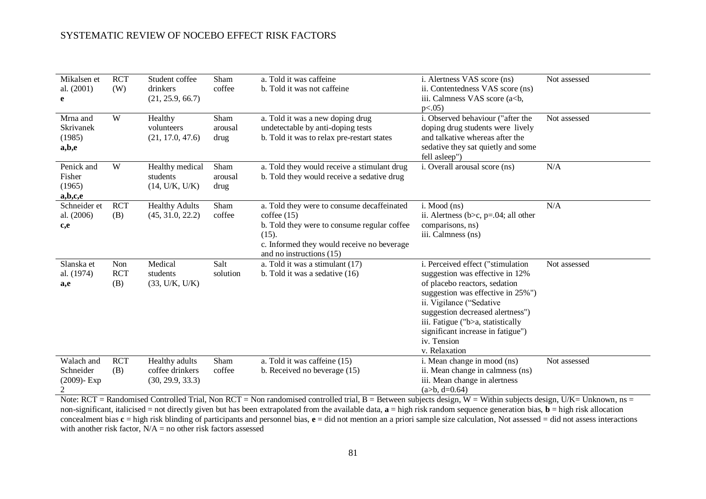| Mikalsen et<br>al. (2001)<br>e                  | <b>RCT</b><br>(W)        | Student coffee<br>drinkers<br>(21, 25.9, 66.7)        | Sham<br>coffee          | a. Told it was caffeine<br>b. Told it was not caffeine                                                                                                                                     | i. Alertness VAS score (ns)<br>ii. Contentedness VAS score (ns)<br>iii. Calmness VAS score (a<br>b,<br>$p<.05$ )                                                                                                                                                                                                     | Not assessed |
|-------------------------------------------------|--------------------------|-------------------------------------------------------|-------------------------|--------------------------------------------------------------------------------------------------------------------------------------------------------------------------------------------|----------------------------------------------------------------------------------------------------------------------------------------------------------------------------------------------------------------------------------------------------------------------------------------------------------------------|--------------|
| Mrna and<br><b>Skrivanek</b><br>(1985)<br>a,b,e | W                        | Healthy<br>volunteers<br>(21, 17.0, 47.6)             | Sham<br>arousal<br>drug | a. Told it was a new doping drug<br>undetectable by anti-doping tests<br>b. Told it was to relax pre-restart states                                                                        | i. Observed behaviour ("after the<br>doping drug students were lively<br>and talkative whereas after the<br>sedative they sat quietly and some<br>fell asleep")                                                                                                                                                      | Not assessed |
| Penick and<br>Fisher<br>(1965)<br>a,b,c,e       | W                        | Healthy medical<br>students<br>(14, U/K, U/K)         | Sham<br>arousal<br>drug | a. Told they would receive a stimulant drug<br>b. Told they would receive a sedative drug                                                                                                  | i. Overall arousal score (ns)                                                                                                                                                                                                                                                                                        | N/A          |
| Schneider et<br>al. (2006)<br>c,e               | <b>RCT</b><br>(B)        | <b>Healthy Adults</b><br>(45, 31.0, 22.2)             | Sham<br>coffee          | a. Told they were to consume decaffeinated<br>cofree(15)<br>b. Told they were to consume regular coffee<br>(15).<br>c. Informed they would receive no beverage<br>and no instructions (15) | $i.$ Mood $(ns)$<br>ii. Alertness ( $b > c$ , $p = 0.04$ ; all other<br>comparisons, ns)<br>iii. Calmness (ns)                                                                                                                                                                                                       | N/A          |
| Slanska et<br>al. (1974)<br>a,e                 | Non<br><b>RCT</b><br>(B) | Medical<br>students<br>(33, U/K, U/K)                 | Salt<br>solution        | a. Told it was a stimulant (17)<br>b. Told it was a sedative (16)                                                                                                                          | i. Perceived effect ("stimulation<br>suggestion was effective in 12%<br>of placebo reactors, sedation<br>suggestion was effective in 25%")<br>ii. Vigilance ("Sedative<br>suggestion decreased alertness")<br>iii. Fatigue ("b>a, statistically<br>significant increase in fatigue")<br>iv. Tension<br>v. Relaxation | Not assessed |
| Walach and<br>Schneider<br>$(2009)$ - Exp<br>2  | <b>RCT</b><br>(B)        | Healthy adults<br>coffee drinkers<br>(30, 29.9, 33.3) | Sham<br>coffee          | a. Told it was caffeine (15)<br>b. Received no beverage (15)                                                                                                                               | i. Mean change in mood (ns)<br>ii. Mean change in calmness (ns)<br>iii. Mean change in alertness<br>$(a>b, d=0.64)$                                                                                                                                                                                                  | Not assessed |

Note:  $RCT = Randomised Controled Trial, Non RCT = Non randomized controlled trial, B = Between subjects design, W = Within subjects design, U/K = Unknown, ns = 1.5$ non-significant, italicised = not directly given but has been extrapolated from the available data,  $\mathbf{a} = \text{high risk}$  random sequence generation bias,  $\mathbf{b} = \text{high risk}$  allocation concealment bias **c** = high risk blinding of participants and personnel bias, **e** = did not mention an a priori sample size calculation, Not assessed = did not assess interactions with another risk factor,  $N/A$  = no other risk factors assessed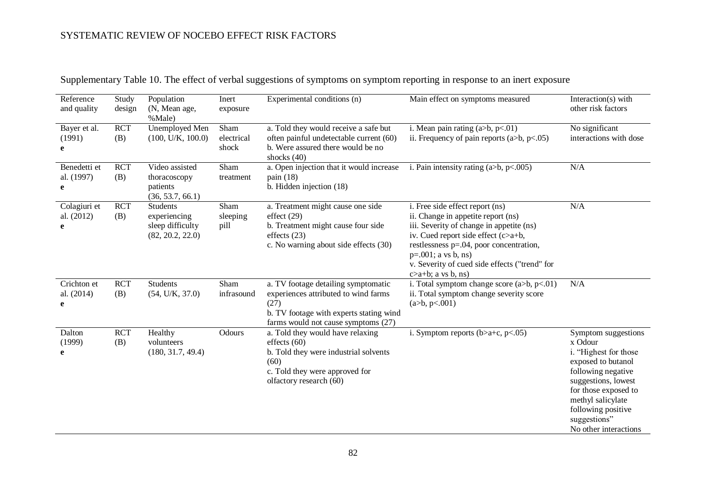| Reference<br>and quality        | Study<br>design   | Population<br>(N, Mean age,<br>%Male)                            | Inert<br>exposure           | Experimental conditions (n)                                                                                                                                           | Main effect on symptoms measured                                                                                                                                                                                                                                                                              | Interaction(s) with<br>other risk factors                                                                                                                                                                                              |
|---------------------------------|-------------------|------------------------------------------------------------------|-----------------------------|-----------------------------------------------------------------------------------------------------------------------------------------------------------------------|---------------------------------------------------------------------------------------------------------------------------------------------------------------------------------------------------------------------------------------------------------------------------------------------------------------|----------------------------------------------------------------------------------------------------------------------------------------------------------------------------------------------------------------------------------------|
| Bayer et al.<br>(1991)<br>e     | <b>RCT</b><br>(B) | Unemployed Men<br>(100, U/K, 100.0)                              | Sham<br>electrical<br>shock | a. Told they would receive a safe but<br>often painful undetectable current (60)<br>b. Were assured there would be no<br>shocks (40)                                  | i. Mean pain rating $(a>b, p<.01)$<br>ii. Frequency of pain reports (a>b, $p<0.05$ )                                                                                                                                                                                                                          | No significant<br>interactions with dose                                                                                                                                                                                               |
| Benedetti et<br>al. (1997)<br>e | <b>RCT</b><br>(B) | Video assisted<br>thoracoscopy<br>patients<br>(36, 53.7, 66.1)   | Sham<br>treatment           | a. Open injection that it would increase<br>pain $(18)$<br>b. Hidden injection (18)                                                                                   | i. Pain intensity rating (a>b, $p<0.005$ )                                                                                                                                                                                                                                                                    | N/A                                                                                                                                                                                                                                    |
| Colagiuri et<br>al. (2012)<br>e | <b>RCT</b><br>(B) | Students<br>experiencing<br>sleep difficulty<br>(82, 20.2, 22.0) | Sham<br>sleeping<br>pill    | a. Treatment might cause one side<br>effect $(29)$<br>b. Treatment might cause four side<br>effects $(23)$<br>c. No warning about side effects (30)                   | i. Free side effect report (ns)<br>ii. Change in appetite report (ns)<br>iii. Severity of change in appetite (ns)<br>iv. Cued report side effect $(c>a+b,$<br>restlessness $p=.04$ , poor concentration,<br>$p=.001; a vs b, ns)$<br>v. Severity of cued side effects ("trend" for<br>$c > a+b$ ; a vs b, ns) | N/A                                                                                                                                                                                                                                    |
| Crichton et<br>al. (2014)<br>e  | <b>RCT</b><br>(B) | <b>Students</b><br>(54, U/K, 37.0)                               | Sham<br>infrasound          | a. TV footage detailing symptomatic<br>experiences attributed to wind farms<br>(27)<br>b. TV footage with experts stating wind<br>farms would not cause symptoms (27) | i. Total symptom change score $(a>b, p<.01)$<br>ii. Total symptom change severity score<br>(a>b, p<.001)                                                                                                                                                                                                      | N/A                                                                                                                                                                                                                                    |
| Dalton<br>(1999)<br>e           | <b>RCT</b><br>(B) | Healthy<br>volunteers<br>(180, 31.7, 49.4)                       | Odours                      | a. Told they would have relaxing<br>effects $(60)$<br>b. Told they were industrial solvents<br>(60)<br>c. Told they were approved for<br>olfactory research (60)      | i. Symptom reports $(b>a+c, p<.05)$                                                                                                                                                                                                                                                                           | Symptom suggestions<br>x Odour<br>i. "Highest for those<br>exposed to butanol<br>following negative<br>suggestions, lowest<br>for those exposed to<br>methyl salicylate<br>following positive<br>suggestions"<br>No other interactions |

Supplementary Table 10. The effect of verbal suggestions of symptoms on symptom reporting in response to an inert exposure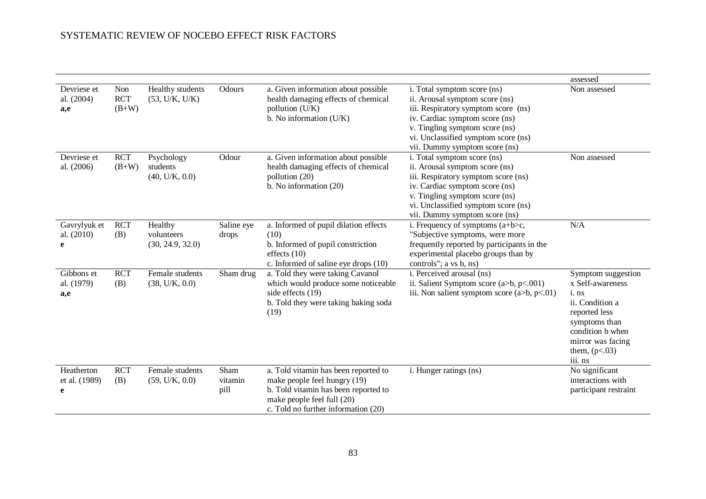|                                  |                              |                                           |                         |                                                                                                                                                                                   |                                                                                                                                                                                                                                                  | assessed                                                                                                                                                                    |
|----------------------------------|------------------------------|-------------------------------------------|-------------------------|-----------------------------------------------------------------------------------------------------------------------------------------------------------------------------------|--------------------------------------------------------------------------------------------------------------------------------------------------------------------------------------------------------------------------------------------------|-----------------------------------------------------------------------------------------------------------------------------------------------------------------------------|
| Devriese et<br>al. (2004)<br>a,e | Non<br><b>RCT</b><br>$(B+W)$ | Healthy students<br>(53, U/K, U/K)        | Odours                  | a. Given information about possible<br>health damaging effects of chemical<br>pollution (U/K)<br>b. No information (U/K)                                                          | i. Total symptom score (ns)<br>ii. Arousal symptom score (ns)<br>iii. Respiratory symptom score (ns)<br>iv. Cardiac symptom score (ns)<br>v. Tingling symptom score (ns)<br>vi. Unclassified symptom score (ns)<br>vii. Dummy symptom score (ns) | Non assessed                                                                                                                                                                |
| Devriese et<br>al. (2006)        | <b>RCT</b><br>$(B+W)$        | Psychology<br>students<br>(40, U/K, 0.0)  | Odour                   | a. Given information about possible<br>health damaging effects of chemical<br>pollution (20)<br>b. No information (20)                                                            | i. Total symptom score (ns)<br>ii. Arousal symptom score (ns)<br>iii. Respiratory symptom score (ns)<br>iv. Cardiac symptom score (ns)<br>v. Tingling symptom score (ns)<br>vi. Unclassified symptom score (ns)<br>vii. Dummy symptom score (ns) | Non assessed                                                                                                                                                                |
| Gavrylyuk et<br>al. (2010)<br>e  | <b>RCT</b><br>(B)            | Healthy<br>volunteers<br>(30, 24.9, 32.0) | Saline eye<br>drops     | a. Informed of pupil dilation effects<br>(10)<br>b. Informed of pupil constriction<br>effects $(10)$<br>c. Informed of saline eye drops (10)                                      | i. Frequency of symptoms $(a+b>c,$<br>"Subjective symptoms, were more<br>frequently reported by participants in the<br>experimental placebo groups than by<br>controls"; a vs b, ns)                                                             | N/A                                                                                                                                                                         |
| Gibbons et<br>al. (1979)<br>a,e  | <b>RCT</b><br>(B)            | Female students<br>(38, U/K, 0.0)         | Sham drug               | a. Told they were taking Cavanol<br>which would produce some noticeable<br>side effects (19)<br>b. Told they were taking baking soda<br>(19)                                      | i. Perceived arousal (ns)<br>ii. Salient Symptom score $(a>b, p<.001)$<br>iii. Non salient symptom score $(a>b, p<0.1)$                                                                                                                          | Symptom suggestion<br>x Self-awareness<br>i. ns<br>ii. Condition a<br>reported less<br>symptoms than<br>condition b when<br>mirror was facing<br>them, $(p<.03)$<br>iii. ns |
| Heatherton<br>et al. (1989)<br>e | <b>RCT</b><br>(B)            | Female students<br>(59, U/K, 0.0)         | Sham<br>vitamin<br>pill | a. Told vitamin has been reported to<br>make people feel hungry (19)<br>b. Told vitamin has been reported to<br>make people feel full (20)<br>c. Told no further information (20) | i. Hunger ratings (ns)                                                                                                                                                                                                                           | No significant<br>interactions with<br>participant restraint                                                                                                                |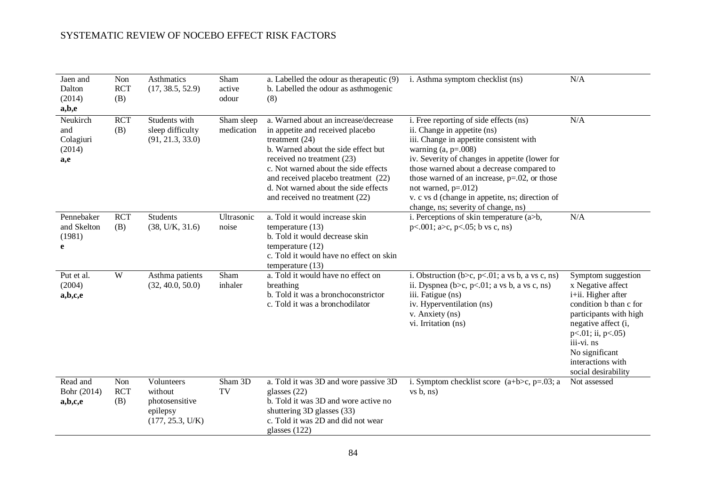| Jaen and<br>Dalton<br>(2014)<br>a,b,e         | Non<br><b>RCT</b><br>(B) | Asthmatics<br>(17, 38.5, 52.9)                                          | Sham<br>active<br>odour  | a. Labelled the odour as the rapeutic (9)<br>b. Labelled the odour as asthmogenic<br>(8)                                                                                                                                                                                                                                   | i. Asthma symptom checklist (ns)                                                                                                                                                                                                                                                                                                                                                                                | N/A                                                                                                                                                                                                                                             |
|-----------------------------------------------|--------------------------|-------------------------------------------------------------------------|--------------------------|----------------------------------------------------------------------------------------------------------------------------------------------------------------------------------------------------------------------------------------------------------------------------------------------------------------------------|-----------------------------------------------------------------------------------------------------------------------------------------------------------------------------------------------------------------------------------------------------------------------------------------------------------------------------------------------------------------------------------------------------------------|-------------------------------------------------------------------------------------------------------------------------------------------------------------------------------------------------------------------------------------------------|
| Neukirch<br>and<br>Colagiuri<br>(2014)<br>a,e | <b>RCT</b><br>(B)        | Students with<br>sleep difficulty<br>(91, 21.3, 33.0)                   | Sham sleep<br>medication | a. Warned about an increase/decrease<br>in appetite and received placebo<br>treatment $(24)$<br>b. Warned about the side effect but<br>received no treatment (23)<br>c. Not warned about the side effects<br>and received placebo treatment (22)<br>d. Not warned about the side effects<br>and received no treatment (22) | i. Free reporting of side effects (ns)<br>ii. Change in appetite (ns)<br>iii. Change in appetite consistent with<br>warning $(a, p=.008)$<br>iv. Severity of changes in appetite (lower for<br>those warned about a decrease compared to<br>those warned of an increase, $p=.02$ , or those<br>not warned, $p=.012$ )<br>v. c vs d (change in appetite, ns; direction of<br>change, ns; severity of change, ns) | N/A                                                                                                                                                                                                                                             |
| Pennebaker<br>and Skelton<br>(1981)<br>e      | <b>RCT</b><br>(B)        | <b>Students</b><br>(38, U/K, 31.6)                                      | Ultrasonic<br>noise      | a. Told it would increase skin<br>temperature $(13)$<br>b. Told it would decrease skin<br>temperature $(12)$<br>c. Told it would have no effect on skin<br>temperature (13)                                                                                                                                                | i. Perceptions of skin temperature $(a>b,$<br>$p<.001$ ; a>c, $p<.05$ ; b vs c, ns)                                                                                                                                                                                                                                                                                                                             | N/A                                                                                                                                                                                                                                             |
| Put et al.<br>(2004)<br>a,b,c,e               | W                        | Asthma patients<br>(32, 40.0, 50.0)                                     | Sham<br>inhaler          | a. Told it would have no effect on<br>breathing<br>b. Told it was a bronchoconstrictor<br>c. Told it was a bronchodilator                                                                                                                                                                                                  | i. Obstruction ( $b > c$ , $p < 01$ ; a vs b, a vs c, ns)<br>ii. Dyspnea (b>c, p<.01; a vs b, a vs c, ns)<br>iii. Fatigue (ns)<br>iv. Hyperventilation (ns)<br>v. Anxiety (ns)<br>vi. Irritation (ns)                                                                                                                                                                                                           | Symptom suggestion<br>x Negative affect<br>i+ii. Higher after<br>condition b than c for<br>participants with high<br>negative affect (i,<br>$p<.01$ ; ii, $p<.05$ )<br>iii-vi. ns<br>No significant<br>interactions with<br>social desirability |
| Read and<br>Bohr (2014)<br>a,b,c,e            | Non<br><b>RCT</b><br>(B) | Volunteers<br>without<br>photosensitive<br>epilepsy<br>(177, 25.3, U/K) | Sham 3D<br>TV            | a. Told it was 3D and wore passive 3D<br>glasses $(22)$<br>b. Told it was 3D and wore active no<br>shuttering 3D glasses (33)<br>c. Told it was 2D and did not wear<br>glasses $(122)$                                                                                                                                     | i. Symptom checklist score $(a+b>c, p=.03; a$<br>vs b, ns)                                                                                                                                                                                                                                                                                                                                                      | Not assessed                                                                                                                                                                                                                                    |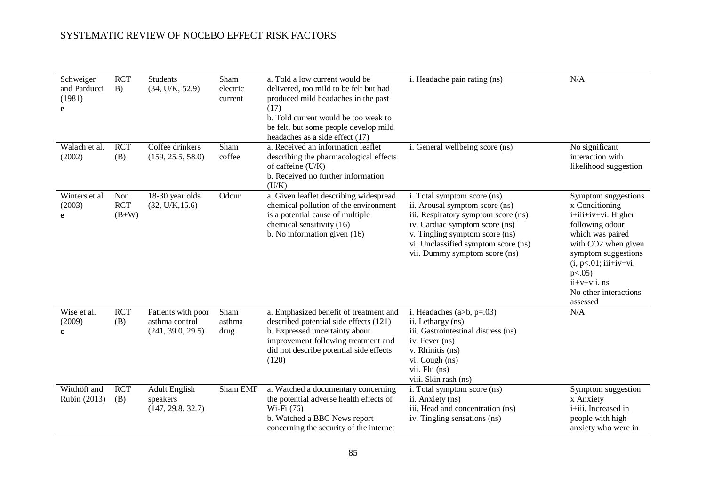| Schweiger<br>and Parducci<br>(1981)<br>e | <b>RCT</b><br>B)             | <b>Students</b><br>(34, U/K, 52.9)                        | Sham<br>electric<br>current | a. Told a low current would be<br>delivered, too mild to be felt but had<br>produced mild headaches in the past<br>(17)<br>b. Told current would be too weak to<br>be felt, but some people develop mild<br>headaches as a side effect (17) | i. Headache pain rating (ns)                                                                                                                                                                                                                     | N/A                                                                                                                                                                                                                                               |
|------------------------------------------|------------------------------|-----------------------------------------------------------|-----------------------------|---------------------------------------------------------------------------------------------------------------------------------------------------------------------------------------------------------------------------------------------|--------------------------------------------------------------------------------------------------------------------------------------------------------------------------------------------------------------------------------------------------|---------------------------------------------------------------------------------------------------------------------------------------------------------------------------------------------------------------------------------------------------|
| Walach et al.<br>(2002)                  | <b>RCT</b><br>(B)            | Coffee drinkers<br>(159, 25.5, 58.0)                      | Sham<br>coffee              | a. Received an information leaflet<br>describing the pharmacological effects<br>of caffeine (U/K)<br>b. Received no further information<br>(U/K)                                                                                            | i. General wellbeing score (ns)                                                                                                                                                                                                                  | No significant<br>interaction with<br>likelihood suggestion                                                                                                                                                                                       |
| Winters et al.<br>(2003)<br>e            | Non<br><b>RCT</b><br>$(B+W)$ | 18-30 year olds<br>(32, U/K, 15.6)                        | Odour                       | a. Given leaflet describing widespread<br>chemical pollution of the environment<br>is a potential cause of multiple<br>chemical sensitivity (16)<br>b. No information given $(16)$                                                          | i. Total symptom score (ns)<br>ii. Arousal symptom score (ns)<br>iii. Respiratory symptom score (ns)<br>iv. Cardiac symptom score (ns)<br>v. Tingling symptom score (ns)<br>vi. Unclassified symptom score (ns)<br>vii. Dummy symptom score (ns) | Symptom suggestions<br>x Conditioning<br>i+iii+iv+vi. Higher<br>following odour<br>which was paired<br>with CO2 when given<br>symptom suggestions<br>$(i, p<.01; iii+iv+vi,$<br>$p<.05$ )<br>$ii+v+vii$ . ns<br>No other interactions<br>assessed |
| Wise et al.<br>(2009)<br>c               | <b>RCT</b><br>(B)            | Patients with poor<br>asthma control<br>(241, 39.0, 29.5) | Sham<br>asthma<br>drug      | a. Emphasized benefit of treatment and<br>described potential side effects (121)<br>b. Expressed uncertainty about<br>improvement following treatment and<br>did not describe potential side effects<br>(120)                               | i. Headaches ( $a$ $>b$ , $p$ =.03)<br>ii. Lethargy (ns)<br>iii. Gastrointestinal distress (ns)<br>iv. Fever (ns)<br>v. Rhinitis (ns)<br>vi. Cough (ns)<br>vii. Flu (ns)<br>viii. Skin rash (ns)                                                 | N/A                                                                                                                                                                                                                                               |
| Witthöft and<br>Rubin (2013)             | <b>RCT</b><br>(B)            | <b>Adult</b> English<br>speakers<br>(147, 29.8, 32.7)     | Sham EMF                    | a. Watched a documentary concerning<br>the potential adverse health effects of<br>Wi-Fi (76)<br>b. Watched a BBC News report<br>concerning the security of the internet                                                                     | i. Total symptom score (ns)<br>ii. Anxiety (ns)<br>iii. Head and concentration (ns)<br>iv. Tingling sensations (ns)                                                                                                                              | Symptom suggestion<br>x Anxiety<br>i+iii. Increased in<br>people with high<br>anxiety who were in                                                                                                                                                 |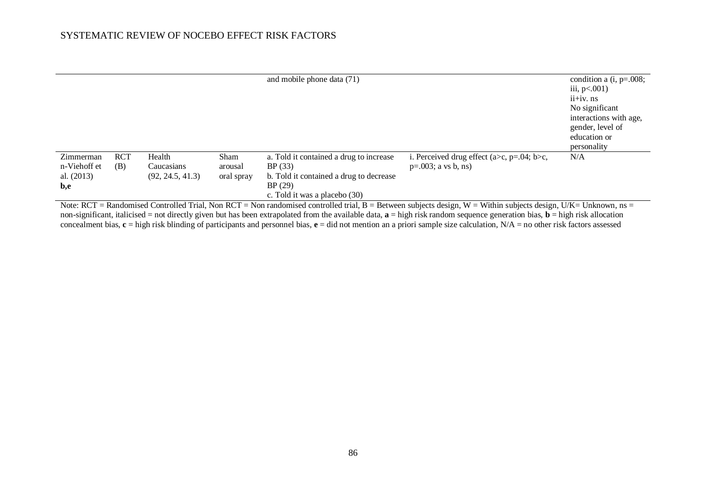|                                                                                                                                                                       |                 | and mobile phone data (71)                        |                                                                     | condition a $(i, p=.008;$<br>iii, $p<.001$ )<br>ii+iv. ns<br>No significant<br>interactions with age,<br>gender, level of<br>education or |
|-----------------------------------------------------------------------------------------------------------------------------------------------------------------------|-----------------|---------------------------------------------------|---------------------------------------------------------------------|-------------------------------------------------------------------------------------------------------------------------------------------|
|                                                                                                                                                                       |                 |                                                   |                                                                     | personality                                                                                                                               |
| <b>RCT</b><br>Zimmerman<br>Health<br>n-Viehoff et<br>(B)<br>Caucasians                                                                                                | Sham<br>arousal | a. Told it contained a drug to increase<br>BP(33) | i. Perceived drug effect (a>c, p=.04; b>c,<br>$p=.003; a vs b, ns)$ | N/A                                                                                                                                       |
| al. $(2013)$<br>(92, 24.5, 41.3)                                                                                                                                      | oral spray      | b. Told it contained a drug to decrease           |                                                                     |                                                                                                                                           |
| b,e                                                                                                                                                                   |                 | BP(29)                                            |                                                                     |                                                                                                                                           |
| Note: RCT = Randomised Controlled Trial Non RCT = Non randomised controlled trial $B =$ Retween subjects design $W =$ Within subjects design $I/K = I$ Inknown $nS =$ |                 | c. Told it was a placebo (30)                     |                                                                     |                                                                                                                                           |

Note:  $RCT = R$ andomised Controlled Trial, Non  $RCT =$  Non randomised controlled trial, B = Between subjects design, W = Within subjects design, U/K= Unknown, ns non-significant, italicised = not directly given but has been extrapolated from the available data, **a** = high risk random sequence generation bias, **b** = high risk allocation concealment bias, **c** = high risk blinding of participants and personnel bias, **e** = did not mention an a priori sample size calculation, N/A = no other risk factors assessed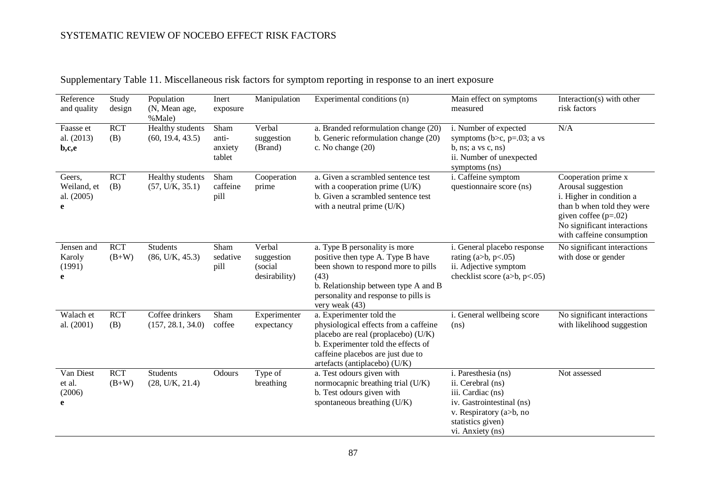| Reference<br>and quality                 | Study<br>design       | Population<br>(N, Mean age,<br>%Male) | Inert<br>exposure                  | Manipulation                                     | Experimental conditions (n)                                                                                                                                                                                           | Main effect on symptoms<br>measured                                                                                                                            | Interaction(s) with other<br>risk factors                                                                                                                                                 |
|------------------------------------------|-----------------------|---------------------------------------|------------------------------------|--------------------------------------------------|-----------------------------------------------------------------------------------------------------------------------------------------------------------------------------------------------------------------------|----------------------------------------------------------------------------------------------------------------------------------------------------------------|-------------------------------------------------------------------------------------------------------------------------------------------------------------------------------------------|
| Faasse et<br>al. (2013)<br>b,c,e         | <b>RCT</b><br>(B)     | Healthy students<br>(60, 19.4, 43.5)  | Sham<br>anti-<br>anxiety<br>tablet | Verbal<br>suggestion<br>(Brand)                  | a. Branded reformulation change (20)<br>b. Generic reformulation change (20)<br>c. No change (20)                                                                                                                     | i. Number of expected<br>symptoms ( $b > c$ , $p = .03$ ; a vs<br>b, ns; a vs c, ns)<br>ii. Number of unexpected<br>symptoms (ns)                              | N/A                                                                                                                                                                                       |
| Geers,<br>Weiland, et<br>al. (2005)<br>e | <b>RCT</b><br>(B)     | Healthy students<br>(57, U/K, 35.1)   | Sham<br>caffeine<br>pill           | Cooperation<br>prime                             | a. Given a scrambled sentence test<br>with a cooperation prime (U/K)<br>b. Given a scrambled sentence test<br>with a neutral prime $(U/K)$                                                                            | i. Caffeine symptom<br>questionnaire score (ns)                                                                                                                | Cooperation prime x<br>Arousal suggestion<br>i. Higher in condition a<br>than b when told they were<br>given coffee $(p=.02)$<br>No significant interactions<br>with caffeine consumption |
| Jensen and<br>Karoly<br>(1991)<br>e      | <b>RCT</b><br>$(B+W)$ | <b>Students</b><br>(86, U/K, 45.3)    | Sham<br>sedative<br>pill           | Verbal<br>suggestion<br>(social<br>desirability) | a. Type B personality is more<br>positive then type A. Type B have<br>been shown to respond more to pills<br>(43)<br>b. Relationship between type A and B<br>personality and response to pills is<br>very weak (43)   | i. General placebo response<br>rating $(a>b, p<.05)$<br>ii. Adjective symptom<br>checklist score $(a>b, p<.05)$                                                | No significant interactions<br>with dose or gender                                                                                                                                        |
| Walach et<br>al. (2001)                  | <b>RCT</b><br>(B)     | Coffee drinkers<br>(157, 28.1, 34.0)  | Sham<br>coffee                     | Experimenter<br>expectancy                       | a. Experimenter told the<br>physiological effects from a caffeine<br>placebo are real (proplacebo) (U/K)<br>b. Experimenter told the effects of<br>caffeine placebos are just due to<br>artefacts (antiplacebo) (U/K) | i. General wellbeing score<br>(ns)                                                                                                                             | No significant interactions<br>with likelihood suggestion                                                                                                                                 |
| Van Diest<br>et al.<br>(2006)<br>e       | <b>RCT</b><br>$(B+W)$ | <b>Students</b><br>(28, U/K, 21.4)    | Odours                             | Type of<br>breathing                             | a. Test odours given with<br>normocapnic breathing trial (U/K)<br>b. Test odours given with<br>spontaneous breathing (U/K)                                                                                            | i. Paresthesia (ns)<br>ii. Cerebral (ns)<br>iii. Cardiac (ns)<br>iv. Gastrointestinal (ns)<br>v. Respiratory (a>b, no<br>statistics given)<br>vi. Anxiety (ns) | Not assessed                                                                                                                                                                              |

Supplementary Table 11. Miscellaneous risk factors for symptom reporting in response to an inert exposure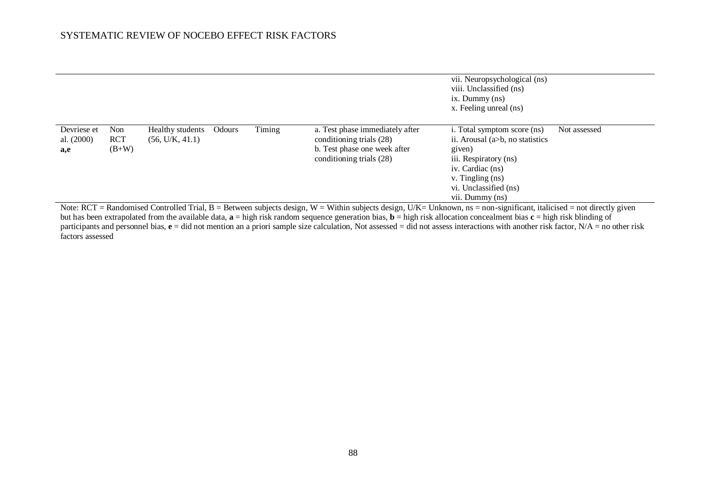|                                    |                              |                                     |        |        |                                                                                                                         | vii. Neuropsychological (ns)<br>viii. Unclassified (ns)<br>$ix.$ Dummy $(ns)$<br>x. Feeling unreal (ns)                                                                                 |              |
|------------------------------------|------------------------------|-------------------------------------|--------|--------|-------------------------------------------------------------------------------------------------------------------------|-----------------------------------------------------------------------------------------------------------------------------------------------------------------------------------------|--------------|
| Devriese et<br>al. $(2000)$<br>a,e | Non<br><b>RCT</b><br>$(B+W)$ | Healthy students<br>(56, U/K, 41.1) | Odours | Timing | a. Test phase immediately after<br>conditioning trials (28)<br>b. Test phase one week after<br>conditioning trials (28) | i. Total symptom score (ns)<br>ii. Arousal $(a>b, no$ statistics<br>given)<br>iii. Respiratory (ns)<br>iv. Cardiac (ns)<br>v. Tingling (ns)<br>vi. Unclassified (ns)<br>vii. Dummy (ns) | Not assessed |

Note: RCT = Randomised Controlled Trial, B = Between subjects design, W = Within subjects design, U/K= Unknown, ns = non-significant, italicised = not directly given but has been extrapolated from the available data, **a** = high risk random sequence generation bias, **b** = high risk allocation concealment bias **c** = high risk blinding of participants and personnel bias,  $\mathbf{e} = \text{did not mention an a priori sample size calculation}$ , Not assessed = did not assess interactions with another risk factor, N/A = no other risk factors assessed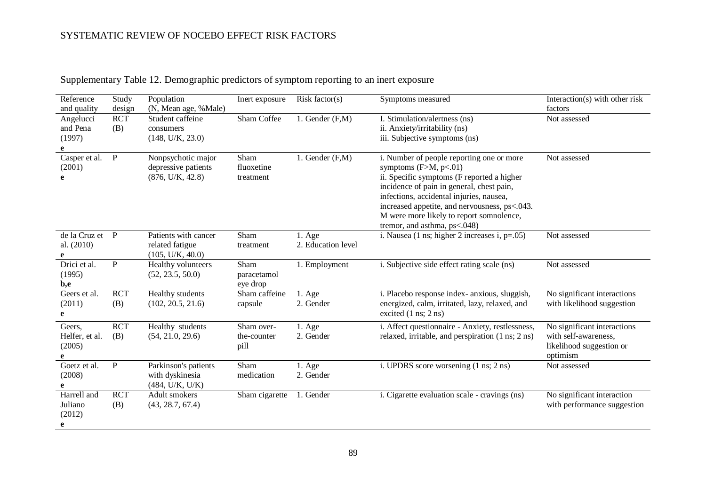| Reference<br>and quality                | Study<br>design   | Population<br>(N, Mean age, %Male)                            | Inert exposure                    | Risk factor $(s)$            | Symptoms measured                                                                                                                                                                                                                                                                                                                        | Interaction(s) with other risk<br>factors                                                   |
|-----------------------------------------|-------------------|---------------------------------------------------------------|-----------------------------------|------------------------------|------------------------------------------------------------------------------------------------------------------------------------------------------------------------------------------------------------------------------------------------------------------------------------------------------------------------------------------|---------------------------------------------------------------------------------------------|
| Angelucci<br>and Pena<br>(1997)<br>e    | <b>RCT</b><br>(B) | Student caffeine<br>consumers<br>(148, U/K, 23.0)             | Sham Coffee                       | 1. Gender (F,M)              | I. Stimulation/alertness (ns)<br>ii. Anxiety/irritability (ns)<br>iii. Subjective symptoms (ns)                                                                                                                                                                                                                                          | Not assessed                                                                                |
| Casper et al.<br>(2001)<br>e            | $\mathbf{P}$      | Nonpsychotic major<br>depressive patients<br>(876, U/K, 42.8) | Sham<br>fluoxetine<br>treatment   | 1. Gender (F,M)              | i. Number of people reporting one or more<br>symptoms $(F>M, p<.01)$<br>ii. Specific symptoms (F reported a higher<br>incidence of pain in general, chest pain,<br>infections, accidental injuries, nausea,<br>increased appetite, and nervousness, ps<.043.<br>M were more likely to report somnolence,<br>tremor, and asthma, ps<.048) | Not assessed                                                                                |
| de la Cruz et<br>al. (2010)<br>e        | $\mathbf{P}$      | Patients with cancer<br>related fatigue<br>(105, U/K, 40.0)   | Sham<br>treatment                 | 1. Age<br>2. Education level | i. Nausea (1 ns; higher 2 increases i, $p=.05$ )                                                                                                                                                                                                                                                                                         | Not assessed                                                                                |
| Drici et al.<br>(1995)<br>b,e           | ${\bf P}$         | Healthy volunteers<br>(52, 23.5, 50.0)                        | Sham<br>paracetamol<br>eye drop   | 1. Employment                | i. Subjective side effect rating scale (ns)                                                                                                                                                                                                                                                                                              | Not assessed                                                                                |
| Geers et al.<br>(2011)<br>e             | <b>RCT</b><br>(B) | Healthy students<br>(102, 20.5, 21.6)                         | Sham caffeine<br>capsule          | 1. Age<br>2. Gender          | i. Placebo response index- anxious, sluggish,<br>energized, calm, irritated, lazy, relaxed, and<br>excited $(1 \text{ ns}; 2 \text{ ns})$                                                                                                                                                                                                | No significant interactions<br>with likelihood suggestion                                   |
| Geers,<br>Helfer, et al.<br>(2005)<br>e | <b>RCT</b><br>(B) | Healthy students<br>(54, 21.0, 29.6)                          | Sham over-<br>the-counter<br>pill | $1. \text{Age}$<br>2. Gender | i. Affect questionnaire - Anxiety, restlessness,<br>relaxed, irritable, and perspiration (1 ns; 2 ns)                                                                                                                                                                                                                                    | No significant interactions<br>with self-awareness,<br>likelihood suggestion or<br>optimism |
| Goetz et al.<br>(2008)<br>e             | ${\bf P}$         | Parkinson's patients<br>with dyskinesia<br>(484, U/K, U/K)    | Sham<br>medication                | 1. Age<br>2. Gender          | i. UPDRS score worsening (1 ns; 2 ns)                                                                                                                                                                                                                                                                                                    | Not assessed                                                                                |
| Harrell and<br>Juliano<br>(2012)<br>e   | <b>RCT</b><br>(B) | Adult smokers<br>(43, 28.7, 67.4)                             | Sham cigarette                    | 1. Gender                    | i. Cigarette evaluation scale - cravings (ns)                                                                                                                                                                                                                                                                                            | No significant interaction<br>with performance suggestion                                   |

Supplementary Table 12. Demographic predictors of symptom reporting to an inert exposure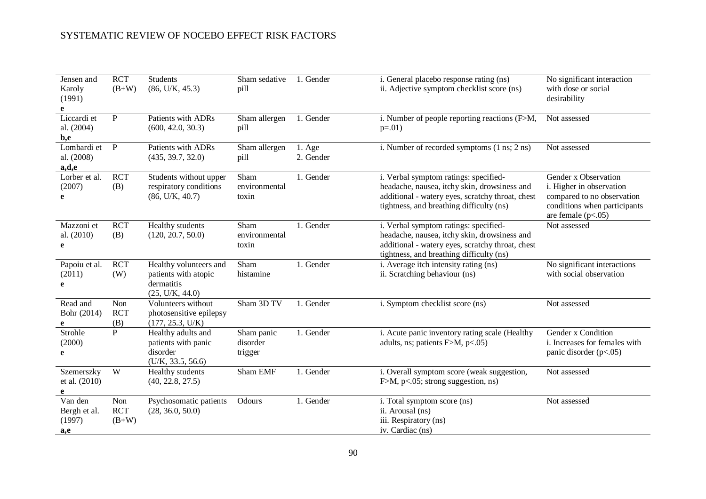| Jensen and<br>Karoly<br>(1991)<br>e      | <b>RCT</b><br>$(B+W)$        | <b>Students</b><br>(86, U/K, 45.3)                                              | Sham sedative<br>pill             | 1. Gender                    | i. General placebo response rating (ns)<br>ii. Adjective symptom checklist score (ns)                                                                                                 | No significant interaction<br>with dose or social<br>desirability                                                                      |
|------------------------------------------|------------------------------|---------------------------------------------------------------------------------|-----------------------------------|------------------------------|---------------------------------------------------------------------------------------------------------------------------------------------------------------------------------------|----------------------------------------------------------------------------------------------------------------------------------------|
| Liccardi et<br>al. (2004)<br>b,e         | $\mathbf{P}$                 | Patients with ADRs<br>(600, 42.0, 30.3)                                         | Sham allergen<br>pill             | 1. Gender                    | i. Number of people reporting reactions (F>M,<br>$p=.01)$                                                                                                                             | Not assessed                                                                                                                           |
| Lombardi et<br>al. (2008)<br>a,d,e       | $\mathbf P$                  | Patients with ADRs<br>(435, 39.7, 32.0)                                         | Sham allergen<br>pill             | $1. \text{Age}$<br>2. Gender | i. Number of recorded symptoms (1 ns; 2 ns)                                                                                                                                           | Not assessed                                                                                                                           |
| Lorber et al.<br>(2007)<br>e             | <b>RCT</b><br>(B)            | Students without upper<br>respiratory conditions<br>(86, U/K, 40.7)             | Sham<br>environmental<br>toxin    | 1. Gender                    | i. Verbal symptom ratings: specified-<br>headache, nausea, itchy skin, drowsiness and<br>additional - watery eyes, scratchy throat, chest<br>tightness, and breathing difficulty (ns) | Gender x Observation<br>i. Higher in observation<br>compared to no observation<br>conditions when participants<br>are female $(p<.05)$ |
| Mazzoni et<br>al. (2010)<br>e            | <b>RCT</b><br>(B)            | Healthy students<br>(120, 20.7, 50.0)                                           | Sham<br>environmental<br>toxin    | 1. Gender                    | i. Verbal symptom ratings: specified-<br>headache, nausea, itchy skin, drowsiness and<br>additional - watery eyes, scratchy throat, chest<br>tightness, and breathing difficulty (ns) | Not assessed                                                                                                                           |
| Papoiu et al.<br>(2011)<br>e             | <b>RCT</b><br>(W)            | Healthy volunteers and<br>patients with atopic<br>dermatitis<br>(25, U/K, 44.0) | Sham<br>histamine                 | 1. Gender                    | i. Average itch intensity rating (ns)<br>ii. Scratching behaviour (ns)                                                                                                                | No significant interactions<br>with social observation                                                                                 |
| Read and<br>Bohr (2014)<br>e             | Non<br><b>RCT</b><br>(B)     | Volunteers without<br>photosensitive epilepsy<br>(177, 25.3, U/K)               | Sham 3D TV                        | 1. Gender                    | i. Symptom checklist score (ns)                                                                                                                                                       | Not assessed                                                                                                                           |
| Strohle<br>(2000)<br>e                   | $\mathbf{P}$                 | Healthy adults and<br>patients with panic<br>disorder<br>(U/K, 33.5, 56.6)      | Sham panic<br>disorder<br>trigger | 1. Gender                    | i. Acute panic inventory rating scale (Healthy<br>adults, ns; patients $F>M$ , $p<.05$ )                                                                                              | Gender x Condition<br>i. Increases for females with<br>panic disorder $(p<.05)$                                                        |
| Szemerszky<br>et al. (2010)<br>e         | W                            | Healthy students<br>(40, 22.8, 27.5)                                            | Sham EMF                          | 1. Gender                    | i. Overall symptom score (weak suggestion,<br>$F>M$ , p<.05; strong suggestion, ns)                                                                                                   | Not assessed                                                                                                                           |
| Van den<br>Bergh et al.<br>(1997)<br>a,e | Non<br><b>RCT</b><br>$(B+W)$ | Psychosomatic patients<br>(28, 36.0, 50.0)                                      | Odours                            | 1. Gender                    | i. Total symptom score (ns)<br>ii. Arousal (ns)<br>iii. Respiratory (ns)<br>iv. Cardiac (ns)                                                                                          | Not assessed                                                                                                                           |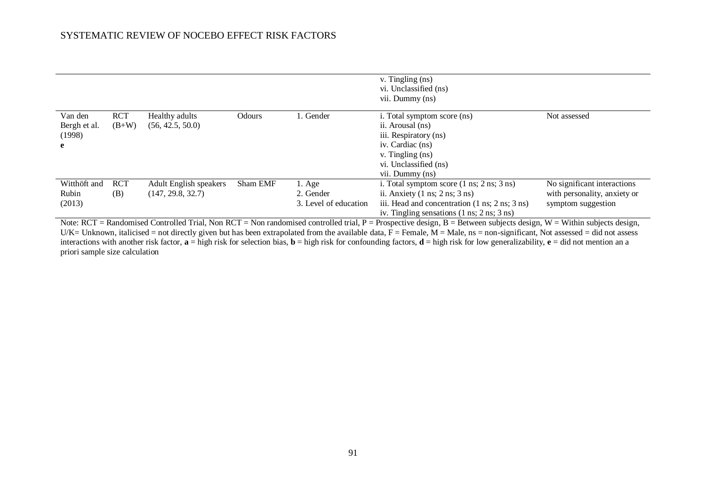|                                        |                       |                                             |          |                                                       | v. Tingling (ns)<br>vi. Unclassified (ns)<br>vii. Dummy (ns)                                                                                                                                                                                              |                                                                                   |
|----------------------------------------|-----------------------|---------------------------------------------|----------|-------------------------------------------------------|-----------------------------------------------------------------------------------------------------------------------------------------------------------------------------------------------------------------------------------------------------------|-----------------------------------------------------------------------------------|
| Van den<br>Bergh et al.<br>(1998)<br>e | <b>RCT</b><br>$(B+W)$ | Healthy adults<br>(56, 42.5, 50.0)          | Odours   | . Gender                                              | i. Total symptom score (ns)<br>ii. Arousal (ns)<br>iii. Respiratory (ns)<br>iv. Cardiac (ns)<br>v. Tingling (ns)<br>vi. Unclassified (ns)<br>vii. Dummy (ns)                                                                                              | Not assessed                                                                      |
| Witthöft and<br>Rubin<br>(2013)        | <b>RCT</b><br>(B)     | Adult English speakers<br>(147, 29.8, 32.7) | Sham EMF | $1. \text{Age}$<br>2. Gender<br>3. Level of education | i. Total symptom score $(1 \text{ ns}; 2 \text{ ns}; 3 \text{ ns})$<br>ii. Anxiety $(1 \text{ ns}; 2 \text{ ns}; 3 \text{ ns})$<br>iii. Head and concentration (1 ns; 2 ns; 3 ns)<br>iv. Tingling sensations $(1 \text{ ns}; 2 \text{ ns}; 3 \text{ ns})$ | No significant interactions<br>with personality, anxiety or<br>symptom suggestion |
|                                        |                       |                                             |          |                                                       | Note: RCT = Randomised Controlled Trial, Non RCT = Non randomised controlled trial, $P =$ Prospective design, $B =$ Between subjects design, $W =$ Within subjects design,                                                                                |                                                                                   |

U/K= Unknown, italicised = not directly given but has been extrapolated from the available data,  $\bar{F}$  = Female,  $\bar{M}$  = Male, ns = non-significant, Not assessed = did not assess interactions with another risk factor,  $\mathbf{a} = \text{high risk}$  for selection bias,  $\mathbf{b} = \text{high risk}$  for confounding factors,  $\mathbf{d} = \text{high risk}$  for low generalizability,  $\mathbf{e} = \text{did not mention an a}$ priori sample size calculation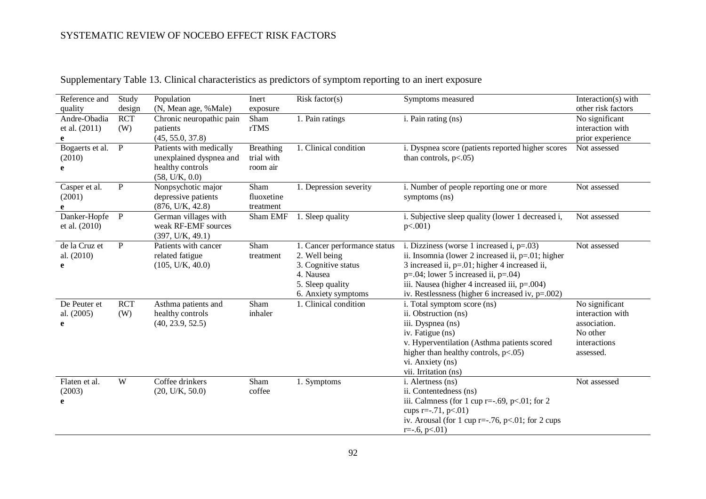| Reference and           | Study<br>design | Population                                       | Inert            | Risk factor( $s$ )            | Symptoms measured                                       | Interaction(s) with<br>other risk factors |
|-------------------------|-----------------|--------------------------------------------------|------------------|-------------------------------|---------------------------------------------------------|-------------------------------------------|
| quality<br>Andre-Obadia | <b>RCT</b>      | (N, Mean age, %Male)<br>Chronic neuropathic pain | exposure<br>Sham | $\overline{1}$ . Pain ratings | i. Pain rating (ns)                                     | No significant                            |
| et al. (2011)           | (W)             | patients                                         | rTMS             |                               |                                                         | interaction with                          |
| e                       |                 | (45, 55.0, 37.8)                                 |                  |                               |                                                         | prior experience                          |
| Bogaerts et al.         | $\mathbf{P}$    | Patients with medically                          | <b>Breathing</b> | 1. Clinical condition         | i. Dyspnea score (patients reported higher scores       | Not assessed                              |
| (2010)                  |                 | unexplained dyspnea and                          | trial with       |                               | than controls, $p<.05$ )                                |                                           |
| e                       |                 | healthy controls                                 | room air         |                               |                                                         |                                           |
|                         |                 | (58, U/K, 0.0)                                   |                  |                               |                                                         |                                           |
| Casper et al.           | $\mathbf{P}$    | Nonpsychotic major                               | Sham             | 1. Depression severity        | i. Number of people reporting one or more               | Not assessed                              |
| (2001)                  |                 | depressive patients                              | fluoxetine       |                               | symptoms (ns)                                           |                                           |
|                         |                 | (876, U/K, 42.8)                                 | treatment        |                               |                                                         |                                           |
| Danker-Hopfe            | $\mathbf{P}$    | German villages with                             | Sham EMF         | 1. Sleep quality              | i. Subjective sleep quality (lower 1 decreased i,       | Not assessed                              |
| et al. (2010)           |                 | weak RF-EMF sources                              |                  |                               | $p<.001$ )                                              |                                           |
|                         |                 | (397, U/K, 49.1)                                 |                  |                               |                                                         |                                           |
| de la Cruz et           | P               | Patients with cancer                             | Sham             | 1. Cancer performance status  | i. Dizziness (worse 1 increased i, $p=.03$ )            | Not assessed                              |
| al. (2010)              |                 | related fatigue                                  | treatment        | 2. Well being                 | ii. Insomnia (lower 2 increased ii, $p=01$ ; higher     |                                           |
| e                       |                 | (105, U/K, 40.0)                                 |                  | 3. Cognitive status           | 3 increased ii, $p=01$ ; higher 4 increased ii,         |                                           |
|                         |                 |                                                  |                  | 4. Nausea                     | $p=.04$ ; lower 5 increased ii, $p=.04$ )               |                                           |
|                         |                 |                                                  |                  | 5. Sleep quality              | iii. Nausea (higher 4 increased iii, p=.004)            |                                           |
|                         |                 |                                                  |                  | 6. Anxiety symptoms           | iv. Restlessness (higher 6 increased iv, $p=.002$ )     |                                           |
| De Peuter et            | <b>RCT</b>      | Asthma patients and                              | Sham             | 1. Clinical condition         | i. Total symptom score (ns)                             | No significant                            |
| al. (2005)              | (W)             | healthy controls                                 | inhaler          |                               | ii. Obstruction (ns)                                    | interaction with                          |
| e                       |                 | (40, 23.9, 52.5)                                 |                  |                               | iii. Dyspnea (ns)                                       | association.                              |
|                         |                 |                                                  |                  |                               | iv. Fatigue (ns)                                        | No other                                  |
|                         |                 |                                                  |                  |                               | v. Hyperventilation (Asthma patients scored             | interactions                              |
|                         |                 |                                                  |                  |                               | higher than healthy controls, $p<.05$ )                 | assessed.                                 |
|                         |                 |                                                  |                  |                               | vi. Anxiety (ns)                                        |                                           |
|                         |                 |                                                  |                  |                               | vii. Irritation (ns)                                    |                                           |
| Flaten et al.           | W               | Coffee drinkers                                  | Sham             | 1. Symptoms                   | i. Alertness (ns)                                       | Not assessed                              |
| (2003)                  |                 | (20, U/K, 50.0)                                  | coffee           |                               | ii. Contentedness (ns)                                  |                                           |
| e                       |                 |                                                  |                  |                               | iii. Calmness (for 1 cup r=-.69, $p<.01$ ; for 2        |                                           |
|                         |                 |                                                  |                  |                               | cups $r=-.71$ , $p<.01$ )                               |                                           |
|                         |                 |                                                  |                  |                               | iv. Arousal (for 1 cup r= $-76$ , p< $.01$ ; for 2 cups |                                           |
|                         |                 |                                                  |                  |                               | $r=-.6, p<.01$ )                                        |                                           |

## Supplementary Table 13. Clinical characteristics as predictors of symptom reporting to an inert exposure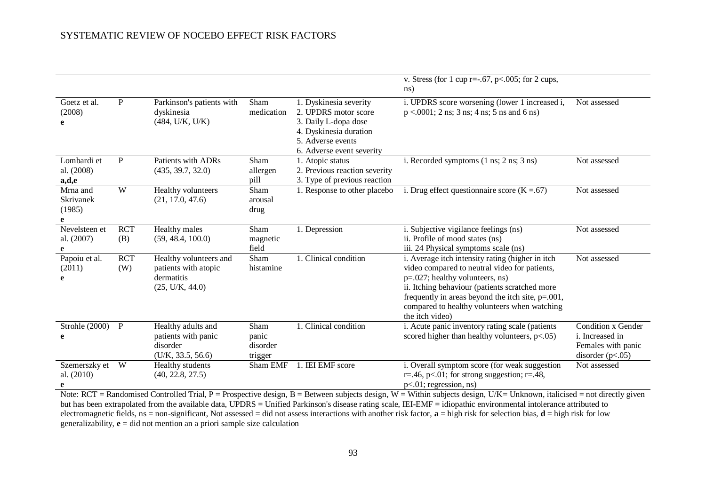|                                          |                   |                                                                                 |                                      |                                                                                                                                                    | v. Stress (for 1 cup r=-.67, p<.005; for 2 cups,<br>ns)                                                                                                                                                                                                                                                                                                                                                                                                                                               |                                                                                   |
|------------------------------------------|-------------------|---------------------------------------------------------------------------------|--------------------------------------|----------------------------------------------------------------------------------------------------------------------------------------------------|-------------------------------------------------------------------------------------------------------------------------------------------------------------------------------------------------------------------------------------------------------------------------------------------------------------------------------------------------------------------------------------------------------------------------------------------------------------------------------------------------------|-----------------------------------------------------------------------------------|
| Goetz et al.<br>(2008)<br>e              | $\mathbf{P}$      | Parkinson's patients with<br>dyskinesia<br>(484, U/K, U/K)                      | Sham<br>medication                   | 1. Dyskinesia severity<br>2. UPDRS motor score<br>3. Daily L-dopa dose<br>4. Dyskinesia duration<br>5. Adverse events<br>6. Adverse event severity | i. UPDRS score worsening (lower 1 increased i,<br>$p < .0001$ ; 2 ns; 3 ns; 4 ns; 5 ns and 6 ns)                                                                                                                                                                                                                                                                                                                                                                                                      | Not assessed                                                                      |
| Lombardi et<br>al. (2008)<br>a,d,e       | P                 | Patients with ADRs<br>(435, 39.7, 32.0)                                         | Sham<br>allergen<br>pill             | 1. Atopic status<br>2. Previous reaction severity<br>3. Type of previous reaction                                                                  | i. Recorded symptoms $(1 \text{ ns}; 2 \text{ ns}; 3 \text{ ns})$                                                                                                                                                                                                                                                                                                                                                                                                                                     | Not assessed                                                                      |
| Mrna and<br>Skrivanek<br>(1985)          | W                 | Healthy volunteers<br>(21, 17.0, 47.6)                                          | Sham<br>arousal<br>drug              | 1. Response to other placebo                                                                                                                       | i. Drug effect questionnaire score ( $K = .67$ )                                                                                                                                                                                                                                                                                                                                                                                                                                                      | Not assessed                                                                      |
| Nevelsteen et<br>al. (2007)              | <b>RCT</b><br>(B) | Healthy males<br>(59, 48.4, 100.0)                                              | Sham<br>magnetic<br>field            | 1. Depression                                                                                                                                      | i. Subjective vigilance feelings (ns)<br>ii. Profile of mood states (ns)<br>iii. 24 Physical symptoms scale (ns)                                                                                                                                                                                                                                                                                                                                                                                      | Not assessed                                                                      |
| Papoiu et al.<br>(2011)<br>e             | <b>RCT</b><br>(W) | Healthy volunteers and<br>patients with atopic<br>dermatitis<br>(25, U/K, 44.0) | Sham<br>histamine                    | 1. Clinical condition                                                                                                                              | i. Average itch intensity rating (higher in itch<br>video compared to neutral video for patients,<br>p=.027; healthy volunteers, ns)<br>ii. Itching behaviour (patients scratched more<br>frequently in areas beyond the itch site, $p = .001$ ,<br>compared to healthy volunteers when watching<br>the itch video)                                                                                                                                                                                   | Not assessed                                                                      |
| Strohle (2000)<br>e                      | $\mathbf{P}$      | Healthy adults and<br>patients with panic<br>disorder<br>(U/K, 33.5, 56.6)      | Sham<br>panic<br>disorder<br>trigger | 1. Clinical condition                                                                                                                              | i. Acute panic inventory rating scale (patients<br>scored higher than healthy volunteers, $p<0.05$ )                                                                                                                                                                                                                                                                                                                                                                                                  | Condition x Gender<br>i. Increased in<br>Females with panic<br>disorder $(p<.05)$ |
| Szemerszky et<br>al. (2010)<br>$DCT$ $D$ | W                 | Healthy students<br>(40, 22.8, 27.5)<br>$1 \cdot 10 \cdot 111T$                 | Sham EMF                             | 1. IEI EMF score<br>$\mathbf{D}$<br>$\mathbf{r}$<br>$\cdots$ $\cdots$                                                                              | i. Overall symptom score (for weak suggestion<br>r=.46, p<.01; for strong suggestion; r=.48,<br>$p<.01$ ; regression, ns)<br>$\mathbf{W}$ $\mathbf{W}$ $\mathbf{W}$ $\mathbf{H}$ $\mathbf{H}$ $\mathbf{H}$ $\mathbf{H}$ $\mathbf{H}$ $\mathbf{H}$ $\mathbf{H}$ $\mathbf{H}$ $\mathbf{H}$ $\mathbf{H}$ $\mathbf{H}$ $\mathbf{H}$ $\mathbf{H}$ $\mathbf{H}$ $\mathbf{H}$ $\mathbf{H}$ $\mathbf{H}$ $\mathbf{H}$ $\mathbf{H}$ $\mathbf{H}$ $\mathbf{H}$ $\mathbf{$<br>$\sim$ $\sim$ $\sim$ $\sim$ $\sim$ | Not assessed<br>$\mathbf{H}^* = \mathbf{H}$                                       |

Note:  $RCT = Randomised Controled Trial, P = Prospective design, B = Between subjects design, W = Within subjects design, U/K = Unknown, italicised = not directly given$ but has been extrapolated from the available data, UPDRS = Unified Parkinson's disease rating scale, IEI-EMF = idiopathic environmental intolerance attributed to electromagnetic fields, ns = non-significant, Not assessed = did not assess interactions with another risk factor, **a** = high risk for selection bias, **d** = high risk for low generalizability,  $\mathbf{e} = \text{did not mention an a priori sample size calculation}$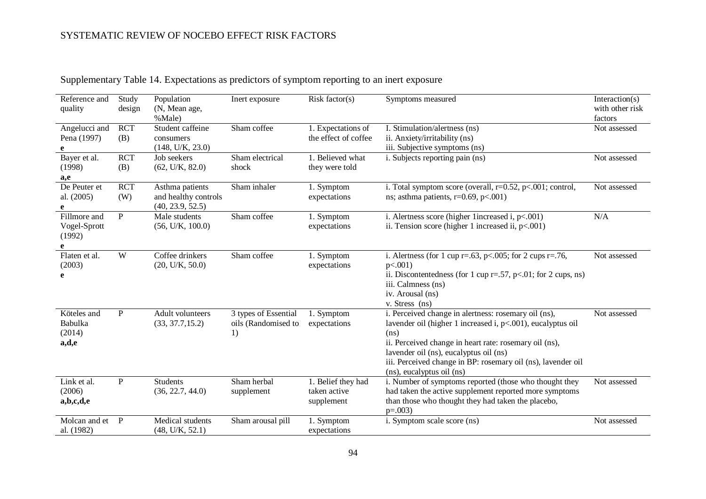| Reference and<br>quality                    | Study<br>design   | Population<br>(N, Mean age,<br>%Male)                       | Inert exposure                                    | Risk factor(s)                                   | Symptoms measured                                                                                                                                                                                                                                                                                                            | Interaction( $s$ )<br>with other risk<br>factors |
|---------------------------------------------|-------------------|-------------------------------------------------------------|---------------------------------------------------|--------------------------------------------------|------------------------------------------------------------------------------------------------------------------------------------------------------------------------------------------------------------------------------------------------------------------------------------------------------------------------------|--------------------------------------------------|
| Angelucci and<br>Pena (1997)<br>e           | <b>RCT</b><br>(B) | Student caffeine<br>consumers<br>(148, U/K, 23.0)           | Sham coffee                                       | 1. Expectations of<br>the effect of coffee       | I. Stimulation/alertness (ns)<br>ii. Anxiety/irritability (ns)<br>iii. Subjective symptoms (ns)                                                                                                                                                                                                                              | Not assessed                                     |
| Bayer et al.<br>(1998)<br>a,e               | <b>RCT</b><br>(B) | Job seekers<br>(62, U/K, 82.0)                              | Sham electrical<br>shock                          | 1. Believed what<br>they were told               | i. Subjects reporting pain (ns)                                                                                                                                                                                                                                                                                              | Not assessed                                     |
| De Peuter et<br>al. (2005)                  | <b>RCT</b><br>(W) | Asthma patients<br>and healthy controls<br>(40, 23.9, 52.5) | Sham inhaler                                      | 1. Symptom<br>expectations                       | i. Total symptom score (overall, $r=0.52$ , $p<.001$ ; control,<br>ns; asthma patients, $r=0.69$ , $p<.001$ )                                                                                                                                                                                                                | Not assessed                                     |
| Fillmore and<br>Vogel-Sprott<br>(1992)<br>e | P                 | Male students<br>(56, U/K, 100.0)                           | Sham coffee                                       | 1. Symptom<br>expectations                       | i. Alertness score (higher 1increased i, $p<0.001$ )<br>ii. Tension score (higher 1 increased ii, $p<0.001$ )                                                                                                                                                                                                                | N/A                                              |
| Flaten et al.<br>(2003)<br>e                | W                 | Coffee drinkers<br>(20, U/K, 50.0)                          | Sham coffee                                       | 1. Symptom<br>expectations                       | i. Alertness (for 1 cup r=.63, p <.005; for 2 cups r=.76,<br>$p<.001$ )<br>ii. Discontentedness (for 1 cup $r = .57$ , $p < .01$ ; for 2 cups, ns)<br>iii. Calmness (ns)<br>iv. Arousal (ns)<br>v. Stress (ns)                                                                                                               | Not assessed                                     |
| Köteles and<br>Babulka<br>(2014)<br>a,d,e   | P                 | Adult volunteers<br>(33, 37.7, 15.2)                        | 3 types of Essential<br>oils (Randomised to<br>1) | 1. Symptom<br>expectations                       | i. Perceived change in alertness: rosemary oil (ns),<br>lavender oil (higher 1 increased i, p<.001), eucalyptus oil<br>(ns)<br>ii. Perceived change in heart rate: rosemary oil (ns),<br>lavender oil (ns), eucalyptus oil (ns)<br>iii. Perceived change in BP: rosemary oil (ns), lavender oil<br>(ns), eucalyptus oil (ns) | Not assessed                                     |
| Link et al.<br>(2006)<br>a,b,c,d,e          | $\mathbf{P}$      | <b>Students</b><br>(36, 22.7, 44.0)                         | Sham herbal<br>supplement                         | 1. Belief they had<br>taken active<br>supplement | i. Number of symptoms reported (those who thought they<br>had taken the active supplement reported more symptoms<br>than those who thought they had taken the placebo,<br>$p=.003$                                                                                                                                           | Not assessed                                     |
| Molcan and et<br>al. (1982)                 | P                 | Medical students<br>(48, U/K, 52.1)                         | Sham arousal pill                                 | 1. Symptom<br>expectations                       | i. Symptom scale score (ns)                                                                                                                                                                                                                                                                                                  | Not assessed                                     |

Supplementary Table 14. Expectations as predictors of symptom reporting to an inert exposure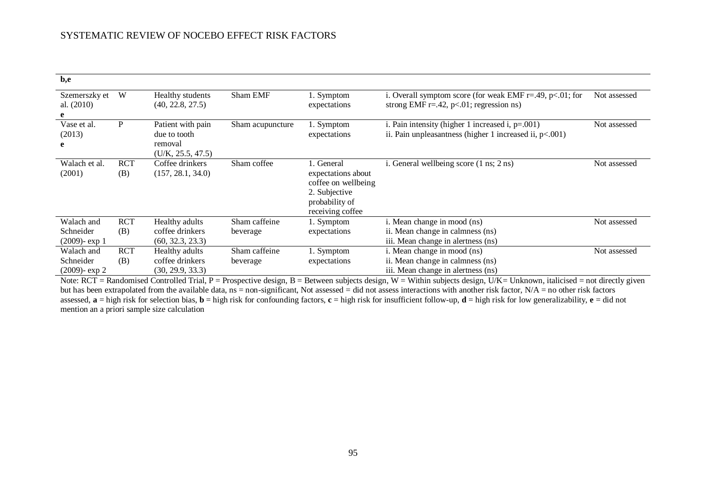| b,e |                                             |                   |                                                                   |                           |                                                                                                                |                                                                                                                         |              |
|-----|---------------------------------------------|-------------------|-------------------------------------------------------------------|---------------------------|----------------------------------------------------------------------------------------------------------------|-------------------------------------------------------------------------------------------------------------------------|--------------|
|     | Szemerszky et<br>al. (2010)                 | W                 | Healthy students<br>(40, 22.8, 27.5)                              | Sham EMF                  | 1. Symptom<br>expectations                                                                                     | i. Overall symptom score (for weak EMF $r = .49$ , $p < .01$ ; for<br>strong EMF $r = .42$ , $p < .01$ ; regression ns) | Not assessed |
|     |                                             |                   |                                                                   |                           |                                                                                                                |                                                                                                                         |              |
| e   | Vase et al.<br>(2013)                       | P                 | Patient with pain<br>due to tooth<br>removal<br>(U/K, 25.5, 47.5) | Sham acupuncture          | 1. Symptom<br>expectations                                                                                     | i. Pain intensity (higher 1 increased i, $p=.001$ )<br>ii. Pain unpleasantness (higher 1 increased ii, $p<.001$ )       | Not assessed |
|     | Walach et al.<br>(2001)                     | <b>RCT</b><br>(B) | Coffee drinkers<br>(157, 28.1, 34.0)                              | Sham coffee               | 1. General<br>expectations about<br>coffee on wellbeing<br>2. Subjective<br>probability of<br>receiving coffee | i. General wellbeing score (1 ns; 2 ns)                                                                                 | Not assessed |
|     | Walach and<br>Schneider<br>$(2009)$ - exp 1 | <b>RCT</b><br>(B) | Healthy adults<br>coffee drinkers<br>(60, 32.3, 23.3)             | Sham caffeine<br>beverage | 1. Symptom<br>expectations                                                                                     | i. Mean change in mood (ns)<br>ii. Mean change in calmness (ns)<br>iii. Mean change in alertness (ns)                   | Not assessed |
|     | Walach and<br>Schneider<br>$(2009)$ - exp 2 | <b>RCT</b><br>(B) | Healthy adults<br>coffee drinkers<br>(30, 29.9, 33.3)             | Sham caffeine<br>beverage | 1. Symptom<br>expectations                                                                                     | i. Mean change in mood (ns)<br>ii. Mean change in calmness (ns)<br>iii. Mean change in alertness (ns)                   | Not assessed |

Note: RCT = Randomised Controlled Trial, P = Prospective design, B = Between subjects design, W = Within subjects design, U/K= Unknown, italicised = not directly given but has been extrapolated from the available data,  $ns = non-significant$ , Not assessed = did not assess interactions with another risk factor,  $N/A = no$  other risk factors assessed,  $\mathbf{a} = \text{high risk}$  for selection bias,  $\mathbf{b} = \text{high risk}$  for confounding factors,  $\mathbf{c} = \text{high risk}$  for insufficient follow-up,  $\mathbf{d} = \text{high risk}$  for low generalizability,  $\mathbf{e} = \text{did not}$ mention an a priori sample size calculation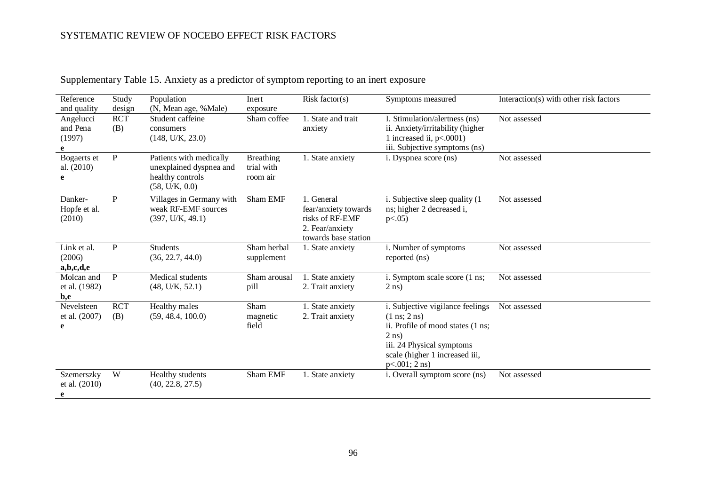| Reference<br>and quality           | Study<br>design   | Population<br>(N, Mean age, %Male)                                                       | Inert<br>exposure                   | Risk factor(s)                                                                                   | Symptoms measured                                                                                                                                                                                     | Interaction(s) with other risk factors |
|------------------------------------|-------------------|------------------------------------------------------------------------------------------|-------------------------------------|--------------------------------------------------------------------------------------------------|-------------------------------------------------------------------------------------------------------------------------------------------------------------------------------------------------------|----------------------------------------|
| Angelucci<br>and Pena<br>(1997)    | <b>RCT</b><br>(B) | Student caffeine<br>consumers<br>(148, U/K, 23.0)                                        | Sham coffee                         | 1. State and trait<br>anxiety                                                                    | I. Stimulation/alertness (ns)<br>ii. Anxiety/irritability (higher<br>1 increased ii, $p<.0001$ )<br>iii. Subjective symptoms (ns)                                                                     | Not assessed                           |
| Bogaerts et<br>al. (2010)<br>e     | ${\bf P}$         | Patients with medically<br>unexplained dyspnea and<br>healthy controls<br>(58, U/K, 0.0) | Breathing<br>trial with<br>room air | 1. State anxiety                                                                                 | i. Dyspnea score (ns)                                                                                                                                                                                 | Not assessed                           |
| Danker-<br>Hopfe et al.<br>(2010)  | ${\bf P}$         | Villages in Germany with<br>weak RF-EMF sources<br>(397, U/K, 49.1)                      | Sham EMF                            | 1. General<br>fear/anxiety towards<br>risks of RF-EMF<br>2. Fear/anxiety<br>towards base station | i. Subjective sleep quality (1)<br>ns; higher 2 decreased i,<br>p<0.05                                                                                                                                | Not assessed                           |
| Link et al.<br>(2006)<br>a,b,c,d,e | ${\bf P}$         | <b>Students</b><br>(36, 22.7, 44.0)                                                      | Sham herbal<br>supplement           | 1. State anxiety                                                                                 | i. Number of symptoms<br>reported (ns)                                                                                                                                                                | Not assessed                           |
| Molcan and<br>et al. (1982)<br>b,e | $\, {\bf P}$      | Medical students<br>(48, U/K, 52.1)                                                      | Sham arousal<br>pill                | 1. State anxiety<br>2. Trait anxiety                                                             | i. Symptom scale score (1 ns;<br>$2$ ns)                                                                                                                                                              | Not assessed                           |
| Nevelsteen<br>et al. (2007)<br>e   | <b>RCT</b><br>(B) | Healthy males<br>(59, 48.4, 100.0)                                                       | Sham<br>magnetic<br>field           | 1. State anxiety<br>2. Trait anxiety                                                             | i. Subjective vigilance feelings<br>$(1 \text{ ns}; 2 \text{ ns})$<br>ii. Profile of mood states (1 ns;<br>$2$ ns)<br>iii. 24 Physical symptoms<br>scale (higher 1 increased iii,<br>$p<.001$ ; 2 ns) | Not assessed                           |
| Szemerszky<br>et al. (2010)<br>e   | W                 | Healthy students<br>(40, 22.8, 27.5)                                                     | Sham EMF                            | 1. State anxiety                                                                                 | i. Overall symptom score (ns)                                                                                                                                                                         | Not assessed                           |

# Supplementary Table 15. Anxiety as a predictor of symptom reporting to an inert exposure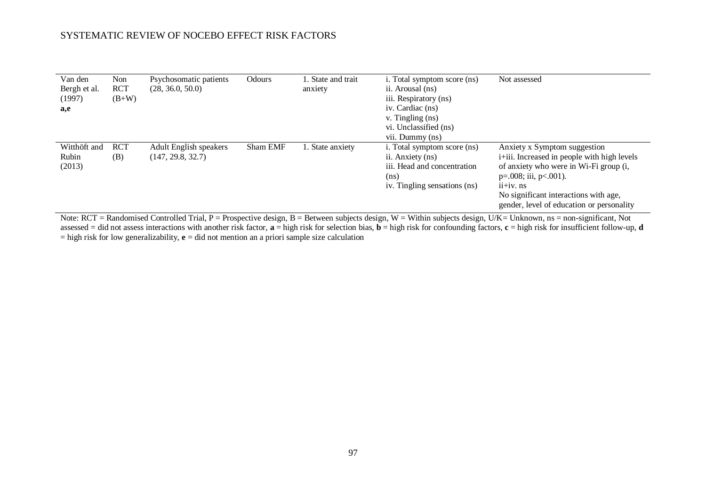| Van den<br>Bergh et al.<br>(1997)<br>a,e | Non<br><b>RCT</b><br>$(B+W)$ | Psychosomatic patients<br>(28, 36.0, 50.0)  | Odours          | 1. State and trait<br>anxiety | i. Total symptom score (ns)<br>ii. Arousal (ns)<br>iii. Respiratory (ns)<br>iv. Cardiac (ns)<br>v. Tingling (ns)<br>vi. Unclassified (ns)<br>vii. Dummy (ns) | Not assessed                                                                                                                                                                                                                                                                                            |
|------------------------------------------|------------------------------|---------------------------------------------|-----------------|-------------------------------|--------------------------------------------------------------------------------------------------------------------------------------------------------------|---------------------------------------------------------------------------------------------------------------------------------------------------------------------------------------------------------------------------------------------------------------------------------------------------------|
| Witthöft and<br>Rubin<br>(2013)          | <b>RCT</b><br>(B)            | Adult English speakers<br>(147, 29.8, 32.7) | <b>Sham EMF</b> | 1. State anxiety              | i. Total symptom score (ns)<br>ii. Anxiety (ns)<br>iii. Head and concentration<br>(ns)<br>iv. Tingling sensations (ns)                                       | Anxiety x Symptom suggestion<br><i>i</i> + <i>iii</i> . Increased in people with high levels<br>of anxiety who were in Wi-Fi group (i,<br>$p=.008$ ; iii, $p<.001$ ).<br>$ii+iv$ . $ns$<br>No significant interactions with age,<br>gender, level of education or personality<br>$\cdot$ $\cdot$ $\sim$ |

Note: RCT = Randomised Controlled Trial, P = Prospective design, B = Between subjects design, W = Within subjects design, U/K= Unknown, ns = non-significant, Not assessed = did not assess interactions with another risk factor, **a** = high risk for selection bias, **b** = high risk for confounding factors, **c** = high risk for insufficient follow-up, **d** = high risk for low generalizability, **e** = did not mention an a priori sample size calculation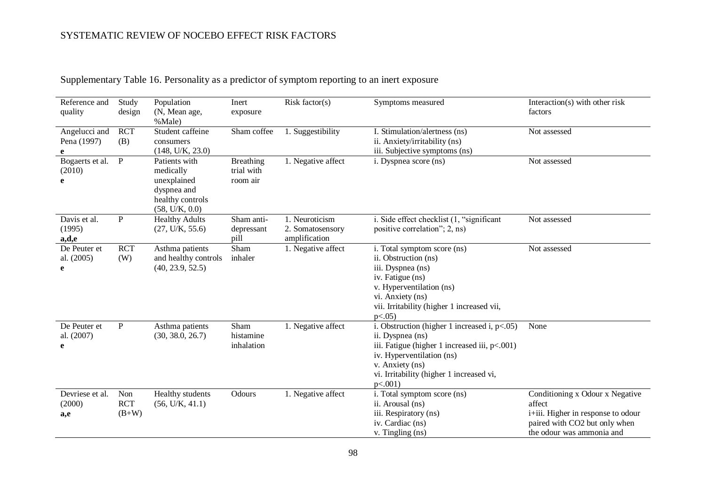| Reference and<br>quality          | Study<br>design              | Population<br>(N, Mean age,<br>%Male)                                                          | Inert<br>exposure                          | Risk factor $(s)$                                   | Symptoms measured                                                                                                                                                                                                               | Interaction(s) with other risk<br>factors                                                                                                     |
|-----------------------------------|------------------------------|------------------------------------------------------------------------------------------------|--------------------------------------------|-----------------------------------------------------|---------------------------------------------------------------------------------------------------------------------------------------------------------------------------------------------------------------------------------|-----------------------------------------------------------------------------------------------------------------------------------------------|
| Angelucci and<br>Pena (1997)<br>e | <b>RCT</b><br>(B)            | Student caffeine<br>consumers<br>(148, U/K, 23.0)                                              | Sham coffee                                | 1. Suggestibility                                   | I. Stimulation/alertness (ns)<br>ii. Anxiety/irritability (ns)<br>iii. Subjective symptoms (ns)                                                                                                                                 | Not assessed                                                                                                                                  |
| Bogaerts et al.<br>(2010)<br>e    | $\mathbf P$                  | Patients with<br>medically<br>unexplained<br>dyspnea and<br>healthy controls<br>(58, U/K, 0.0) | <b>Breathing</b><br>trial with<br>room air | 1. Negative affect                                  | i. Dyspnea score (ns)                                                                                                                                                                                                           | Not assessed                                                                                                                                  |
| Davis et al.<br>(1995)<br>a,d,e   | $\mathbf{P}$                 | <b>Healthy Adults</b><br>(27, U/K, 55.6)                                                       | Sham anti-<br>depressant<br>pill           | 1. Neuroticism<br>2. Somatosensory<br>amplification | i. Side effect checklist (1, "significant<br>positive correlation"; 2, ns)                                                                                                                                                      | Not assessed                                                                                                                                  |
| De Peuter et<br>al. (2005)<br>e   | <b>RCT</b><br>(W)            | Asthma patients<br>and healthy controls<br>(40, 23.9, 52.5)                                    | Sham<br>inhaler                            | 1. Negative affect                                  | i. Total symptom score (ns)<br>ii. Obstruction (ns)<br>iii. Dyspnea (ns)<br>iv. Fatigue (ns)<br>v. Hyperventilation (ns)<br>vi. Anxiety (ns)<br>vii. Irritability (higher 1 increased vii,<br>$p<.05$ )                         | Not assessed                                                                                                                                  |
| De Peuter et<br>al. (2007)<br>e   | P                            | Asthma patients<br>(30, 38.0, 26.7)                                                            | Sham<br>histamine<br>inhalation            | 1. Negative affect                                  | i. Obstruction (higher 1 increased i, $p<0.05$ )<br>ii. Dyspnea (ns)<br>iii. Fatigue (higher 1 increased iii, p<.001)<br>iv. Hyperventilation (ns)<br>v. Anxiety (ns)<br>vi. Irritability (higher 1 increased vi,<br>$p<.001$ ) | None                                                                                                                                          |
| Devriese et al.<br>(2000)<br>a,e  | Non<br><b>RCT</b><br>$(B+W)$ | Healthy students<br>(56, U/K, 41.1)                                                            | Odours                                     | 1. Negative affect                                  | i. Total symptom score (ns)<br>ii. Arousal (ns)<br>iii. Respiratory (ns)<br>iv. Cardiac (ns)<br>$v.$ Tingling $(ns)$                                                                                                            | Conditioning x Odour x Negative<br>affect<br>i+iii. Higher in response to odour<br>paired with CO2 but only when<br>the odour was ammonia and |

# Supplementary Table 16. Personality as a predictor of symptom reporting to an inert exposure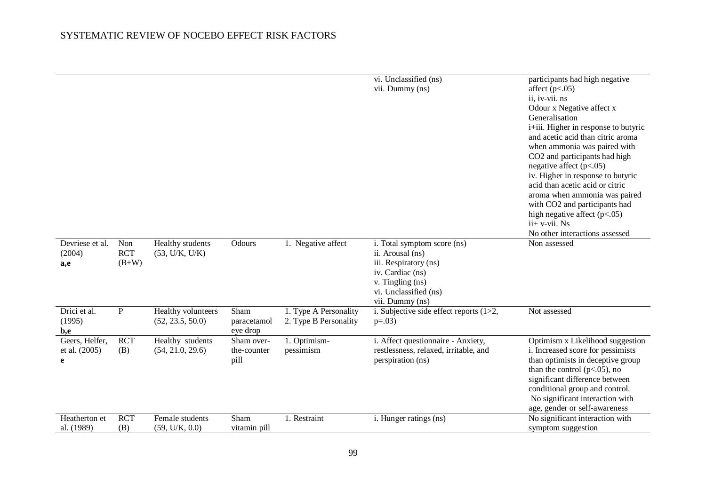|                                      |                              |                                        |                                   |                                                | vi. Unclassified (ns)<br>vii. Dummy (ns)                                                                                                                     | participants had high negative<br>affect $(p<.05)$<br>ii, iv-vii. ns<br>Odour x Negative affect x<br>Generalisation<br>i+iii. Higher in response to butyric<br>and acetic acid than citric aroma<br>when ammonia was paired with<br>CO2 and participants had high<br>negative affect $(p<.05)$<br>iv. Higher in response to butyric<br>acid than acetic acid or citric<br>aroma when ammonia was paired<br>with CO2 and participants had<br>high negative affect $(p<.05)$<br>$ii+ v-vii$ . Ns<br>No other interactions assessed |
|--------------------------------------|------------------------------|----------------------------------------|-----------------------------------|------------------------------------------------|--------------------------------------------------------------------------------------------------------------------------------------------------------------|----------------------------------------------------------------------------------------------------------------------------------------------------------------------------------------------------------------------------------------------------------------------------------------------------------------------------------------------------------------------------------------------------------------------------------------------------------------------------------------------------------------------------------|
| Devriese et al.<br>(2004)<br>a,e     | Non<br><b>RCT</b><br>$(B+W)$ | Healthy students<br>(53, U/K, U/K)     | Odours                            | 1. Negative affect                             | i. Total symptom score (ns)<br>ii. Arousal (ns)<br>iii. Respiratory (ns)<br>iv. Cardiac (ns)<br>v. Tingling (ns)<br>vi. Unclassified (ns)<br>vii. Dummy (ns) | Non assessed                                                                                                                                                                                                                                                                                                                                                                                                                                                                                                                     |
| Drici et al.<br>(1995)<br>b,e        | $\mathbf{P}$                 | Healthy volunteers<br>(52, 23.5, 50.0) | Sham<br>paracetamol<br>eye drop   | 1. Type A Personality<br>2. Type B Personality | i. Subjective side effect reports $(1>2,$<br>$p=.03)$                                                                                                        | Not assessed                                                                                                                                                                                                                                                                                                                                                                                                                                                                                                                     |
| Geers, Helfer,<br>et al. (2005)<br>e | <b>RCT</b><br>(B)            | Healthy students<br>(54, 21.0, 29.6)   | Sham over-<br>the-counter<br>pill | 1. Optimism-<br>pessimism                      | i. Affect questionnaire - Anxiety,<br>restlessness, relaxed, irritable, and<br>perspiration (ns)                                                             | Optimism x Likelihood suggestion<br>i. Increased score for pessimists<br>than optimists in deceptive group<br>than the control ( $p<.05$ ), no<br>significant difference between<br>conditional group and control.<br>No significant interaction with<br>age, gender or self-awareness                                                                                                                                                                                                                                           |
| Heatherton et<br>al. (1989)          | <b>RCT</b><br>(B)            | Female students<br>(59, U/K, 0.0)      | Sham<br>vitamin pill              | 1. Restraint                                   | i. Hunger ratings (ns)                                                                                                                                       | No significant interaction with<br>symptom suggestion                                                                                                                                                                                                                                                                                                                                                                                                                                                                            |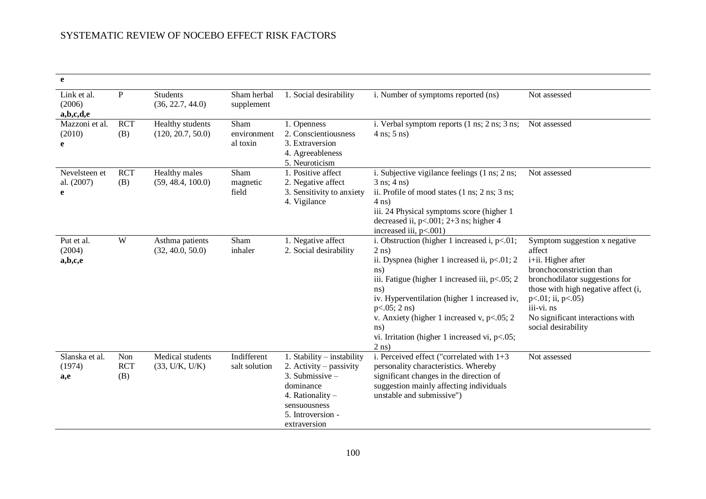| e                                  |                          |                                       |                                 |                                                                                                                                                                    |                                                                                                                                                                                                                                                                                                                                                                                                     |                                                                                                                                                                                                                                                                        |
|------------------------------------|--------------------------|---------------------------------------|---------------------------------|--------------------------------------------------------------------------------------------------------------------------------------------------------------------|-----------------------------------------------------------------------------------------------------------------------------------------------------------------------------------------------------------------------------------------------------------------------------------------------------------------------------------------------------------------------------------------------------|------------------------------------------------------------------------------------------------------------------------------------------------------------------------------------------------------------------------------------------------------------------------|
| Link et al.<br>(2006)<br>a,b,c,d,e | $\mathbf{P}$             | <b>Students</b><br>(36, 22.7, 44.0)   | Sham herbal<br>supplement       | 1. Social desirability                                                                                                                                             | i. Number of symptoms reported (ns)                                                                                                                                                                                                                                                                                                                                                                 | Not assessed                                                                                                                                                                                                                                                           |
| Mazzoni et al.<br>(2010)<br>e      | <b>RCT</b><br>(B)        | Healthy students<br>(120, 20.7, 50.0) | Sham<br>environment<br>al toxin | 1. Openness<br>2. Conscientiousness<br>3. Extraversion<br>4. Agreeableness<br>5. Neuroticism                                                                       | i. Verbal symptom reports (1 ns; 2 ns; 3 ns; Not assessed<br>$4$ ns; $5$ ns)                                                                                                                                                                                                                                                                                                                        |                                                                                                                                                                                                                                                                        |
| Nevelsteen et<br>al. (2007)<br>e   | <b>RCT</b><br>(B)        | Healthy males<br>(59, 48.4, 100.0)    | Sham<br>magnetic<br>field       | 1. Positive affect<br>2. Negative affect<br>3. Sensitivity to anxiety<br>4. Vigilance                                                                              | i. Subjective vigilance feelings (1 ns; 2 ns;<br>$3$ ns; $4$ ns)<br>ii. Profile of mood states $(1 \text{ ns}; 2 \text{ ns}; 3 \text{ ns};$<br>$4$ ns)<br>iii. 24 Physical symptoms score (higher 1<br>decreased ii, $p<.001$ ; $2+3$ ns; higher 4<br>increased iii, $p<.001$ )                                                                                                                     | Not assessed                                                                                                                                                                                                                                                           |
| Put et al.<br>(2004)<br>a,b,c,e    | W                        | Asthma patients<br>(32, 40.0, 50.0)   | Sham<br>inhaler                 | 1. Negative affect<br>2. Social desirability                                                                                                                       | i. Obstruction (higher 1 increased i, $p<01$ ;<br>$2$ ns)<br>ii. Dyspnea (higher 1 increased ii, p<.01; 2<br>$\ln s$ )<br>iii. Fatigue (higher 1 increased iii, $p<.05$ ; 2<br>$\text{ns}$ )<br>iv. Hyperventilation (higher 1 increased iv,<br>$p<0.05$ ; 2 ns)<br>v. Anxiety (higher 1 increased v, $p<0.05$ ; 2<br>$\text{ns}$ )<br>vi. Irritation (higher 1 increased vi, $p<0.05$ ;<br>$2$ ns) | Symptom suggestion x negative<br>affect<br>i+ii. Higher after<br>bronchoconstriction than<br>bronchodilator suggestions for<br>those with high negative affect (i,<br>$p<.01$ ; ii, $p<.05$ )<br>iii-vi. ns<br>No significant interactions with<br>social desirability |
| Slanska et al.<br>(1974)<br>a,e    | Non<br><b>RCT</b><br>(B) | Medical students<br>(33, U/K, U/K)    | Indifferent<br>salt solution    | 1. Stability - instability<br>2. Activity – passivity<br>3. Submissive $-$<br>dominance<br>4. Rationality $-$<br>sensuousness<br>5. Introversion -<br>extraversion | i. Perceived effect ("correlated with $1+3$<br>personality characteristics. Whereby<br>significant changes in the direction of<br>suggestion mainly affecting individuals<br>unstable and submissive")                                                                                                                                                                                              | Not assessed                                                                                                                                                                                                                                                           |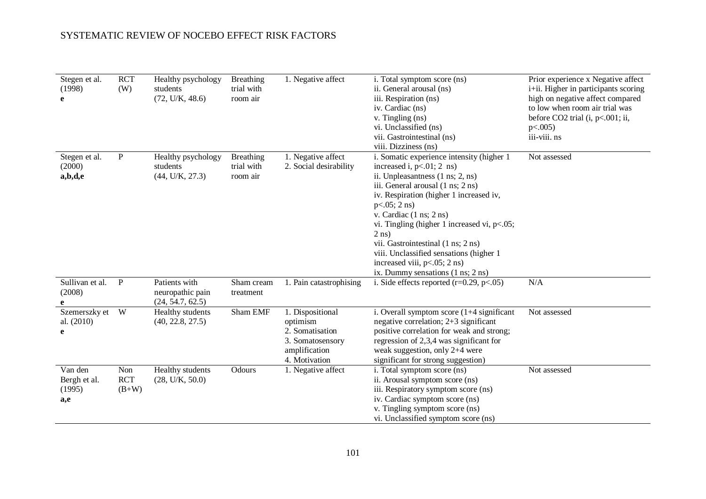| Stegen et al.<br>(1998)<br>e             | <b>RCT</b><br>(W)            | Healthy psychology<br>students<br>(72, U/K, 48.6)     | Breathing<br>trial with<br>room air        | 1. Negative affect                                                                                    | i. Total symptom score (ns)<br>ii. General arousal (ns)<br>iii. Respiration (ns)<br>iv. Cardiac (ns)<br>v. Tingling (ns)<br>vi. Unclassified (ns)<br>vii. Gastrointestinal (ns)<br>viii. Dizziness (ns)                                                                                                                                                                                                                                                                              | Prior experience x Negative affect<br>i+ii. Higher in participants scoring<br>high on negative affect compared<br>to low when room air trial was<br>before $CO2$ trial (i, p<.001; ii,<br>p<0.005<br>iii-viii. ns |
|------------------------------------------|------------------------------|-------------------------------------------------------|--------------------------------------------|-------------------------------------------------------------------------------------------------------|--------------------------------------------------------------------------------------------------------------------------------------------------------------------------------------------------------------------------------------------------------------------------------------------------------------------------------------------------------------------------------------------------------------------------------------------------------------------------------------|-------------------------------------------------------------------------------------------------------------------------------------------------------------------------------------------------------------------|
| Stegen et al.<br>(2000)<br>a,b,d,e       | $\mathbf{P}$                 | Healthy psychology<br>students<br>(44, U/K, 27.3)     | <b>Breathing</b><br>trial with<br>room air | 1. Negative affect<br>2. Social desirability                                                          | i. Somatic experience intensity (higher 1<br>increased i, $p<.01$ ; 2 ns)<br>ii. Unpleasantness (1 ns; 2, ns)<br>iii. General arousal (1 ns; 2 ns)<br>iv. Respiration (higher 1 increased iv,<br>$p<0.05$ ; 2 ns)<br>v. Cardiac $(1 \text{ ns}; 2 \text{ ns})$<br>vi. Tingling (higher 1 increased vi, $p<.05$ ;<br>$2$ ns)<br>vii. Gastrointestinal (1 ns; 2 ns)<br>viii. Unclassified sensations (higher 1<br>increased viii, $p<.05$ ; 2 ns)<br>ix. Dummy sensations (1 ns; 2 ns) | Not assessed                                                                                                                                                                                                      |
| Sullivan et al.<br>(2008)                | $\mathbf{P}$                 | Patients with<br>neuropathic pain<br>(24, 54.7, 62.5) | Sham cream<br>treatment                    | 1. Pain catastrophising                                                                               | i. Side effects reported $(r=0.29, p<.05)$                                                                                                                                                                                                                                                                                                                                                                                                                                           | N/A                                                                                                                                                                                                               |
| Szemerszky et<br>al. (2010)<br>e         | W                            | Healthy students<br>(40, 22.8, 27.5)                  | Sham EMF                                   | 1. Dispositional<br>optimism<br>2. Somatisation<br>3. Somatosensory<br>amplification<br>4. Motivation | i. Overall symptom score $(1+4$ significant<br>negative correlation; 2+3 significant<br>positive correlation for weak and strong;<br>regression of 2,3,4 was significant for<br>weak suggestion, only 2+4 were<br>significant for strong suggestion)                                                                                                                                                                                                                                 | Not assessed                                                                                                                                                                                                      |
| Van den<br>Bergh et al.<br>(1995)<br>a,e | Non<br><b>RCT</b><br>$(B+W)$ | Healthy students<br>(28, U/K, 50.0)                   | Odours                                     | 1. Negative affect                                                                                    | i. Total symptom score (ns)<br>ii. Arousal symptom score (ns)<br>iii. Respiratory symptom score (ns)<br>iv. Cardiac symptom score (ns)<br>v. Tingling symptom score (ns)<br>vi. Unclassified symptom score (ns)                                                                                                                                                                                                                                                                      | Not assessed                                                                                                                                                                                                      |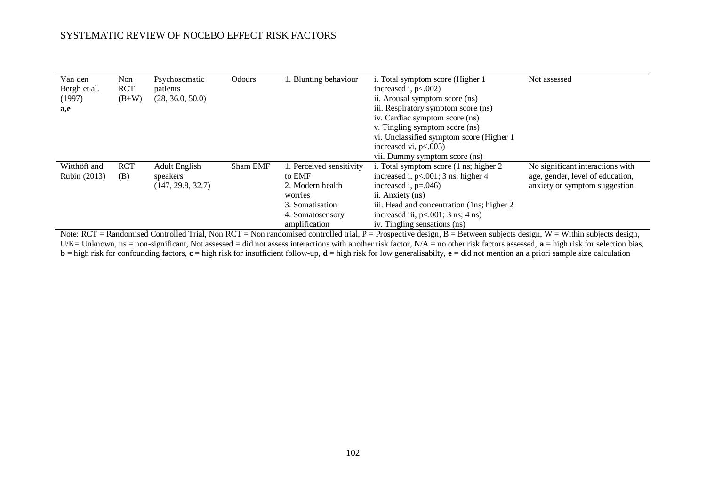| Van den<br>Bergh et al.<br>(1997)<br>a,e | Non<br><b>RCT</b><br>$(B+W)$ | Psychosomatic<br>patients<br>(28, 36.0, 50.0)  | Odours   | I. Blunting behaviour                                                                                                     | i. Total symptom score (Higher 1<br>increased i, $p<.002$ )<br>ii. Arousal symptom score (ns)<br>iii. Respiratory symptom score (ns)<br>iv. Cardiac symptom score (ns)<br>v. Tingling symptom score (ns)<br>vi. Unclassified symptom score (Higher 1)<br>increased vi, $p<.005$ )<br>vii. Dummy symptom score (ns) | Not assessed                                                                                          |
|------------------------------------------|------------------------------|------------------------------------------------|----------|---------------------------------------------------------------------------------------------------------------------------|--------------------------------------------------------------------------------------------------------------------------------------------------------------------------------------------------------------------------------------------------------------------------------------------------------------------|-------------------------------------------------------------------------------------------------------|
| Witthöft and<br>Rubin (2013)             | <b>RCT</b><br>(B)            | Adult English<br>speakers<br>(147, 29.8, 32.7) | Sham EMF | 1. Perceived sensitivity<br>to EMF<br>2. Modern health<br>worries<br>3. Somatisation<br>4. Somatosensory<br>amplification | i. Total symptom score (1 ns; higher 2)<br>increased i, $p<0.001$ ; 3 ns; higher 4<br>increased i, $p=.046$ )<br>ii. Anxiety (ns)<br>iii. Head and concentration (1ns; higher 2)<br>increased iii, $p<.001$ ; 3 ns; 4 ns)<br>iv. Tingling sensations (ns)                                                          | No significant interactions with<br>age, gender, level of education,<br>anxiety or symptom suggestion |

Note:  $RCT = Randomised Controled Trial, Non RCT = Non randomized controlled trial, P = Prospective design, B = Between subjects design, W = Within subjects design, and the use of the image.$ U/K= Unknown, ns = non-significant, Not assessed = did not assess interactions with another risk factor,  $N/A$  = no other risk factors assessed,  $\bf{a}$  = high risk for selection bias, **b** = high risk for confounding factors, **c** = high risk for insufficient follow-up, **d** = high risk for low generalisabilty, **e** = did not mention an a priori sample size calculation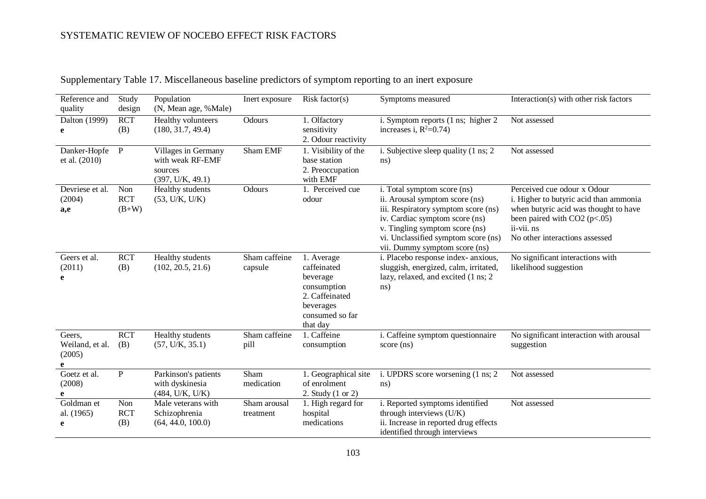| Reference and<br>quality                 | Study<br>design              | Population<br>(N, Mean age, %Male)                                     | Inert exposure            | Risk factor( $s$ )                                                                                                 | Symptoms measured                                                                                                                                                                                                                                | Interaction(s) with other risk factors                                                                                                                                                           |
|------------------------------------------|------------------------------|------------------------------------------------------------------------|---------------------------|--------------------------------------------------------------------------------------------------------------------|--------------------------------------------------------------------------------------------------------------------------------------------------------------------------------------------------------------------------------------------------|--------------------------------------------------------------------------------------------------------------------------------------------------------------------------------------------------|
| Dalton $(1999)$<br>e                     | <b>RCT</b><br>(B)            | Healthy volunteers<br>(180, 31.7, 49.4)                                | Odours                    | 1. Olfactory<br>sensitivity<br>2. Odour reactivity                                                                 | i. Symptom reports (1 ns; higher 2<br>increases i, $R^2=0.74$ )                                                                                                                                                                                  | Not assessed                                                                                                                                                                                     |
| Danker-Hopfe<br>et al. (2010)            | $\mathbf{P}$                 | Villages in Germany<br>with weak RF-EMF<br>sources<br>(397, U/K, 49.1) | Sham EMF                  | 1. Visibility of the<br>base station<br>2. Preoccupation<br>with EMF                                               | i. Subjective sleep quality (1 ns; 2)<br>ns)                                                                                                                                                                                                     | Not assessed                                                                                                                                                                                     |
| Devriese et al.<br>(2004)<br>a,e         | Non<br><b>RCT</b><br>$(B+W)$ | Healthy students<br>(53, U/K, U/K)                                     | Odours                    | 1. Perceived cue<br>odour                                                                                          | i. Total symptom score (ns)<br>ii. Arousal symptom score (ns)<br>iii. Respiratory symptom score (ns)<br>iv. Cardiac symptom score (ns)<br>v. Tingling symptom score (ns)<br>vi. Unclassified symptom score (ns)<br>vii. Dummy symptom score (ns) | Perceived cue odour x Odour<br>i. Higher to butyric acid than ammonia<br>when butyric acid was thought to have<br>been paired with $CO2 (p<.05)$<br>ii-vii. ns<br>No other interactions assessed |
| Geers et al.<br>(2011)<br>e              | <b>RCT</b><br>(B)            | Healthy students<br>(102, 20.5, 21.6)                                  | Sham caffeine<br>capsule  | 1. Average<br>caffeinated<br>beverage<br>consumption<br>2. Caffeinated<br>beverages<br>consumed so far<br>that day | i. Placebo response index- anxious,<br>sluggish, energized, calm, irritated,<br>lazy, relaxed, and excited (1 ns; 2)<br>$\text{ns}$ )                                                                                                            | No significant interactions with<br>likelihood suggestion                                                                                                                                        |
| Geers,<br>Weiland, et al.<br>(2005)<br>e | <b>RCT</b><br>(B)            | Healthy students<br>(57, U/K, 35.1)                                    | Sham caffeine<br>pill     | 1. Caffeine<br>consumption                                                                                         | i. Caffeine symptom questionnaire<br>score (ns)                                                                                                                                                                                                  | No significant interaction with arousal<br>suggestion                                                                                                                                            |
| Goetz et al.<br>(2008)<br>e              | ${\bf P}$                    | Parkinson's patients<br>with dyskinesia<br>(484, U/K, U/K)             | Sham<br>medication        | 1. Geographical site<br>of enrolment<br>2. Study (1 or 2)                                                          | i. UPDRS score worsening (1 ns; 2)<br>ns)                                                                                                                                                                                                        | Not assessed                                                                                                                                                                                     |
| Goldman et<br>al. (1965)<br>e            | Non<br><b>RCT</b><br>(B)     | Male veterans with<br>Schizophrenia<br>(64, 44.0, 100.0)               | Sham arousal<br>treatment | 1. High regard for<br>hospital<br>medications                                                                      | i. Reported symptoms identified<br>through interviews (U/K)<br>ii. Increase in reported drug effects<br>identified through interviews                                                                                                            | Not assessed                                                                                                                                                                                     |

Supplementary Table 17. Miscellaneous baseline predictors of symptom reporting to an inert exposure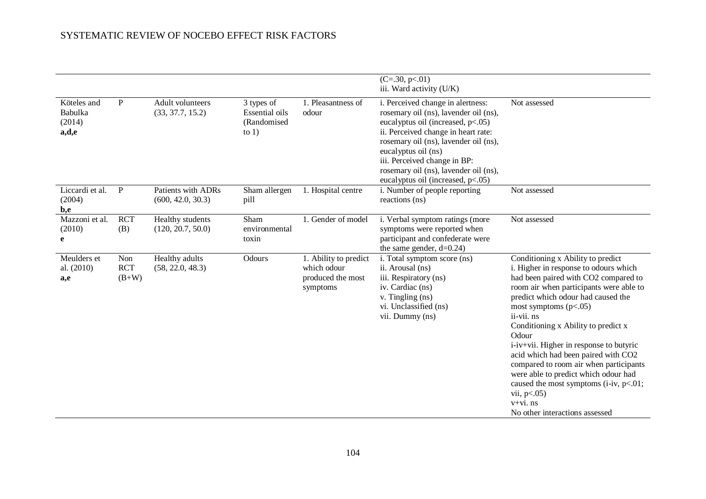|                                           |                              |                                         |                                                               |                                                                       | $(C=.30, p<.01)$<br>iii. Ward activity (U/K)                                                                                                                                                                                                                                                                                            |                                                                                                                                                                                                                                                                                                                                                                                                                                                                                                                                                                               |
|-------------------------------------------|------------------------------|-----------------------------------------|---------------------------------------------------------------|-----------------------------------------------------------------------|-----------------------------------------------------------------------------------------------------------------------------------------------------------------------------------------------------------------------------------------------------------------------------------------------------------------------------------------|-------------------------------------------------------------------------------------------------------------------------------------------------------------------------------------------------------------------------------------------------------------------------------------------------------------------------------------------------------------------------------------------------------------------------------------------------------------------------------------------------------------------------------------------------------------------------------|
| Köteles and<br>Babulka<br>(2014)<br>a,d,e | P                            | Adult volunteers<br>(33, 37.7, 15.2)    | 3 types of<br><b>Essential oils</b><br>(Randomised<br>to $1)$ | 1. Pleasantness of<br>odour                                           | i. Perceived change in alertness:<br>rosemary oil (ns), lavender oil (ns),<br>eucalyptus oil (increased, $p<.05$ )<br>ii. Perceived change in heart rate:<br>rosemary oil (ns), lavender oil (ns),<br>eucalyptus oil (ns)<br>iii. Perceived change in BP:<br>rosemary oil (ns), lavender oil (ns),<br>eucalyptus oil (increased, p<.05) | Not assessed                                                                                                                                                                                                                                                                                                                                                                                                                                                                                                                                                                  |
| Liccardi et al.<br>(2004)<br>b,e          | $\mathbf{P}$                 | Patients with ADRs<br>(600, 42.0, 30.3) | Sham allergen<br>pill                                         | 1. Hospital centre                                                    | i. Number of people reporting<br>reactions (ns)                                                                                                                                                                                                                                                                                         | Not assessed                                                                                                                                                                                                                                                                                                                                                                                                                                                                                                                                                                  |
| Mazzoni et al.<br>(2010)<br>e             | <b>RCT</b><br>(B)            | Healthy students<br>(120, 20.7, 50.0)   | Sham<br>environmental<br>toxin                                | 1. Gender of model                                                    | i. Verbal symptom ratings (more<br>symptoms were reported when<br>participant and confederate were<br>the same gender, $d=0.24$ )                                                                                                                                                                                                       | Not assessed                                                                                                                                                                                                                                                                                                                                                                                                                                                                                                                                                                  |
| Meulders et<br>al. (2010)<br>a,e          | Non<br><b>RCT</b><br>$(B+W)$ | Healthy adults<br>(58, 22.0, 48.3)      | Odours                                                        | 1. Ability to predict<br>which odour<br>produced the most<br>symptoms | i. Total symptom score (ns)<br>ii. Arousal (ns)<br>iii. Respiratory (ns)<br>iv. Cardiac (ns)<br>v. Tingling (ns)<br>vi. Unclassified (ns)<br>vii. Dummy (ns)                                                                                                                                                                            | Conditioning x Ability to predict<br>i. Higher in response to odours which<br>had been paired with CO2 compared to<br>room air when participants were able to<br>predict which odour had caused the<br>most symptoms $(p<.05)$<br>ii-vii. ns<br>Conditioning x Ability to predict x<br>Odour<br>i-iv+vii. Higher in response to butyric<br>acid which had been paired with CO2<br>compared to room air when participants<br>were able to predict which odour had<br>caused the most symptoms (i-iv, $p<.01$ ;<br>vii, $p<.05$ )<br>v+vi. ns<br>No other interactions assessed |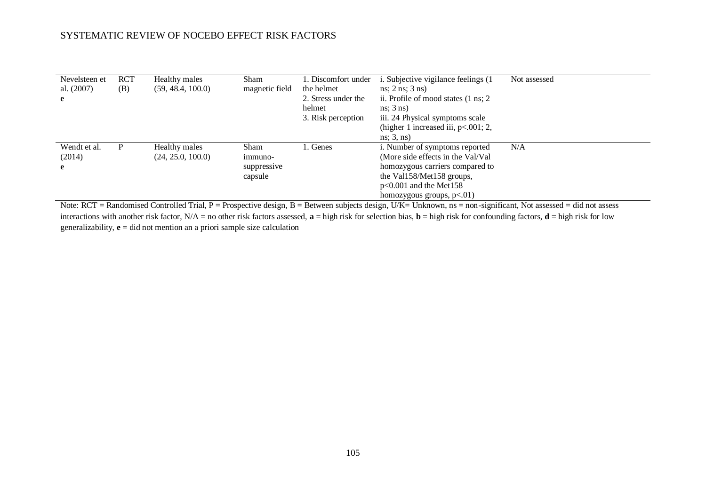| Nevelsteen et<br>al. (2007)<br>e | <b>RCT</b><br>(B) | Healthy males<br>(59, 48.4, 100.0) | <b>Sham</b><br>magnetic field                    | 1. Discomfort under<br>the helmet<br>2. Stress under the<br>helmet<br>3. Risk perception | i. Subjective vigilance feelings (1)<br>$ns$ ; 2 ns; 3 ns)<br>ii. Profile of mood states (1 ns; 2)<br>$ns$ ; $3$ ns)<br>iii. 24 Physical symptoms scale<br>(higher 1 increased iii, $p<.001$ ; 2,<br>ns; 3, ns) | Not assessed |
|----------------------------------|-------------------|------------------------------------|--------------------------------------------------|------------------------------------------------------------------------------------------|-----------------------------------------------------------------------------------------------------------------------------------------------------------------------------------------------------------------|--------------|
| Wendt et al.<br>(2014)<br>e      | P                 | Healthy males<br>(24, 25.0, 100.0) | <b>Sham</b><br>immuno-<br>suppressive<br>capsule | 1. Genes                                                                                 | i. Number of symptoms reported<br>(More side effects in the Val/Val)<br>homozygous carriers compared to<br>the Val158/Met158 groups,<br>$p<0.001$ and the Met158<br>homozygous groups, $p<.01$ )                | N/A          |

Note: RCT = Randomised Controlled Trial, P = Prospective design, B = Between subjects design, U/K= Unknown, ns = non-significant, Not assessed = did not assess interactions with another risk factor,  $N/A =$  no other risk factors assessed,  $\mathbf{a} =$  high risk for selection bias,  $\mathbf{b} =$  high risk for confounding factors,  $\mathbf{d} =$  high risk for low generalizability, **e** = did not mention an a priori sample size calculation